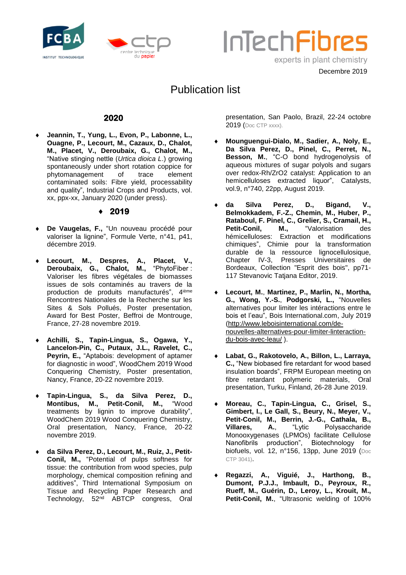





Decembre 2019

# Publication list

## **2020**

 **Jeannin, T., Yung, L., Evon, P., Labonne, L., Ouagne, P., Lecourt, M., Cazaux, D., Chalot, M., Placet, V., Deroubaix, G., Chalot, M.,**  "Native stinging nettle (*Urtica dioica L*.) growing spontaneously under short rotation coppice for phytomanagement of trace element contaminated soils: Fibre yield, processability and quality", Industrial Crops and Products, vol. xx, ppx-xx, January 2020 (under press).

## **2019**

- **De Vaugelas, F.,** "Un nouveau procédé pour valoriser la lignine", Formule Verte, n°41, p41, décembre 2019.
- Lecourt, M., Despres, A., Placet, V., Deroubaix, G., Chalot, M., "PhytoFiber: Deroubaix, G., Chalot, M., Valoriser les fibres végétales de biomasses issues de sols contaminés au travers de la production de produits manufacturés", 4 ième Rencontres Nationales de la Recherche sur les Sites & Sols Pollués, Poster presentation, Award for Best Poster, Beffroi de Montrouge, France, 27-28 novembre 2019.
- **Achilli, S., Tapin-Lingua, S., Ogawa, Y., Lancelon-Pin, C., Putaux, J.L., Ravelet, C., Peyrin, E.,** "Aptabois: development of aptamer for diagnostic in wood", WoodChem 2019 Wood Conquering Chemistry, Poster presentation, Nancy, France, 20-22 novembre 2019.
- **Tapin-Lingua, S., da Silva Perez, D., Montibus, M., Petit-Conil, M.,** "Wood treatments by lignin to improve durability", WoodChem 2019 Wood Conquering Chemistry, Oral presentation, Nancy, France, 20-22 novembre 2019.
- **da Silva Perez, D., Lecourt, M., Ruiz, J., Petit-Conil, M.,** "Potential of pulps softness for tissue: the contribution from wood species, pulp morphology, chemical composition refining and additives", Third International Symposium on Tissue and Recycling Paper Research and Technology, 52<sup>nd</sup> ABTCP congress, Oral

presentation, San Paolo, Brazil, 22-24 octobre 2019 (Doc CTP xxxx).

- **Mounguengui-Dialo, M., Sadier, A., Noly, E., Da Silva Perez, D., Pinel, C., Perret, N., Besson, M.**, "C-O bond hydrogenolysis of aqueous mixtures of sugar polyols and sugars over redox-Rh/ZrO2 catalyst: Application to an hemicelluloses extracted liquor", Catalysts, vol.9, n°740, 22pp, August 2019.
- **da Silva Perez, D., Bigand, V., Belmokkadem, F.-Z., Chemin, M., Huber, P., Rataboul, F. Pinel, C., Grelier, S., Cramail, H., Petit-Conil. M., "Valorisation des** hémicelluloses: Extraction et modifications chimiques", Chimie pour la transformation durable de la ressource lignocellulosique, Chapter IV-3, Presses Universitaires de Bordeaux, Collection "Esprit des bois", pp71- 117 Stevanovic Tatjana Editor, 2019.
- **Lecourt, M.**, **Martinez, P., Marlin, N., Mortha, G., Wong, Y.-S.**, **Podgorski, L.,** "Nouvelles alternatives pour limiter les intéractions entre le bois et l'eau", Bois International.com, July 2019 [\(http://www.leboisinternational.com/de](http://www.leboisinternational.com/de-nouvelles-alternatives-pour-limiter-linteraction-du-bois-avec-leau/)[nouvelles-alternatives-pour-limiter-linteraction](http://www.leboisinternational.com/de-nouvelles-alternatives-pour-limiter-linteraction-du-bois-avec-leau/)[du-bois-avec-leau/](http://www.leboisinternational.com/de-nouvelles-alternatives-pour-limiter-linteraction-du-bois-avec-leau/) ).
- **Labat, G., Rakotovelo, A., Billon, L., Larraya, C.,** "New biobased fire retardant for wood based insulation boards", FRPM European meeting on fibre retardant polymeric materials, Oral presentation, Turku, Finland, 26-28 June 2019.
- **Moreau, C., Tapin-Lingua, C., Grisel, S., Gimbert, I., Le Gall, S., Beury, N., Meyer, V., Petit-Conil, M., Berrin, J.-G., Cathala, B., Villares, A.**, "Lytic Polysaccharide Monooxygenases (LPMOs) facilitate Cellulose Nanofibrils production", Biotechnology for biofuels, vol. 12, n°156, 13pp, June 2019 (Doc CTP 3041).
- **Regazzi, A., Viguié, J., Harthong, B., Dumont, P.J.J., Imbault, D., Peyroux, R., Rueff, M., Guérin, D., Leroy, L., Krouit, M., Petit-Conil, M.**, "Ultrasonic welding of 100%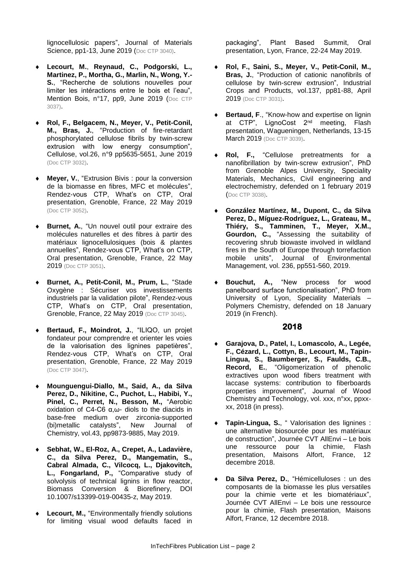lignocellulosic papers", Journal of Materials Science, pp1-13, June 2019 (Doc CTP 3040).

- **Lecourt, M.**, **Reynaud, C., Podgorski, L., Martinez, P., Mortha, G., Marlin, N., Wong, Y.- S.**, "Recherche de solutions nouvelles pour limiter les intéractions entre le bois et l'eau", Mention Bois, n°17, pp9, June 2019 (Doc CTP 3037).
- **Rol, F., Belgacem, N., Meyer, V., Petit-Conil, M., Bras, J.**, "Production of fire-retardant phosphorylated cellulose fibrils by twin-screw extrusion with low energy consumption", Cellulose, vol.26, n°9 pp5635-5651, June 2019 (Doc CTP 3032).
- **Meyer, V.**, "Extrusion Bivis : pour la conversion de la biomasse en fibres, MFC et molécules", Rendez-vous CTP, What's on CTP, Oral presentation, Grenoble, France, 22 May 2019 (Doc CTP 3052).
- **Burnet, A.**, "Un nouvel outil pour extraire des molécules naturelles et des fibres à partir des matériaux lignocellulosiques (bois & plantes annuelles", Rendez-vous CTP, What's on CTP, Oral presentation, Grenoble, France, 22 May 2019 (Doc CTP 3051).
- **Burnet, A., Petit-Conil, M., Prum, L.**, "Stade Oxygène : Sécuriser vos investissements industriels par la validation pilote", Rendez-vous CTP, What's on CTP, Oral presentation, Grenoble, France, 22 May 2019 (Doc CTP 3045).
- **Bertaud, F., Moindrot, J.**, "ILIQO, un projet fondateur pour comprendre et orienter les voies de la valorisation des lignines papetières", Rendez-vous CTP, What's on CTP, Oral presentation, Grenoble, France, 22 May 2019 (Doc CTP 3047).
- **Mounguengui-Diallo, M., Said, A., da Silva Perez, D., Nikitine, C., Puchot, L., Habibi, Y., Pinel, C., Perret, N., Besson, M.,** "Aerobic oxidation of C4-C6 α,ω- diols to the diacids in base-free medium over zirconia-supported (bi)metallic catalysts", New Journal of Chemistry, vol.43, pp9873-9885, May 2019.
- **Sebhat, W., El-Roz, A., Crepet, A., Ladavière, C., da Silva Perez, D., Mangematin, S., Cabral Almada, C., Vilcocq, L., Djakovitch, L., Fongarland, P.,** "Comparative study of solvolysis of technical lignins in flow reactor, Biomass Conversion & Biorefinery, DOI 10.1007/s13399-019-00435-z, May 2019.
- **Lecourt, M.,** "Environmentally friendly solutions for limiting visual wood defaults faced in

packaging", Plant Based Summit, Oral presentation, Lyon, France, 22-24 May 2019.

- **Rol, F., Saini, S., Meyer, V., Petit-Conil, M., Bras, J.**, "Production of cationic nanofibrils of cellulose by twin-screw extrusion", Industrial Crops and Products, vol.137, pp81-88, April 2019 (Doc CTP 3031).
- **Bertaud, F**., "Know-how and expertise on lignin at CTP", LignoCost 2<sup>nd</sup> meeting, Flash presentation, Wagueningen, Netherlands, 13-15 March 2019 (Doc CTP 3039).
- **Rol, F.,** "Cellulose pretreatments for a nanofibrillation by twin-screw extrusion", PhD from Grenoble Alpes University, Speciality Materials, Mechanics, Civil engineering and electrochemistry, defended on 1 february 2019 (Doc CTP 3038).
- **González Martínez, M., Dupont, C., da Silva Perez, D., Míguez-Rodríguez, L., Grateau, M., Thiéry, S., Tamminen, T., Meyer, X.M., Gourdon, C.,** "Assessing the suitability of recovering shrub biowaste involved in wildland fires in the South of Europe through torrefaction mobile units", Journal of Environmental Management, vol. 236, pp551-560, 2019.
- **Bouchut, A.,** "New process for wood panelboard surface functionalisation", PhD from University of Lyon, Speciality Materials – Polymers Chemistry, defended on 18 January 2019 (in French).

- **Garajova, D., Patel, I., Lomascolo, A., Legée, F., Cézard, L., Cottyn, B., Lecourt, M., Tapin-Lingua, S., Baumberger, S., Faulds, C.B., Record, E.**, "Oligomerization of phenolic extractives upon wood fibers treatment with laccase systems: contribution to fiberboards properties improvement", Journal of Wood Chemistry and Technology, vol. xxx, n°xx, ppxxxx, 2018 (in press).
- **Tapin-Lingua, S.**, " Valorisation des lignines : une alternative biosourcée pour les matériaux de construction", Journée CVT AllEnvi – Le bois une ressource pour la chimie, Flash presentation, Maisons Alfort, France, 12 decembre 2018.
- **Da Silva Perez, D.**, "Hémicelluloses : un des composants de la biomasse les plus versatiles pour la chimie verte et les biomatériaux", Journée CVT AllEnvi – Le bois une ressource pour la chimie, Flash presentation, Maisons Alfort, France, 12 decembre 2018.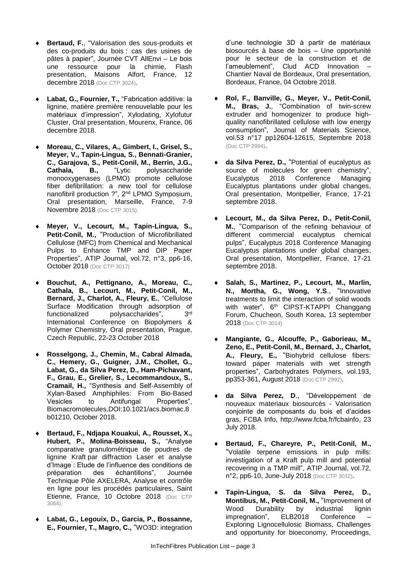- **Bertaud, F.**, "Valorisation des sous-produits et des co-produits du bois : cas des usines de pâtes à papier", Journée CVT AllEnvi – Le bois une ressource pour la chimie, Flash presentation, Maisons Alfort, France, 12 decembre 2018 (Doc CTP 3024).
- **Labat, G., Fournier, T.,** "Fabrication additive: la lignine, matière première renouvelable pour les matériaux d'impression", Xylodating, Xylofutur Cluster, Oral presentation, Mourenx, France, 06 decembre 2018.
- **Moreau, C., Vilares, A., Gimbert, I., Grisel, S., Meyer, V., Tapin-Lingua, S., Bennati-Granier, C., Garajova, S., Petit-Conil, M., Berrin, J.G., Cathala, B.,** "Lytic polysaccharide monooxygenases (LPMO) promote cellulose fiber defibrillation: a new tool for cellulose nanofibril production ?", 2nd LPMO Symposium, Oral presentation, Marseille, France, 7-9 Novembre 2018 (Doc CTP 3015).
- **Meyer, V., Lecourt, M., Tapin-Lingua, S., Petit-Conil, M.,** "Production of Microfibrillated Cellulose (MFC) from Chemical and Mechanical Pulps to Enhance TMP and DIP Paper Properties", ATIP Journal, vol.72, n°3, pp6-16, October 2018 (Doc CTP 3017)
- **Bouchut, A., Pettignano, A., Moreau, C., Cathala, B., Lecourt, M., Petit-Conil, M., Bernard, J., Charlot, A., Fleury, E.**, "Cellulose Surface Modification through adsorption of functionalized polysaccharides",  $2rd$ International Conference on Biopolymers & Polymer Chemistry, Oral presentation, Prague, Czech Republic, 22-23 October 2018
- **Rosselgong, J., Chemin, M., Cabral Almada, C., Hemery, G., Guigner, J.M., Chollet, G., Labat, G., da Silva Perez, D., Ham-Pichavant, F., Grau, E., Grelier, S., Lecommandoux, S.**, **Cramail, H.,** "Synthesis and Self-Assembly of Xylan-Based Amphiphiles: From Bio-Based Vesicles to Antifungal Properties", Biomacromolecules,DOI:10.1021/acs.biomac.8 b01210, October 2018.
- **Bertaud, F., Ndjapa Kouakui, A., Rousset, X., Hubert, P., Molina-Boisseau, S.,** "Analyse comparative granulométrique de poudres de lignine Kraft par diffraction Laser et analyse d'Image : Etude de l'influence des conditions de préparation des échantillons", Journée Technique Pôle AXELERA, Analyse et contrôle en ligne pour les procédés particulaires, Saint Etienne, France, 10 Octobre 2018 (Doc CTP 3064).
- **Labat, G., Legouix, D., Garcia, P., Bossanne, E., Fournier, T., Magro, C.,** "WO3D: integration

d'une technologie 3D à partir de matériaux biosourcés à base de bois – Une opportunité pour le secteur de la construction et de l'ameublement", Clud ACD Innovation – Chantier Naval de Bordeaux, Oral presentation, Bordeaux, France, 04 Octobre 2018.

- **Rol, F., Banville, G., Meyer, V., Petit-Conil, M., Bras, J.**, "Combination of twin-screw extruder and homogenizer to produce highquality nanofibrillated cellulose with low energy consumption", Journal of Materials Science, vol.53 n°17 pp12604-12615, Septembre 2018 (Doc CTP 2994).
- **da Silva Perez, D.,** "Potential of eucalyptus as source of molecules for green chemistry", Eucalyptus 2018 Conference Managing Eucalyptus plantations under global changes, Oral presentation, Montpellier, France, 17-21 septembre 2018.
- **Lecourt, M., da Silva Perez, D., Petit-Conil, M.**, "Comparison of the refining behaviour of different commercial eucalyptus chemical pulps", Eucalyptus 2018 Conference Managing Eucalyptus plantations under global changes, Oral presentation, Montpellier, France, 17-21 septembre 2018.
- **Salah, S., Martinez, P., Lecourt, M., Marlin, N., Mortha, G., Wong, Y.S**., "Innovative treatments to limit the interaction of solid woods with water", 6<sup>th</sup> CIPST-KTAPPI Changgang Forum, Chucheon, South Korea, 13 september 2018 (Doc CTP 3014)
- **Mangiante, G., Alcouffe, P., Gaborieau, M., Zeno, E., Petit-Conil, M., Bernard, J., Charlot, A., Fleury, E.,** "Biohybrid cellulose fibers: toward paper materials with wet strength properties", Carbohydrates Polymers, vol.193, pp353-361, August 2018 (Doc CTP 2992).
- **da Silva Perez, D**., "Développement de nouveaux materiaux biosourcés - Valorisation conjointe de composants du bois et d'acides gras, FCBA Info, [http://www.fcba.fr/fcbainfo,](http://www.fcba.fr/fcbainfo) 23 July 2018.
- **Bertaud, F., Chareyre, P., Petit-Conil, M.,** "Volatile terpene emissions in pulp mills: investigation of a Kraft pulp mill and potential recovering in a TMP mill", ATIP Journal, vol.72, n°2, pp6-10, June-July 2018 (Doc CTP 3012).
- **Tapin-Lingua, S. da Silva Perez, D., Montibus, M., Petit-Conil, M.,** "Improvement of Wood Durability by industrial lignin impregnation", ELB2018 Conference Exploring Lignocellulosic Biomass, Challenges and opportunity for bioeconomy, Proceedings,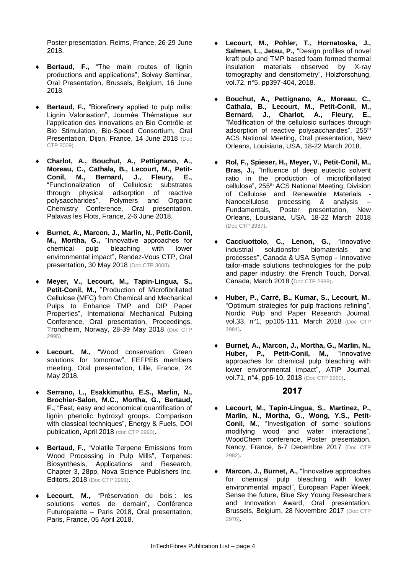Poster presentation, Reims, France, 26-29 June 2018.

- **Bertaud, F.,** "The main routes of lignin productions and applications", Solvay Seminar, Oral Presentation, Brussels, Belgium, 16 June 2018.
- **Bertaud, F.,** "Biorefinery applied to pulp mills: Lignin Valorisation", Journée Thématique sur l'application des innovations en Bio Contrôle et Bio Stimulation, Bio-Speed Consortium, Oral Presentation, Dijon, France, 14 June 2018 (Doc CTP 3009).
- **Charlot, A., Bouchut, A., Pettignano, A.,**  Moreau, C., Cathala, B., Lecourt, M., Petit-<br>Conil. M., Bernard. J., Fleury. E., **M., Bernard,** "Functionalization of Cellulosic substrates through physical adsorption of reactive<br>polysaccharides", Polymers and Organic Polymers and Organic Chemistry Conference, Oral presentation, Palavas les Flots, France, 2-6 June 2018.
- **Burnet, A., Marcon, J., Marlin, N., Petit-Conil, M., Mortha, G.,** "Innovative approaches for chemical pulp bleaching with lower environmental impact", Rendez-Vous CTP, Oral presentation, 30 May 2018 (Doc CTP 3008).
- **Meyer, V., Lecourt, M., Tapin-Lingua, S.,**  Petit-Conil, M., "Production of Microfibrillated Cellulose (MFC) from Chemical and Mechanical Pulps to Enhance TMP and DIP Paper Properties", International Mechanical Pulping Conference, Oral presentation, Proceedings, Trondheim, Norway, 28-39 May 2018 (Doc CTP 2995)
- **Lecourt, M.,** "Wood conservation: Green solutions for tomorrow", FEFPEB members meeting, Oral presentation, Lille, France, 24 May 2018.
- **Serrano, L., Esakkimuthu, E.S., Marlin, N., Brochier-Salon, M.C., Mortha, G., Bertaud, F.,** "Fast, easy and economical quantification of lignin phenolic hydroxyl groups. Comparison with classical techniques", Energy & Fuels, DOI publication, April 2018 (doc CTP 2993).
- **Bertaud, F.**, "Volatile Terpene Emissions from Wood Processing in Pulp Mills", Terpenes: Biosynthesis, Applications and Research, Chapter 3, 28pp, Nova Science Publishers Inc. Editors, 2018 (Doc CTP 2991).
- Lecourt, M., "Préservation du bois : les solutions vertes de demain", Conférence Futuropalette – Paris 2018, Oral presentation, Paris, France, 05 April 2018.
- **Lecourt, M., Pohler, T., Hornatoska, J., Salmen, L., Jetsu, P.,** "Design profiles of novel kraft pulp and TMP based foam formed thermal insulation materials observed by X-ray tomography and densitometry", Holzforschung, vol.72, n°5, pp397-404, 2018.
- **Bouchut, A., Pettignano, A., Moreau, C., Cathala, B., Lecourt, M., Petit-Conil, M., Bernard, J., Charlot, A., Fleury, E.,** "Modification of the cellulosic surfaces through adsorption of reactive polysaccharides", 255th ACS National Meeting, Oral presentation, New Orleans, Louisiana, USA, 18-22 March 2018.
- **Rol, F., Spieser, H., Meyer, V., Petit-Conil, M., Bras, J.,** "Influence of deep eutectic solvent ratio in the production of microfibrillated cellulose", 255 th ACS National Meeting, Division of Cellulose and Renewable Materials - Nanocellulose processing & analysis – Fundamentals, Poster presentation, New Orleans, Louisiana, USA, 18-22 March 2018 (Doc CTP 2987).
- **Cacciuottolo, C., Lenon, G.**, "Innovative industrial solutionsfor biomaterials and processes", Canada & USA Symop – Innovative tailor-made solutions technologies for the pulp and paper industry: the French Touch, Dorval, Canada, March 2018 (Doc CTP 2988).
- **Huber, P., Carré, B., Kumar, S., Lecourt, M.**, "Optimum strategies for pulp fractions refining", Nordic Pulp and Paper Research Journal, vol.33, n°1, pp105-111, March 2018 (Doc CTP 2981).
- **Burnet, A., Marcon, J., Mortha, G., Marlin, N., Huber, P., Petit-Conil, M.,** "Innovative approaches for chemical pulp bleaching with lower environmental impact", ATIP Journal, vol.71, n°4, pp6-10, 2018 (Doc CTP 2960).

- **Lecourt, M., Tapin-Lingua, S., Martinez, P., Marlin, N., Mortha, G., Wong, Y.S., Petit-Conil, M.**, "Investigation of some solutions modifying wood and water interactions", WoodChem conference, Poster presentation, Nancy, France, 6-7 Decembre 2017 (Doc CTP 2982).
- **Marcon, J., Burnet, A.,** "Innovative approaches for chemical pulp bleaching with lower environmental impact", European Paper Week, Sense the future, Blue Sky Young Researchers and Innovation Award, Oral presentation, Brussels, Belgium, 28 Novembre 2017 (Doc CTP 2976).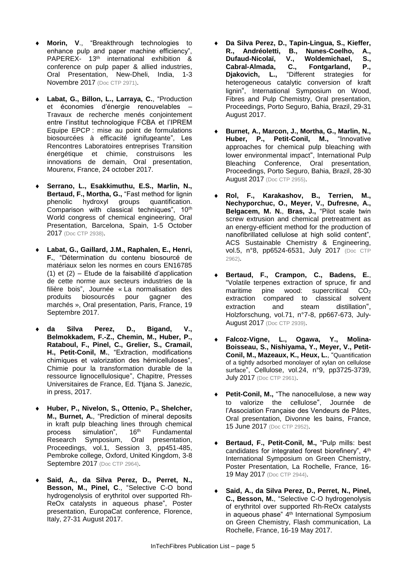- **Morin, V**., "Breakthrough technologies to enhance pulp and paper machine efficiency", PAPEREX- 13<sup>th</sup> international exhibition & conference on pulp paper & allied industries, Oral Presentation, New-Dheli, India, 1-3 Novembre 2017 (Doc CTP 2971).
- **Labat, G., Billon, L., Larraya, C.**, "Production et économies d'énergie renouvelables – Travaux de recherche menés conjointement entre l'institut technologique FCBA et l'IPREM Equipe EPCP : mise au point de formulations biosourcées à efficacité ignifugeante", Les Rencontres Laboratoires entreprises Transition énergétique et chimie, construisons les innovations de demain, Oral presentation, Mourenx, France, 24 october 2017.
- **Serrano, L., Esakkimuthu, E.S., Marlin, N., Bertaud, F., Mortha, G.,** "Fast method for lignin phenolic hydroxyl groups quantification. phenolic hydroxyl groups quantification. Comparison with classical techniques", 10<sup>th</sup> World congress of chemical engineering, Oral Presentation, Barcelona, Spain, 1-5 October 2017 (Doc CTP 2938).
- **Labat, G., Gaillard, J.M., Raphalen, E., Henri, F.**, "Détermination du contenu biosourcé de matériaux selon les normes en cours EN16785 (1) et (2) – Etude de la faisabilité d'application de cette norme aux secteurs industries de la filière bois", Journée « La normalisation des produits biosourcés pour gagner des marchés », Oral presentation, Paris, France, 19 Septembre 2017.
- **da Silva Perez, D., Bigand, V., Belmokkadem, F.-Z., Chemin, M., Huber, P., Rataboul, F., Pinel, C., Grelier, S., Cramail, H., Petit-Conil, M.**, "Extraction, modifications chimiques et valorization des hémicelluloses", Chimie pour la transformation durable de la ressource lignocellulosique", Chapitre, Presses Universitaires de France, Ed. Ttjana S. Janezic, in press, 2017.
- **Huber, P., Nivelon, S., Ottenio, P., Shelcher, M., Burnet, A.**, "Prediction of mineral deposits in kraft pulp bleaching lines through chemical process simulation",  $16<sup>th</sup>$  Fundamental process simulation", 16th Fundamental Research Symposium, Oral presentation, Proceedings, vol.1, Session 3, pp451-485, Pembroke college, Oxford, United Kingdom, 3-8 Septembre 2017 (Doc CTP 2964).
- **Said, A., da Silva Perez, D., Perret, N., Besson, M., Pinel, C**., "Selective C-O bond hydrogenolysis of erythritol over supported Rh-ReOx catalysts in aqueous phase", Poster presentation, EuropaCat conference, Florence, Italy, 27-31 August 2017.
- **Da Silva Perez, D., Tapin-Lingua, S., Kieffer, R., Andréoletti, B., Nunes-Coelho, A.,**  Dufaud-Nicolaï, V., Woldemichael, **Cabral-Almada, C., Fontgarland, P., Djakovich, L.,** "Different strategies for heterogeneous catalytic conversion of kraft lignin", International Symposium on Wood, Fibres and Pulp Chemistry, Oral presentation, Proceedings, Porto Seguro, Bahia, Brazil, 29-31 August 2017.
- **Burnet, A., Marcon, J., Mortha, G., Marlin, N.,**  Huber, P., Petit-Conil, M., approaches for chemical pulp bleaching with lower environmental impact", International Pulp Bleaching Conference, Oral presentation, Proceedings, Porto Seguro, Bahia, Brazil, 28-30 August 2017 (Doc CTP 2955).
- **Rol, F., Karakashov, B., Terrien, M., Nechyporchuc, O., Meyer, V., Dufresne, A., Belgacem, M. N.**, **Bras, J.,** "Pilot scale twin screw extrusion and chemical pretreatment as an energy-efficient method for the production of nanofibrillated cellulose at high solid content", ACS Sustainable Chemistry & Engineering, vol.5, n°8, pp6524-6531, July 2017 (Doc CTP 2962).
- **Bertaud, F., Crampon, C., Badens, E.**, "Volatile terpenes extraction of spruce, fir and maritime pine wood: supercritical  $CO<sub>2</sub>$ extraction compared to classical solvent extraction and steam distillation", Holzforschung, vol.71, n°7-8, pp667-673, July-August 2017 (Doc CTP 2939).
- **Falcoz-Vigne, L., Ogawa, Y., Molina-Boisseau, S., Nishiyama, Y., Meyer, V., Petit-Conil, M., Mazeaux, K., Heux, L.**, "Quantification of a tightly adsorbed monolayer of xylan on cellulose surface", Cellulose, vol.24, n°9, pp3725-3739, July 2017 (Doc CTP 2961).
- **Petit-Conil, M.,** "The nanocellulose, a new way to valorize the cellulose", Journée de l'Association Française des Vendeurs de Pâtes, Oral presentation, Divonne les bains, France, 15 June 2017 (Doc CTP 2952).
- **Bertaud, F., Petit-Conil, M.,** "Pulp mills: best candidates for integrated forest biorefinery", 4th International Symposium on Green Chemistry, Poster Presentation, La Rochelle, France, 16- 19 May 2017 (Doc CTP 2944).
- **Said, A., da Silva Perez, D., Perret, N., Pinel, C., Besson, M.**, "Selective C-O hydrogenolysis of erythritol over supported Rh-ReOx catalysts in aqueous phase" 4<sup>th</sup> International Symposium on Green Chemistry, Flash communication, La Rochelle, France, 16-19 May 2017.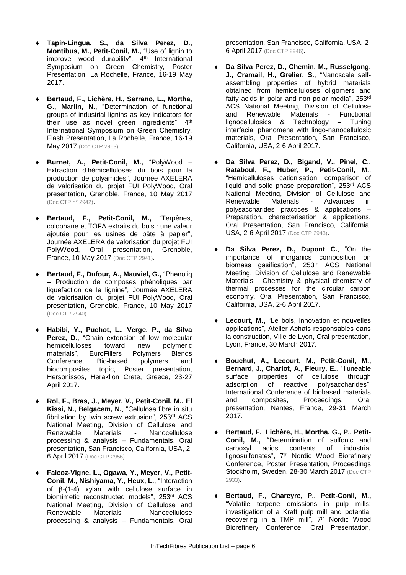- **Tapin-Lingua, S., da Silva Perez, D., Montibus, M., Petit-Conil, M.,** "Use of lignin to improve wood durability", 4<sup>th</sup> International Symposium on Green Chemistry, Poster Presentation, La Rochelle, France, 16-19 May 2017.
- **Bertaud, F., Lichère, H., Serrano, L., Mortha, G., Marlin, N.,** "Determination of functional groups of industrial lignins as key indicators for their use as novel green ingredients", 4<sup>th</sup> International Symposium on Green Chemistry, Flash Presentation, La Rochelle, France, 16-19 May 2017 (Doc CTP 2963).
- **Burnet, A., Petit-Conil, M.,** "PolyWood Extraction d'hémicelluloses du bois pour la production de polyamides", Journée AXELERA de valorisation du projet FUI PolyWood, Oral presentation, Grenoble, France, 10 May 2017 (Doc CTP n° 2942).
- **Bertaud, F., Petit-Conil, M.,** "Terpènes, colophane et TOFA extraits du bois : une valeur ajoutée pour les usines de pâte à papier", Journée AXELERA de valorisation du projet FUI PolyWood, Oral presentation, Grenoble, France, 10 May 2017 (Doc CTP 2941).
- **Bertaud, F., Dufour, A., Mauviel, G.,** "Phenoliq – Production de composes phénoliques par liquefaction de la lignine", Journée AXELERA de valorisation du projet FUI PolyWood, Oral presentation, Grenoble, France, 10 May 2017 (Doc CTP 2940).
- **Habibi, Y., Puchot, L., Verge, P., da Silva Perez, D.**, "Chain extension of low molecular hemicelluloses toward new polymeric materials", EuroFillers Polymers Blends Conference, Bio-based polymers and biocomposites topic, Poster presentation, Hersonissos, Heraklion Crete, Greece, 23-27 April 2017.
- **Rol, F., Bras, J., Meyer, V., Petit-Conil, M., El Kissi, N., Belgacem, N.**, "Cellulose fibre in situ fibrillation by twin screw extrusion", 253rd ACS National Meeting, Division of Cellulose and Renewable Materials - Nanocellulose processing & analysis – Fundamentals, Oral presentation, San Francisco, California, USA, 2- 6 April 2017 (Doc CTP 2956).
- **Falcoz-Vigne, L., Ogawa, Y., Meyer, V., Petit-Conil, M., Nishiyama, Y., Heux, L.**, "Interaction of  $\beta$ -(1-4) xylan with cellulose surface in biomimetic reconstructed models", 253rd ACS National Meeting, Division of Cellulose and Renewable Materials - Nanocellulose processing & analysis – Fundamentals, Oral

presentation, San Francisco, California, USA, 2- 6 April 2017 (Doc CTP 2946).

- **Da Silva Perez, D., Chemin, M., Russelgong, J., Cramail, H., Grelier, S.**, "Nanoscale selfassembling properties of hybrid materials obtained from hemicelluloses oligomers and fatty acids in polar and non-polar media", 253rd ACS National Meeting, Division of Cellulose and Renewable Materials - Functional lignocellulosics & Technology – Tuning interfacial phenomena with lingo-nanocellulosic materials, Oral Presentation, San Francisco, California, USA, 2-6 April 2017.
- **Da Silva Perez, D., Bigand, V., Pinel, C., Rataboul, F., Huber, P., Petit-Conil, M.**, "Hemicelluloses cationisation: comparison of liquid and solid phase preparation", 253rd ACS National Meeting, Division of Cellulose and Renewable Materials - Advances in polysaccharides practices & applications – Preparation, characterisation & applications, Oral Presentation, San Francisco, California, USA, 2-6 April 2017 (Doc CTP 2943).
- **Da Silva Perez, D., Dupont C.**, "On the importance of inorganics composition on biomass gasification", 253rd ACS National Meeting, Division of Cellulose and Renewable Materials - Chemistry & physical chemistry of thermal processes for the circular carbon economy, Oral Presentation, San Francisco, California, USA, 2-6 April 2017.
- **Lecourt, M.,** "Le bois, innovation et nouvelles applications", Atelier Achats responsables dans la construction, Ville de Lyon, Oral presentation, Lyon, France, 30 March 2017.
- **Bouchut, A., Lecourt, M., Petit-Conil, M., Bernard, J., Charlot, A., Fleury, E.**, "Tuneable surface properties of cellulose through adsorption of reactive polysaccharides", International Conference of biobased materials and composites, Proceedings, Oral presentation, Nantes, France, 29-31 March 2017.
- **Bertaud, F.**, **Lichère, H., Mortha, G., P., Petit-Conil, M.,** "Determination of sulfonic and carboxyl acids contents of industrial lignosulfonates", 7<sup>th</sup> Nordic Wood Biorefinery Conference, Poster Presentation, Proceedings Stockholm, Sweden, 28-30 March 2017 (Doc CTP 2933).
- **Bertaud, F.**, **Chareyre, P., Petit-Conil, M.,** "Volatile terpene emissions in pulp mills: investigation of a Kraft pulp mill and potential recovering in a TMP mill", 7<sup>th</sup> Nordic Wood Biorefinery Conference, Oral Presentation,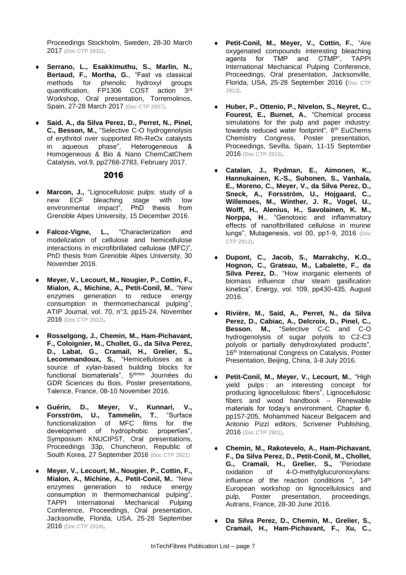Proceedings Stockholm, Sweden, 28-30 March 2017 (Doc CTP 2932).

- **Serrano, L., Esakkimuthu, S., Marlin, N., Bertaud, F., Mortha, G.**, "Fast vs classical methods for phenolic hydroxyl groups quantification, FP1306 COST action 3rd Workshop, Oral presentation, Torremolinos, Spain, 27-28 March 2017 (Doc CTP 2937).
- **Said, A., da Silva Perez, D., Perret, N., Pinel, C., Besson, M.,** "Selective C-O hydrogenolysis of erythritol over supported Rh-ReOx catalysts<br>in anueous phase". Heterogeneous & in aqueous phase", Heterogeneous Homogeneous & Bio & Nano ChemCatChem Catalysis, vol.9, pp2768-2783, February 2017.

- **Marcon, J.,** "Lignocellulosic pulps: study of a<br>new ECF bleaching stage with low new ECF bleaching stage environmental impact", PhD thesis from Grenoble Alpes University, 15 December 2016.
- **Falcoz-Vigne, L.,** "Characterization and modelization of cellulose and hemicellulose interactions in microfibrillated cellulose (MFC)", PhD thesis from Grenoble Alpes University, 30 November 2016.
- **Meyer, V., Lecourt, M., Nougier, P., Cottin, F., Mialon, A., Michine, A., Petit-Conil, M.**, "New enzymes generation to reduce energy consumption in thermomechanical pulping", ATIP Journal, vol. 70, n°3, pp15-24, November 2016 (Doc CTP 2922).
- **Rosselgong, J., Chemin, M., Ham-Pichavant, F., Coloignier, M., Chollet, G., da Silva Perez, D., Labat, G., Cramail, H., Grelier, S., Lecommandoux, S.**, "Hemicelluloses as a source of xylan-based building blocks for functional biomaterials", 5<sup>ièmes</sup> Journées du GDR Sciences du Bois, Poster presentations, Talence, France, 08-10 November 2016.
- **Guérin, D., Meyer, V., Kunnari, V., Forsström, U., Tammelin, T.**, "Surface functionalization of MFC films for the development of hydrophobic properties", Symposium KNUCIPST, Oral presentations, Proceedings 33p, Chuncheon, Republic of South Korea, 27 September 2016 (Doc CTP 2921)
- **Meyer, V., Lecourt, M., Nougier, P., Cottin, F., Mialon, A., Michine, A., Petit-Conil, M.**, "New enzymes generation to reduce energy consumption in thermomechanical pulping", TAPPI International Mechanical Pulping Conference, Proceedings, Oral presentation, Jacksonville, Florida, USA, 25-28 September 2016 (Doc CTP 2914).
- **Petit-Conil, M., Meyer, V., Cottin, F.**, "Are oxygenated compounds interesting bleaching<br>agents for TMP and CTMP", TAPPI agents for TMP and CTMP", TAPPI International Mechanical Pulping Conference, Proceedings, Oral presentation, Jacksonville, Florida, USA, 25-28 September 2016 (Doc CTP 2913).
- **Huber, P., Ottenio, P., Nivelon, S., Neyret, C., Fourest, E., Burnet, A.**, "Chemical process simulations for the pulp and paper industry: towards reduced water footprint", 6th EuChems Chemistry Congress, Poster presentation, Proceedings, Sevilla, Spain, 11-15 September 2016 (Doc CTP 2915).
- **Catalan, J., Rydman, E., Aimonen, K., Hannukainen, K.-S., Suhonen, S., Vanhala, E., Moreno, C., Meyer, V., da Silva Perez, D., Sneck, A., Forsström, U., Hojgaard, C., Willemoes, M., Winther, J. R., Vogel, U., Wolff, H., Alenius, H., Savolainen, K. M., Norppa, H**., "Genotoxic and inflammatory effects of nanofibrillated cellulose in murine lungs", Mutagenesis, vol 00, pp1-9, 2016 (Doc CTP 2912).
- **Dupont, C., Jacob, S., Marrakchy, K.O., Hognon, C., Grateau, M., Labalette, F., da Silva Perez, D.**, "How inorganic elements of biomass influence char steam gasification kinetics", Energy, vol. 109, pp430-435, August 2016.
- **Rivière, M., Said, A., Perret, N., da Silva Perez, D., Cabiac, A., Delcroix, D., Pinel, C., Besson. M.,** "Selective C-C and C-O hydrogenolysis of sugar polyols to C2-C3 polyols or partially dehydroxylated products", 16<sup>th</sup> International Congress on Catalysis, Poster Presentation, Beijing, China, 3-8 July 2016.
- **Petit-Conil, M., Meyer, V., Lecourt, M.**, "High yield pulps : an interesting concept for producing lignocellulosic fibers", Lignocellulosic fibers and wood handbook – Renewable materials for today's environment, Chapter 6, pp157-205, Mohammed Naceur Belgacem and Antonio Pizzi editors, Scrivener Publishing, 2016 (Doc CTP 2901).
- **Chemin, M., Rakotevelo, A., Ham-Pichavant, F., Da Silva Perez, D., Petit-Conil, M., Chollet, G., Cramail, H., Grelier, S.,** "Periodate oxidation of 4-O-methylglucuronoxylans: influence of the reaction conditions ", 14<sup>th</sup> European workshop on lignocellulosics and pulp, Poster presentation, proceedings, Autrans, France, 28-30 June 2016.
- **Da Silva Perez, D., Chemin, M., Grelier, S., Cramail, H., Ham-Pichavant, F., Xu, C.,**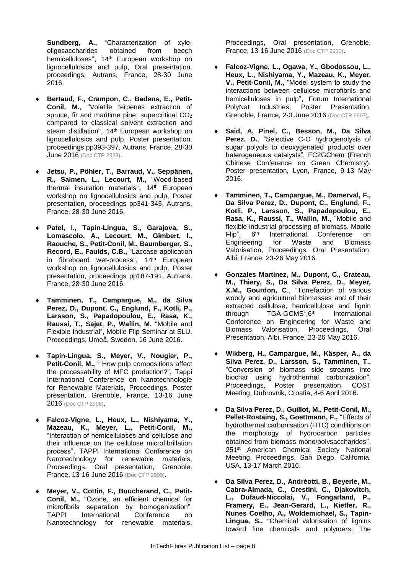**Sundberg, A.,** "Characterization of xylo-<br>oligosaccharides obtained from beech oligosaccharides obtained from beech hemicelluloses", 14<sup>th</sup> European workshop on lignocellulosics and pulp, Oral presentation, proceedings, Autrans, France, 28-30 June 2016.

- **Bertaud, F., Crampon, C., Badens, E., Petit-Conil, M.**, "Volatile terpenes extraction of spruce, fir and maritime pine: supercritical  $CO<sub>2</sub>$ compared to classical solvent extraction and steam distillation", 14<sup>th</sup> European workshop on lignocellulosics and pulp, Poster presentation, proceedings pp393-397, Autrans, France, 28-30 **June 2016** (Doc CTP 2923).
- **Jetsu, P., Pöhler, T., Barraud, V., Seppänen, R., Salmen, L., Lecourt, M.,** "Wood-based thermal insulation materials", 14<sup>th</sup> European workshop on lignocellulosics and pulp, Poster presentation, proceedings pp341-345, Autrans, France, 28-30 June 2016.
- **Patel, I., Tapin-Lingua, S., Garajova, S., Lomascolo, A., Lecourt, M., Gimbert, I., Raouche, S., Petit-Conil, M., Baumberger, S., Record, E., Faulds, C.B.,** "Laccase application in fibreboard wet-process", 14<sup>th</sup> European workshop on lignocellulosics and pulp, Poster presentation, proceedings pp187-191, Autrans, France, 28-30 June 2016.
- **Tamminen, T., Campargue, M., da Silva Perez, D., Dupont, C., Englund, F., Kotli, P., Larsson, S., Papadopoulou, E., Rasa, K., Raussi, T., Sajet, P., Wallin, M.** "Mobile and Flexible Industrial", Mobile Flip Seminar at SLU, Proceedings, Umeå, Sweden, 16 June 2016.
- **Tapin-Lingua, S., Meyer, V., Nougier, P., Petit-Conil, M.,** " How pulp compositions affect the processability of MFC production?", Tappi International Conference on Nanotechnologie for Renewable Materials, Proceedings, Poster presentation, Grenoble, France, 13-16 June 2016 (Doc CTP 2908).
- **Falcoz-Vigne, L., Heux, L., Nishiyama, Y., Mazeau, K., Meyer, L., Petit-Conil, M.,** "Interaction of hemicelluloses and cellulose and their influence on the cellulose microfibrillation process", TAPPI International Conference on Nanotechnology for renewable materials, Proceedings, Oral presentation, Grenoble, France, 13-16 June 2016 (Doc CTP 2909).
- **Meyer, V., Cottin, F., Boucherand, C., Petit-Conil, M.,** "Ozone, an efficient chemical for microfibrils separation by homogenization", TAPPI International Conference on Nanotechnology for renewable materials,

Proceedings, Oral presentation, Grenoble, France, 13-16 June 2016 (Doc CTP 2910).

- **Falcoz-Vigne, L., Ogawa, Y., Gbodossou, L., Heux, L., Nishiyama, Y., Mazeau, K., Meyer, V., Petit-Conil, M.,** "Model system to study the interactions between cellulose microfibrils and hemicelluloses in pulp", Forum International PolyNat Industries, Poster Presentation, Grenoble, France, 2-3 June 2016 (Doc CTP 2907).
- **Said, A, Pinel, C., Besson, M., Da Silva Perez. D.**, "Selective C-O hydrogenolysis of sugar polyols to deoxygenated products over heterogeneous catalysts", FC2GChem (French Chinese Conference on Green Chemistry), Poster presentation, Lyon, France, 9-13 May 2016.
- **Tamminen, T., Campargue, M., Damerval, F., Da Silva Perez, D., Dupont, C., Englund, F., Kotli, P., Larsson, S., Papadopoulou, E., Rasa, K., Raussi, T., Wallin, M.,** "Mobile and flexible industrial processing of biomass, Mobile Flip", 6 International Conference on<br>for Waste and Biomass Engineering for Waste and Biomass Valorisation, Proceedings, Oral Presentation, Albi, France, 23-26 May 2016.
- **Gonzales Martinez, M., Dupont, C., Crateau, M., Thiery, S., Da Silva Perez, D., Meyer, X.M., Gourdon, C**., "Torrefaction of various woody and agricultural biomasses and of their extracted cellulose, hemicellulose and lignin through **TGA-GCMS**", 6<sup>th</sup> International Conference on Engineering for Waste and Biomass Valorisation, Proceedings, Oral Presentation, Albi, France, 23-26 May 2016.
- **Wikberg, H., Campargue, M., Käsper, A., da Silva Perez, D., Larsson, S., Tamminen, T.,**  "Conversion of biomass side streams into biochar using hydrothermal carbonization", Proceedings, Poster presentation, COST Meeting, Dubrovnik, Croatia, 4-6 April 2016.
- **Da Silva Perez, D., Guillot, M., Petit-Conil, M., Pellet-Rostaing, S., Goettmann, F.,** "Effects of hydrothermal carbonisation (HTC) conditions on the morphology of hydrocarbon particles obtained from biomass mono/polysaccharides", 251st American Chemical Society National Meeting, Proceedings, San Diego, California, USA, 13-17 March 2016.
- **Da Silva Perez, D., Andréotti, B., Beyerle, M., Cabra-Almada, C., Crestini, C., Djakovitch, L., Dufaud-Niccolai, V., Fongarland, P., Framery, E., Jean-Gerard, L., Kieffer, R., Nunes Coelho, A., Woldemichael, S., Tapin-Lingua, S.,** "Chemical valorisation of lignins toward fine chemicals and polymers: The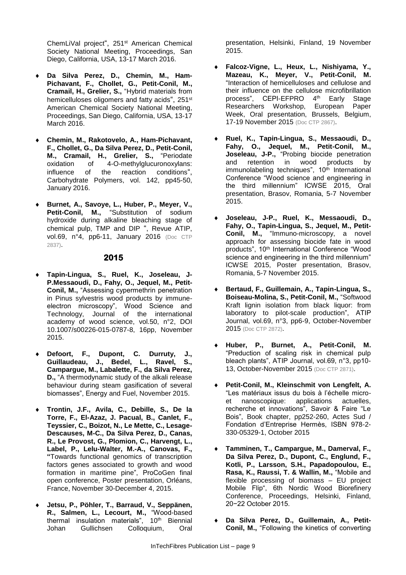ChemLiVal project", 251st American Chemical Society National Meeting, Proceedings, San Diego, California, USA, 13-17 March 2016.

- **Da Silva Perez, D., Chemin, M., Ham-Pichavant, F., Chollet, G., Petit-Conil, M., Cramail, H., Grelier, S.,** "Hybrid materials from hemicelluloses oligomers and fatty acids", 251<sup>st</sup> American Chemical Society National Meeting, Proceedings, San Diego, California, USA, 13-17 March 2016.
- **Chemin, M., Rakotovelo, A., Ham-Pichavant, F., Chollet, G., Da Silva Perez, D., Petit-Conil, M., Cramail, H., Grelier, S.,** "Periodate oxidation of 4-O-methylglucuronoxylans: 4-O-methylglucuronoxylans: influence of the reaction conditions", Carbohydrate Polymers, vol. 142, pp45-50, January 2016.
- **Burnet, A., Savoye, L., Huber, P., Meyer, V.,**  Petit-Conil, M., "Substitution of sodium hydroxide during alkaline bleaching stage of chemical pulp, TMP and DIP ", Revue ATIP, vol.69, n°4, pp6-11, January 2016 (Doc CTP 2837).

## **2015**

- **Tapin-Lingua, S., Ruel, K., Joseleau, J-P.Messaoudi, D., Fahy, O., Jequel, M., Petit-Conil, M.,** "Assessing cypermethrin penetration in Pinus sylvestris wood products by immuneelectron microscopy", Wood Science and Technology, Journal of the international academy of wood science, vol.50, n°2, DOI 10.1007/s00226-015-0787-8, 16pp, November 2015.
- **Defoort, F., Dupont, C. Durruty, J., Guillaudeau, J., Bedel, L., Ravel, S., Campargue, M., Labalette, F., da Silva Perez, D.,** "A thermodynamic study of the alkali release behaviour during steam gasification of several biomasses", Energy and Fuel, November 2015.
- **Trontin, J.F., Avila, C., Debille, S., De la Torre, F., El-Azaz, J. Pacual, B., Canlet, F., Teyssier, C., Boizot, N., Le Mette, C., Lesage-Descauses, M-C., Da Silva Perez, D., Canas, R., Le Provost, G., Plomion, C., Harvengt, L., Label, P., Lelu-Walter, M.-A., Canovas, F., "**Towards functional genomics of transcription factors genes associated to growth and wood formation in maritime pine", ProCoGen final open conference, Poster presentation, Orléans, France, November 30-December 4, 2015.
- **Jetsu, P., Pöhler, T., Barraud, V., Seppänen, R., Salmen, L., Lecourt, M.,** "Wood-based thermal insulation materials", 10<sup>th</sup> Biennial Johan Gullichsen Colloquium, Oral

presentation, Helsinki, Finland, 19 November 2015.

- **Falcoz-Vigne, L., Heux, L., Nishiyama, Y., Mazeau, K., Meyer, V., Petit-Conil, M.**  "Interaction of hemicelluloses and cellulose and their influence on the cellulose microfibrillation process", CEPI-EFPRO 4<sup>th</sup> Early Stage Researchers Workshop, European Paper Week, Oral presentation, Brussels, Belgium, 17-19 November 2015 (Doc CTP 2867).
- **Ruel, K., Tapin-Lingua, S., Messaoudi, D., Fahy, O., Jequel, M., Petit-Conil, M., Joseleau, J-P.,** "Probing biocide penetration and retention in wood products by immunolabeling techniques", 10<sup>th</sup> International Conference "Wood science and engineering in the third millennium" ICWSE 2015, Oral presentation, Brasov, Romania, 5-7 November 2015.
- **Joseleau, J-P., Ruel, K., Messaoudi, D., Fahy, O., Tapin-Lingua, S., Jequel, M., Petit-Conil, M.,** "Immuno-microscopy, a novel approach for assessing biocide fate in wood products", 10<sup>th</sup> International Conference "Wood science and engineering in the third millennium" ICWSE 2015, Poster presentation, Brasov, Romania, 5-7 November 2015.
- **Bertaud, F., Guillemain, A., Tapin-Lingua, S., Boiseau-Molina, S., Petit-Conil, M.,** "Softwood Kraft lignin isolation from black liquor: from laboratory to pilot-scale production", ATIP Journal, vol.69, n°3, pp6-9, October-November 2015 (Doc CTP 2872).
- **Huber, P., Burnet, A., Petit-Conil, M.**  "Preduction of scaling risk in chemical pulp bleach plants", ATIP Journal, vol.69, n°3, pp10- 13, October-November 2015 (Doc CTP 2871).
- **Petit-Conil, M., Kleinschmit von Lengfelt, A.**  "Les matériaux issus du bois à l'échelle microet nanoscopique: applications actuelles, recherche et innovations", Savoir & Faire "Le Bois", Book chapter, pp252-260, Actes Sud / Fondation d'Entreprise Hermès, ISBN 978-2- 330-05329-1, October 2015
- **Tamminen, T., Campargue, M., Damerval, F., Da Silva Perez, D., Dupont, C., Englund, F., Kotli, P., Larsson, S.H., Papadopoulou, E., Rasa, K., Raussi, T. & Wallin, M.,** "Mobile and flexible processing of biomass – EU project Mobile Flip", 6th Nordic Wood Biorefinery Conference, Proceedings, Helsinki, Finland, 20−22 October 2015.
- **Da Silva Perez, D., Guillemain, A., Petit-Conil, M.,** "Following the kinetics of converting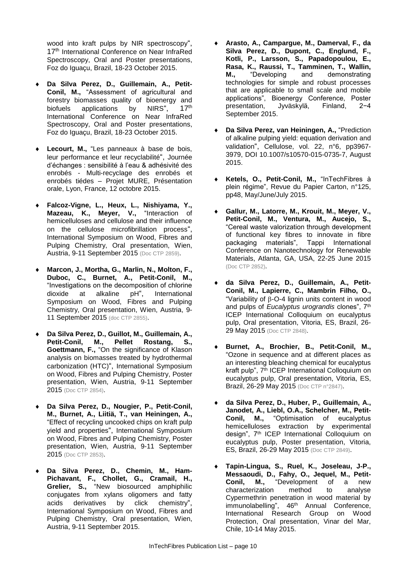wood into kraft pulps by NIR spectroscopy", 17<sup>th</sup> International Conference on Near InfraRed Spectroscopy, Oral and Poster presentations, Foz do Iguaçu, Brazil, 18-23 October 2015.

- **Da Silva Perez, D., Guillemain, A., Petit-Conil, M.,** "Assessment of agricultural and forestry biomasses quality of bioenergy and<br>biofuels applications by NIRS". 17<sup>th</sup> biofuels applications by NIRS", International Conference on Near InfraRed Spectroscopy, Oral and Poster presentations, Foz do Iguaçu, Brazil, 18-23 October 2015.
- **Lecourt, M.,** "Les panneaux à base de bois, leur performance et leur recyclabilité", Journée d'échanges : sensibilité à l'eau & adhésivité des enrobés - Multi-recyclage des enrobés et enrobés tiédes – Projet MURE, Présentation orale, Lyon, France, 12 octobre 2015.
- **Falcoz-Vigne, L., Heux, L., Nishiyama, Y., Mazeau, K., Meyer, V.,** "Interaction of hemicelluloses and cellulose and their influence on the cellulose microfibrillation process", International Symposium on Wood, Fibres and Pulping Chemistry, Oral presentation, Wien, Austria, 9-11 September 2015 (Doc CTP 2859).
- **Marcon, J., Mortha, G., Marlin, N., Molton, F., Duboc, C., Burnet, A., Petit-Conil, M.,** "Investigations on the decomposition of chlorine dioxide at alkaline pH", International Symposium on Wood, Fibres and Pulping Chemistry, Oral presentation, Wien, Austria, 9- 11 September 2015 (doc CTP 2855).
- **Da Silva Perez, D., Guillot, M., Guillemain, A., Petit-Conil, M., Goettmann, F.,** "On the significance of Klason analysis on biomasses treated by hydrothermal carbonization (HTC)", International Symposium on Wood, Fibres and Pulping Chemistry, Poster presentation, Wien, Austria, 9-11 September 2015 (Doc CTP 2854).
- **Da Silva Perez, D., Nougier, P., Petit-Conil, M., Burnet, A., Liitiä, T., van Heiningen, A.,** "Effect of recycling uncooked chips on kraft pulp yield and properties", International Symposium on Wood, Fibres and Pulping Chemistry, Poster presentation, Wien, Austria, 9-11 September 2015 (Doc CTP 2853).
- **Da Silva Perez, D., Chemin, M., Ham-Pichavant, F., Chollet, G., Cramail, H., Grelier, S.,** "New biosourced amphiphilic conjugates from xylans oligomers and fatty acids derivatives by click chemistry", International Symposium on Wood, Fibres and Pulping Chemistry, Oral presentation, Wien, Austria, 9-11 September 2015.
- **Arasto, A., Campargue, M., Damerval, F., da Silva Perez, D., Dupont, C., Englund, F., Kotli, P., Larsson, S., Papadopoulou, E., Rasa, K., Raussi, T., Tamminen, T., Wallin, M.,** "Developing and demonstrating technologies for simple and robust processes that are applicable to small scale and mobile applications", Bioenergy Conference, Poster<br>presentation, Jyväskylä, Finland, 2-4 presentation, Jyväskylä, Finland, 2−4 September 2015.
- **Da Silva Perez, van Heiningen, A.,** "Prediction of alkaline pulping yield: equation derivation and validation", Cellulose, vol. 22, n°6, pp3967- 3979, DOI 10.1007/s10570-015-0735-7, August 2015.
- **Ketels, O., Petit-Conil, M.,** "InTechFibres à plein régime", Revue du Papier Carton, n°125, pp48, May/June/July 2015.
- **Gallur, M., Latorre, M., Krouit, M., Meyer, V., Petit-Conil, M., Ventura, M., Aucejo, S.,**  "Cereal waste valorization through development of functional key fibres to innovate in fibre packaging materials", Tappi International Conference on Nanotechnology for Renewable Materials, Atlanta, GA, USA, 22-25 June 2015 (Doc CTP 2852).
- **da Silva Perez, D., Guillemain, A., Petit-Conil, M., Lapierre, C., Mambrin Filho, O.,** "Variability of  $\beta$ -O-4 lignin units content in wood and pulps of *Eucalyptus urograndis* clones", 7th ICEP International Colloquium on eucalyptus pulp, Oral presentation, Vitoria, ES, Brazil, 26- 29 May 2015 (Doc CTP 2848).
- **Burnet, A., Brochier, B., Petit-Conil, M.,** "Ozone in sequence and at different places as an interesting bleaching chemical for eucalyptus kraft pulp", 7 th ICEP International Colloquium on eucalyptus pulp, Oral presentation, Vitoria, ES, Brazil, 26-29 May 2015 (Doc CTP n°2847).
- **da Silva Perez, D., Huber, P., Guillemain, A.,**  Janodet, A., Liebl, O.A., Schelcher, M., Petit-<br>Conil, M., "Optimisation of eucalyptus **Conil, M.,** "Optimisation of eucalyptus hemicelluloses extraction by experimental design", 7th ICEP International Colloquium on eucalyptus pulp, Poster presentation, Vitoria, ES, Brazil, 26-29 May 2015 (Doc CTP 2849).
- **Tapin-Lingua, S., Ruel, K., Joseleau, J-P., Messaoudi, D., Fahy, O., Jequel, M., Petit-Conil, M.,** "Development of a new characterization method to analyse Cypermethrin penetration in wood material by immunolabelling", 46<sup>th</sup> Annual Conference, International Research Group on Wood Protection, Oral presentation, Vinar del Mar, Chile, 10-14 May 2015.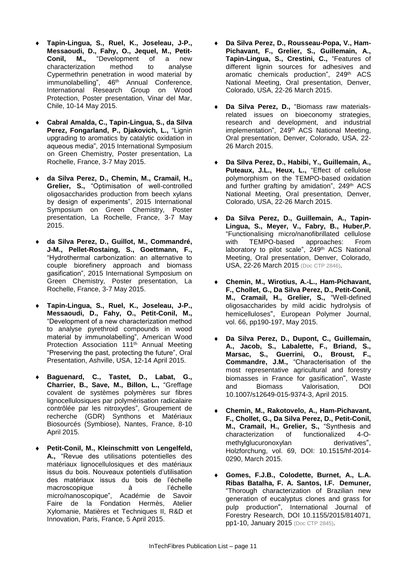- **Tapin-Lingua, S., Ruel, K., Joseleau, J-P., Messaoudi, D., Fahy, O., Jequel, M., Petit-Conil, M.,** "Development of a new characterization method to analyse Cypermethrin penetration in wood material by immunolabelling", 46<sup>th</sup> Annual Conference, International Research Group on Wood Protection, Poster presentation, Vinar del Mar, Chile, 10-14 May 2015.
- **Cabral Amalda, C., Tapin-Lingua, S., da Silva Perez, Fongarland, P., Djakovich, L.,** "Lignin upgrading to aromatics by catalytic oxidation in aqueous media", 2015 International Symposium on Green Chemistry, Poster presentation, La Rochelle, France, 3-7 May 2015.
- **da Silva Perez, D., Chemin, M., Cramail, H., Grelier, S.,** "Optimisation of well-controlled oligosaccharides production from beech xylans by design of experiments", 2015 International Symposium on Green Chemistry, Poster presentation, La Rochelle, France, 3-7 May 2015.
- **da Silva Perez, D., Guillot, M., Commandré, J-M., Pellet-Rostaing, S., Goettmann, F.,**  "Hydrothermal carbonization: an alternative to couple biorefinery approach and biomass gasification", 2015 International Symposium on Green Chemistry, Poster presentation, La Rochelle, France, 3-7 May 2015.
- **Tapin-Lingua, S., Ruel, K., Joseleau, J-P., Messaoudi, D., Fahy, O., Petit-Conil, M.,**  "Development of a new characterization method to analyse pyrethroid compounds in wood material by immunolabelling", American Wood Protection Association 111<sup>th</sup> Annual Meeting "Preserving the past, protecting the future", Oral Presentation, Ashville, USA, 12-14 April 2015.
- **Baguenard, C., Tastet, D., Labat, G., Charrier, B., Save, M., Billon, L.,** "Greffage covalent de systèmes polymères sur fibres lignocellulosiques par polymérisation radicalaire contrôlée par les nitroxydes", Groupement de recherche (GDR) Synthons et Matériaux Biosourcés (Symbiose), Nantes, France, 8-10 April 2015.
- **Petit-Conil, M., Kleinschmitt von Lengelfeld, A.,** "Revue des utilisations potentielles des matériaux lignocellulosiques et des matériaux issus du bois. Nouveaux potentiels d'utilisation des matériaux issus du bois de l'échelle macroscopique à l'échelle micro/nanoscopique", Académie de Savoir Faire de la Fondation Hermès, Atelier Xylomanie, Matières et Techniques II, R&D et Innovation, Paris, France, 5 April 2015.
- **Da Silva Perez, D., Rousseau-Popa, V., Ham-Pichavant, F., Grelier, S., Guillemain, A., Tapin-Lingua, S., Crestini, C.,** "Features of different lignin sources for adhesives and aromatic chemicals production", 249<sup>th</sup> ACS National Meeting, Oral presentation, Denver, Colorado, USA, 22-26 March 2015.
- **Da Silva Perez, D.,** "Biomass raw materialsrelated issues on bioeconomy strategies, research and development, and industrial implementation", 249th ACS National Meeting, Oral presentation, Denver, Colorado, USA, 22- 26 March 2015.
- **Da Silva Perez, D., Habibi, Y., Guillemain, A.,**  Puteaux, J.L., Heux, L., "Effect of cellulose polymorphism on the TEMPO-based oxidation and further grafting by amidation", 249<sup>th</sup> ACS National Meeting, Oral presentation, Denver, Colorado, USA, 22-26 March 2015.
- **Da Silva Perez, D., Guillemain, A., Tapin-Lingua, S., Meyer, V., Fabry, B., Huber,P.** "Functionalising micro/nanofibrillated cellulose approaches: laboratory to pilot scale", 249<sup>th</sup> ACS National Meeting, Oral presentation, Denver, Colorado, USA, 22-26 March 2015 (Doc CTP 2846).
- **Chemin, M., Wirotius, A.-L., Ham-Pichavant, F., Chollet, G., Da Silva Perez, D., Petit-Conil, M., Cramail, H., Grelier, S.,** "Well-defined oligosaccharides by mild acidic hydrolysis of hemicelluloses", European Polymer Journal, vol. 66, pp190-197, May 2015.
- **Da Silva Perez, D., Dupont, C., Guillemain, A., Jacob, S., Labalette, F., Briand, S., Marsac, S., Guerrini, O., Broust, F., Commandre, J.M.,** "Characterisation of the most representative agricultural and forestry biomasses in France for gasification", Waste and Biomass Valorisation, DOI 10.1007/s12649-015-9374-3, April 2015.
- **Chemin, M., Rakotovelo, A., Ham-Pichavant, F., Chollet, G., Da Silva Perez, D., Petit-Conil, M., Cramail, H., Grelier, S.,** "Synthesis and characterization of functionalized 4-Omethylglucuronoxylan derivatives", Holzforchung, vol. 69, DOI: 10.1515/hf-2014- 0290, March 2015.
- **Gomes, F.J.B., Colodette, Burnet, A., L.A. Ribas Batalha, F. A. Santos, I.F. Demuner,**  "Thorough characterization of Brazilian new generation of eucalyptus clones and grass for pulp production", International Journal of Forestry Research, DOI 10.1155/2015/814071, pp1-10, January 2015 (Doc CTP 2845).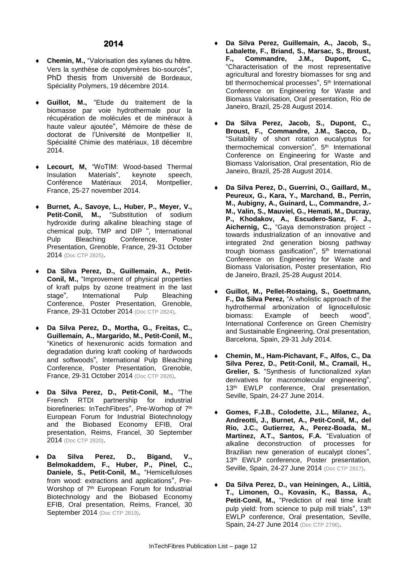- **Chemin, M.,** "Valorisation des xylanes du hêtre. Vers la synthèse de copolymères bio-sourcés", PhD thesis from Université de Bordeaux, Spéciality Polymers, 19 décembre 2014.
- **Guillot, M.,** "Etude du traitement de la biomasse par voie hydrothermale pour la récupération de molécules et de minéraux à haute valeur ajoutée", Mémoire de thèse de doctorat de l'Université de Montpellier II, Spécialité Chimie des matériaux, 18 décembre 2014.
- **Lecourt, M,** "WoTIM: Wood-based Thermal Insulation Materials", keynote speech,<br>Conférence Matériaux 2014, Montpellier, Conférence Matériaux France, 25-27 november 2014.
- **Burnet, A., Savoye, L., Huber, P., Meyer, V., Petit-Conil, M.,** "Substitution of sodium hydroxide during alkaline bleaching stage of chemical pulp, TMP and DIP ", International<br>Pulp Bleaching Conference, Poster Pulp Bleaching Conference, Poster Presentation, Grenoble, France, 29-31 October 2014 (Doc CTP 2825).
- **Da Silva Perez, D., Guillemain, A., Petit-Conil, M.,** "Improvement of physical properties of kraft pulps by ozone treatment in the last stage", International Pulp Bleaching Conference, Poster Presentation, Grenoble, France, 29-31 October 2014 (Doc CTP 2824).
- **Da Silva Perez, D., Mortha, G., Freitas, C., Guillemain, A., Margarido, M., Petit-Conil, M.,**  "Kinetics of hexenuronic acids formation and degradation during kraft cooking of hardwoods and softwoods", International Pulp Bleaching Conference, Poster Presentation, Grenoble, France, 29-31 October 2014 (Doc CTP 2826).
- **Da Silva Perez, D., Petit-Conil, M.,** "The French RTDI partnership for industrial biorefineries: InTechFibres", Pre-Worhop of 7<sup>th</sup> European Forum for Industrial Biotechnology and the Biobased Economy EFIB, Oral presentation, Reims, Francel, 30 September 2014 (Doc CTP 2820).
- **Da Silva Perez, D., Bigand, V., Belmokaddem, F., Huber, P., Pinel, C., Daniele, S., Petit-Conil, M.,** "Hemicelluloses from wood: extractions and applications", Pre-Worshop of 7<sup>th</sup> European Forum for Industrial Biotechnology and the Biobased Economy EFIB, Oral presentation, Reims, Francel, 30 September 2014 (Doc CTP 2819).
- **Da Silva Perez, Guillemain, A., Jacob, S., Labalette, F., Briand, S., Marsac, S., Broust, F., Commandre, J.M., Dupont, C.,**  "Characterisation of the most representative agricultural and forestry biomasses for sng and btl thermochemical processes", 5<sup>th</sup> International Conference on Engineering for Waste and Biomass Valorisation, Oral presentation, Rio de Janeiro, Brazil, 25-28 August 2014.
- **Da Silva Perez, Jacob, S., Dupont, C., Broust, F., Commandre, J.M., Sacco, D.,**  "Suitability of short rotation eucalyptus for thermochemical conversion", 5<sup>th</sup> International Conference on Engineering for Waste and Biomass Valorisation, Oral presentation, Rio de Janeiro, Brazil, 25-28 August 2014.
- **Da Silva Perez, D., Guerrini, O., Gaillard, M., Peureux, G., Kara, Y., Marchand, B., Perrin, M., Aubigny, A., Guinard, L., Commandre, J.- M., Valin, S., Mauviel, G., Hemati, M., Ducray, P., Khodakov, A., Escudero-Sanz, F. J., Aichernig, C.,** "Gaya demonstration project towards industrialization of an innovative and integrated 2nd generation biosng pathway trough biomass gasification", 5<sup>th</sup> International Conference on Engineering for Waste and Biomass Valorisation, Poster presentation, Rio de Janeiro, Brazil, 25-28 August 2014.
- **Guillot, M., Pellet-Rostaing, S., Goettmann, F., Da Silva Perez,** "A wholistic approach of the hydrothermal arbonization of lignocellulosic biomass: Example of beech wood", International Conference on Green Chemistry and Sustainable Engineering, Oral presentation, Barcelona, Spain, 29-31 July 2014.
- **Chemin, M., Ham-Pichavant, F., Alfos, C., Da Silva Perez, D., Petit-Conil, M., Cramail, H.,**  Grelier, S. "Synthesis of functionalized xylan derivatives for macromolecular engineering", 13<sup>th</sup> EWLP conference, Oral presentation, Seville, Spain, 24-27 June 2014.
- **Gomes, F.J.B., Colodette, J.L., Milanez, A., Andreotti, J., Burnet, A., Petit-Conil, M., del Rio, J.C., Gutierrez, A., Perez-Boada, M., Martinez, A.T., Santos, F.A.** "Evaluation of alkaline deconstruction of processes for Brazilian new generation of eucalypt clones", 13<sup>th</sup> EWLP conference, Poster presentation, Seville, Spain, 24-27 June 2014 (Doc CTP 2817).
- **Da Silva Perez, D., van Heiningen, A., Liitiä, T., Limonen, O., Kovasin, K., Bassa, A., Petit-Conil, M.,** "Prediction of real time kraft pulp yield: from science to pulp mill trials", 13<sup>th</sup> EWLP conference, Oral presentation, Seville, Spain, 24-27 June 2014 (Doc CTP 2796).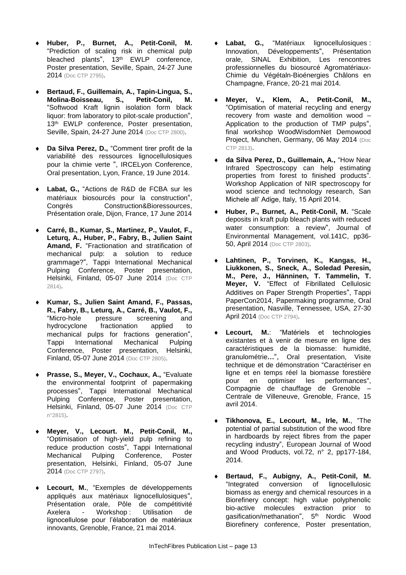- **Huber, P., Burnet, A., Petit-Conil, M.**  "Prediction of scaling risk in chemical pulp bleached plants", 13<sup>th</sup> EWLP conference, Poster presentation, Seville, Spain, 24-27 June 2014 (Doc CTP 2795).
- **Bertaud, F., Guillemain, A., Tapin-Lingua, S., Molina-Boisseau, S., Petit-Conil, M.**  "Softwood Kraft lignin isolation form black liquor: from laboratory to pilot-scale production", 13<sup>th</sup> EWLP conference, Poster presentation, Seville, Spain, 24-27 June 2014 (Doc CTP 2800).
- Da Silva Perez, D., "Comment tirer profit de la variabilité des ressources lignocellulosiques pour la chimie verte ", IRCELyon Conference, Oral presentation, Lyon, France, 19 June 2014.
- **Labat, G.,** "Actions de R&D de FCBA sur les matériaux biosourcés pour la construction", Congrès Construction&Bioressources, Présentation orale, Dijon, France, 17 June 2014
- **Carré, B., Kumar, S., Martinez, P., Vaulot, F., Leturq, A., Huber, P., Fabry, B., Julien Saint Amand, F.** "Fractionation and stratification of mechanical pulp: a solution to reduce grammage?", Tappi International Mechanical Pulping Conference, Poster presentation, Helsinki, Finland, 05-07 June 2014 (Doc CTP 2814).
- **Kumar, S., Julien Saint Amand, F., Passas, R., Fabry, B., Leturq, A., Carré, B., Vaulot, F.,**  "Micro-hole pressure screening and hydrocyclone fractionation applied to mechanical pulps for fractions generation", Tappi International Mechanical Pulping Conference, Poster presentation, Helsinki, Finland, 05-07 June 2014 (Doc CTP 2805).
- **Prasse, S., Meyer, V., Cochaux, A.,** "Evaluate the environmental footprint of papermaking processes", Tappi International Mechanical Pulping Conference, Poster presentation, Helsinki, Finland, 05-07 June 2014 (Doc CTP n°2815).
- **Meyer, V., Lecourt. M., Petit-Conil, M.,**  "Optimisation of high-yield pulp refining to reduce production costs", Tappi International Mechanical Pulping Conference, Poster presentation, Helsinki, Finland, 05-07 June 2014 (Doc CTP 2797).
- **Lecourt, M.**, "Exemples de développements appliqués aux matériaux lignocellulosiques", Présentation orale, Pôle de compétitivité Axelera - Workshop : Utilisation de lignocellulose pour l'élaboration de matériaux innovants, Grenoble, France, 21 mai 2014.
- Labat, G., "Matériaux lignocellulosiques : Innovation, Développements", Présentation orale, SINAL Exhibition, Les rencontres professionnelles du biosourcé Agromatériaux-Chimie du Végétaln-Bioénergies Châlons en Champagne, France, 20-21 mai 2014.
- **Meyer, V., Klem, A., Petit-Conil, M.,**  "Optimisation of material recycling and energy recovery from waste and demolition wood – Application to the production of TMP pulps", final workshop WoodWisdomNet Demowood Project, Munchen, Germany, 06 May 2014 (Doc CTP 2813).
- **da Silva Perez, D., Guillemain, A.,** "How Near Infrared Spectroscopy can help estimating properties from forest to finished products". Workshop Application of NIR spectroscopy for wood science and technology research, San Michele all' Adige, Italy, 15 April 2014.
- **Huber, P., Burnet, A., Petit-Conil, M.** "Scale deposits in kraft pulp bleach plants with reduced water consumption: a review", Journal of Environmental Management, vol.141C, pp36- 50, April 2014 (Doc CTP 2803).
- **Lahtinen, P., Torvinen, K., Kangas, H., Liukkonen, S., Sneck, A., Soledad Peresin, M., Pere, J., Hänninen, T. Tammelin, T. Meyer, V.** "Effect of Fibrillated Cellulosic Additives on Paper Strength Properties", Tappi PaperCon2014, Papermaking programme, Oral presentation, Nasville, Tennessee, USA, 27-30 April 2014 (Doc CTP 2794).
- **Lecourt, M.**: "Matériels et technologies existantes et à venir de mesure en ligne des caractéristiques de la biomasse: humidité, granulométrie**…**", Oral presentation, Visite technique et de démonstration "Caractériser en ligne et en temps réel la biomasse forestière pour en optimiser les performances", Compagnie de chauffage de Grenoble – Centrale de Villeneuve, Grenoble, France, 15 avril 2014.
- **Tikhonova, E., Lecourt, M., Irle, M.**, "The potential of partial substitution of the wood fibre in hardboards by reject fibres from the paper recycling industry", European Journal of Wood and Wood Products, vol.72, n° 2, pp177-184, 2014.
- **Bertaud, F., Aubigny, A., Petit-Conil, M.**  "Integrated conversion of lignocellulosic biomass as energy and chemical resources in a Biorefinery concept: high value polyphenolic bio-active molecules extraction prior to gasification/methanation", 5<sup>th</sup> Nordic Wood Biorefinery conference, Poster presentation,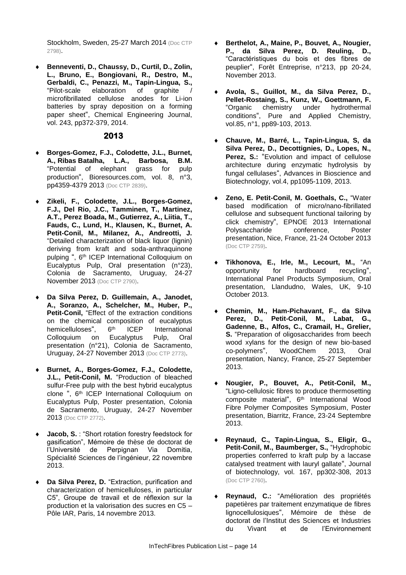Stockholm, Sweden, 25-27 March 2014 (Doc CTP) 2798).

 **Benneventi, D., Chaussy, D., Curtil, D., Zolin, L., Bruno, E., Bongiovani, R., Destro, M., Gerbaldi, C., Penazzi, M., Tapin-Lingua, S.,**  "Pilot-scale elaboration of microfibrillated cellulose anodes for Li-ion batteries by spray deposition on a forming paper sheet", Chemical Engineering Journal, vol. 243, pp372-379, 2014.

- **Borges-Gomez, F.J., Colodette, J.L., Burnet, A., Ribas Batalha, L.A., Barbosa, B.M.**  "Potential of elephant grass for pulp production", Bioresources.com, vol. 8, n°3, pp4359-4379 2013 (Doc CTP 2839).
- **Zikeli, F., Colodette, J.L., Borges-Gomez, F.J., Del Rio, J.C., Tamminen, T., Martinez, A.T., Perez Boada, M., Gutierrez, A., Liitia, T., Fauds, C., Lund, H., Klausen, K., Burnet, A. Petit-Conil, M., Milanez, A., Andreotti, J.**  "Detailed characterization of black liquor (lignin) deriving from kraft and soda-anthraquinone pulping ", 6<sup>th</sup> ICEP International Colloquium on Eucalyptus Pulp, Oral presentation (n°23), Colonia de Sacramento, Uruguay, 24-27 November 2013 (Doc CTP 2790).
- **Da Silva Perez, D. Guillemain, A., Janodet, A., Soranzo, A., Schelcher, M., Huber, P., Petit-Conil,** "Effect of the extraction conditions on the chemical composition of eucalyptus hemicelluloses", 6<sup>th</sup> ICEP International Colloquium on Eucalyptus Pulp, Oral presentation (n°21), Colonia de Sacramento, Uruguay, 24-27 November 2013 (Doc CTP 2773).
- **Burnet, A., Borges-Gomez, F.J., Colodette, J.L., Petit-Conil, M.** "Production of bleached sulfur-Free pulp with the best hybrid eucalyptus clone ", 6<sup>th</sup> ICEP International Colloquium on Eucalyptus Pulp, Poster presentation, Colonia de Sacramento, Uruguay, 24-27 November 2013 (Doc CTP 2772).
- **Jacob, S.** : "Short rotation forestry feedstock for gasification", Mémoire de thèse de doctorat de l'Université de Perpignan Via Domitia, Spécialité Sciences de l'ingénieur, 22 novembre 2013.
- Da Silva Perez, D. "Extraction, purification and characterization of hemicelluloses, in particular C5", Groupe de travail et de réflexion sur la production et la valorisation des sucres en C5 – Pôle IAR, Paris, 14 novembre 2013.
- **Berthelot, A., Maine, P., Bouvet, A., Nougier, P., da Silva Perez, D. Reuling, D.,**  "Caractéristiques du bois et des fibres de peuplier", Forêt Entreprise, n°213, pp 20-24, November 2013.
- **Avola, S., Guillot, M., da Silva Perez, D., Pellet-Rostaing, S., Kunz, W., Goettmann, F.**  "Organic chemistry under hydrothermal conditions", Pure and Applied Chemistry, vol.85, n°1, pp89-103, 2013.
- **Chauve, M., Barré, L., Tapin-Lingua, S, da Silva Perez, D., Decottignies, D., Lopes, N., Perez, S.:** "Evolution and impact of cellulose architecture during enzymatic hydrolysis by fungal cellulases", Advances in Bioscience and Biotechnology, vol.4, pp1095-1109, 2013.
- **Zeno, E. Petit-Conil, M. Goethals, C.,** "Water based modification of micro/nano-fibrillated cellulose and subsequent functional tailoring by click chemistry", EPNOE 2013 International Polysaccharide conference, Poster presentation, Nice, France, 21-24 October 2013 (Doc CTP 2759).
- **Tikhonova, E., Irle, M., Lecourt, M.,** "An opportunity for hardboard recycling", International Panel Products Symposium, Oral presentation, Llandudno, Wales, UK, 9-10 October 2013.
- **Chemin, M., Ham-Pichavant, F., da Silva Perez, D., Petit-Conil, M., Labat, G., Gadenne, B., Alfos, C., Cramail, H., Grelier, S.** "Preparation of oligosaccharides from beech wood xylans for the design of new bio-based co-polymers", WoodChem 2013, Oral presentation, Nancy, France, 25-27 September 2013.
- **Nougier, P., Bouvet, A., Petit-Conil, M.,**  "Ligno-cellulosic fibres to produce thermosetting composite material", 6<sup>th</sup> International Wood Fibre Polymer Composites Symposium, Poster presentation, Biarritz, France, 23-24 Septembre 2013.
- **Reynaud, C., Tapin-Lingua, S., Eligir, G., Petit-Conil, M., Baumberger, S.,** "Hydrophobic properties conferred to kraft pulp by a laccase catalysed treatment with lauryl gallate", Journal of biotechnology, vol. 167, pp302-308, 2013 (Doc CTP 2760).
- **Reynaud, C.:** "Amélioration des propriétés papetières par traitement enzymatique de fibres lignocellulosiques", Mémoire de thèse de doctorat de l'Institut des Sciences et Industries<br>du Vivant et de l'Environnement du Vivant et de l'Environnement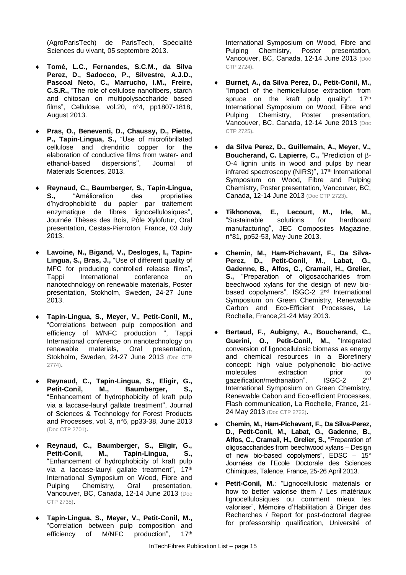(AgroParisTech) de ParisTech, Spécialité Sciences du vivant, 05 septembre 2013.

- **Tomé, L.C., Fernandes, S.C.M., da Silva Perez, D., Sadocco, P., Silvestre, A.J.D., Pascoal Neto, C., Marrucho, I.M., Freire, C.S.R.,** "The role of cellulose nanofibers, starch and chitosan on multipolysaccharide based films", Cellulose, vol.20, n°4, pp1807-1818, August 2013.
- **Pras, O., Beneventi, D., Chaussy, D., Piette, P., Tapin-Lingua, S.,** "Use of microfibrillated cellulose and drendritic copper for the elaboration of conductive films from water- and ethanol-based dispersions", Journal of Materials Sciences, 2013.
- **Reynaud, C., Baumberger, S., Tapin-Lingua, S.,** "Amélioration des proprieties d'hydrophobicité du papier par traitement enzymatique de fibres lignocellulosiques", Journée Thèses des Bois, Pôle Xylofutur, Oral presentation, Cestas-Pierroton, France, 03 July 2013.
- **Lavoine, N., Bigand, V., Desloges, I., Tapin-Lingua, S., Bras, J.,** "Use of different quality of MFC for producing controlled release films",<br>Tappi International conference on Tappi International conference on nanotechnology on renewable materials, Poster presentation, Stokholm, Sweden, 24-27 June 2013.
- **Tapin-Lingua, S., Meyer, V., Petit-Conil, M.,**  "Correlations between pulp composition and efficiency of M/NFC production ", Tappi International conference on nanotechnology on renewable materials, Oral presentation, Stokholm, Sweden, 24-27 June 2013 (Doc CTP 2774).
- **Reynaud, C., Tapin-Lingua, S., Eligir, G., Petit-Conil, M., Baumberger, S.,**  "Enhancement of hydrophobicity of kraft pulp via a laccase-lauryl gallate treatment", Journal of Sciences & Technology for Forest Products and Processes, vol. 3, n°6, pp33-38, June 2013 (Doc CTP 2701).
- **Reynaud, C., Baumberger, S., Eligir, G., Petit-Conil, M., Tapin-Lingua, S.,**  "Enhancement of hydrophobicity of kraft pulp via a laccase-lauryl gallate treatment", 17<sup>th</sup> International Symposium on Wood, Fibre and Pulping Chemistry, Oral presentation, Vancouver, BC, Canada, 12-14 June 2013 (Doc CTP 2735).
- **Tapin-Lingua, S., Meyer, V., Petit-Conil, M.,**  "Correlation between pulp composition and efficiency of M/NFC production", 17<sup>th</sup>

International Symposium on Wood, Fibre and<br>Pulping Chemistry, Poster presentation, Poster presentation, Vancouver, BC, Canada, 12-14 June 2013 (Doc CTP 2724).

- **Burnet, A., da Silva Perez, D., Petit-Conil, M.,**  "Impact of the hemicellulose extraction from spruce on the kraft pulp quality", 17<sup>th</sup> International Symposium on Wood, Fibre and Pulping Chemistry, Poster presentation, Vancouver, BC, Canada, 12-14 June 2013 (Doc CTP 2725).
- **da Silva Perez, D., Guillemain, A., Meyer, V., Boucherand, C. Lapierre, C., "Prediction of B-**O-4 lignin units in wood and pulps by near infrared spectroscopy (NIRS)", 17<sup>th</sup> International Symposium on Wood, Fibre and Pulping Chemistry, Poster presentation, Vancouver, BC, Canada, 12-14 June 2013 (Doc CTP 2723).
- **Tikhonova, E., Lecourt, M., Irle, M.,**  "Sustainable solutions for hardboard manufacturing", JEC Composites Magazine, n°81, pp52-53, May-June 2013.
- **Chemin, M., Ham-Pichavant, F., Da Silva-Perez, D., Petit-Conil, M., Labat, G., Gadenne, B., Alfos, C., Cramail, H., Grelier, S.,** "Preparation of oligosaccharides from beechwood xylans for the design of new biobased copolymers", ISGC-2 2<sup>nd</sup> International Symposium on Green Chemistry, Renewable Carbon and Eco-Efficient Processes, La Rochelle, France,21-24 May 2013.
- **Bertaud, F., Aubigny, A., Boucherand, C., Guerini, O., Petit-Conil, M.,** "Integrated conversion of lignocellulosic biomass as energy and chemical resources in a Biorefinery concept: high value polyphenolic bio-active<br>molecules extraction prior to molecules extraction prior to gazeification/methanation", ISGC-2  $2nd$ International Symposium on Green Chemistry, Renewable Cabon and Eco-efficient Processes, Flash communication, La Rochelle, France, 21- 24 May 2013 (Doc CTP 2722).
- **Chemin, M., Ham-Pichavant, F., Da Silva-Perez, D., Petit-Conil, M., Labat, G., Gadenne, B., Alfos, C., Cramail, H., Grelier, S.,** "Preparation of oligosaccharides from beechwood xylans – Design of new bio-based copolymers", EDSC – 15° Journées de l'Ecole Doctorale des Sciences Chimiques, Talence, France, 25-26 April 2013.
- **Petit-Conil, M.**: "Lignocellulosic materials or how to better valorise them / Les matériaux lignocellulosiques ou comment mieux les valoriser", Mémoire d'Habilitation à Diriger des Recherches / Report for post-doctoral degree for professorship qualification, Université of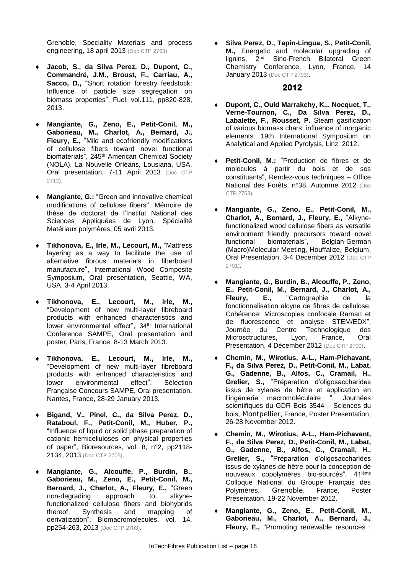Grenoble, Speciality Materials and process engineering, 18 april 2013 (Doc CTP 2763).

- **Jacob, S., da Silva Perez, D., Dupont, C., Commandré, J.M., Broust, F., Carriau, A., Sacco, D.,** "Short rotation forestry feedstock: Influence of particle size segregation on biomass properties", Fuel, vol.111, pp820-828, 2013.
- **Mangiante, G., Zeno, E., Petit-Conil, M., Gaborieau, M., Charlot, A., Bernard, J., Fleury, E.,** "Mild and ecofriendly modifications of cellulose fibers toward novel functional biomaterials", 245<sup>th</sup> American Chemical Society (NOLA), La Nouvelle Orléans, Lousiana, USA, Oral presentation, 7-11 April 2013 (Doc CTP 2712).
- **Mangiante, G.:** "Green and innovative chemical modifications of cellulose fibers", Mémoire de thèse de doctorat de l'Institut National des Sciences Appliquées de Lyon, Spécialité Matériaux polymères, 05 avril 2013.
- **Tikhonova, E., Irle, M., Lecourt, M.,** "Mattress layering as a way to facilitate the use of alternative fibrous materials in fiberboard manufacture", International Wood Composite Symposium, Oral presentation, Seattle, WA, USA, 3-4 April 2013.
- **Tikhonova, E., Lecourt, M., Irle, M.,**  "Development of new multi-layer fibreboard products with enhanced characteristics and lower environmental effect", 34<sup>th</sup> International Conference SAMPE, Oral presentation and poster, Paris, France, 8-13 March 2013.
- **Tikhonova, E., Lecourt, M., Irle, M.,**  "Development of new multi-layer fibreboard products with enhanced characteristics and lower environmental effect", Sélection Française Concours SAMPE, Oral presentation, Nantes, France, 28-29 January 2013.
- **Bigand, V., Pinel, C., da Silva Perez, D., Rataboul, F., Petit-Conil, M., Huber, P.,**  "Influence of liquid or solid phase preparation of cationic hemicelluloses on physical properties of paper", Bioresources, vol. 8, n°2, pp2118- 2134, 2013 (Doc CTP 2705).
- **Mangiante, G., Alcouffe, P., Burdin, B., Gaborieau, M., Zeno, E., Petit-Conil, M., Bernard, J., Charlot, A., Fleury, E.,** "Green non-degrading approach to alkynefunctionalized cellulose fibers and biohybrids thereof: Synthesis and mapping of derivatization", Biomacromolecules, vol. 14, pp254-263, 2013 (Doc CTP 2703).

 **Silva Perez, D., Tapin-Lingua, S., Petit-Conil, M.,** Energetic and molecular upgrading of lignins, 2nd Sino-French Bilateral Green Chemistry Conference, Lyon, France, 14 **January 2013** (Doc CTP 2793).

- **Dupont, C., Ould Marrakchy, K.., Nocquet, T., Verne-Tournon, C., Da Silva Perez, D., Labalette, F., Rousset, P.** Steam gasification of various biomass chars: influence of inorganic elements. 19th International Symposium on Analytical and Applied Pyrolysis, Linz. 2012.
- **Petit-Conil, M.:** "Production de fibres et de molecules à partir du bois et de ses constituants", Rendez-vous techniques – Office National des Forêts, n°38, Automne 2012 (Doc CTP 2763).
- **Mangiante, G., Zeno, E., Petit-Conil, M., Charlot, A., Bernard, J., Fleury, E.,** "Alkynefunctionalized wood cellulose fibers as versatile environment friendly precursors toward novel functional biomaterials", Belgian-German (Macro)Molecular Meeting, Houffalize, Belgium, Oral Presentation, 3-4 December 2012 (Doc CTP 2701).
- **Mangiante, G., Burdin, B., Alcouffe, P., Zeno, E., Petit-Conil, M., Bernard, J., Charlot, A., Fleury, E.,** "Cartographie de la fonctionnalisation alcyne de fibres de cellulose. Cohérence: Microscopies confocale Raman et de fluorescence et analyse STEM/EDX", Journée du Centre Technologique des Microsctructures, Lyon, France, Oral Presentation, 4 Décember 2012 (Doc CTP 2700).
- **Chemin, M., Wirotius, A-L., Ham-Pichavant, F., da Silva Perez, D., Petit-Conil, M., Labat, G., Gadenne, B., Alfos, C., Cramail, H., Grelier, S.,** "Préparation d'oligosaccharides issus de xylanes de hêtre et application en l'ingénierie macromoléculaire ", Journées scientifiques du GDR Bois 3544 – Sciences du bois, Montpellier, France, Poster Presentation, 26-28 November 2012.
- **Chemin, M., Wirotius, A-L., Ham-Pichavant, F., da Silva Perez, D., Petit-Conil, M., Labat, G., Gadenne, B., Alfos, C., Cramail, H., Grelier, S.,** "Préparation d'oligosaccharides issus de xylanes de hêtre pour la conception de nouveaux copolymères bio-sourcés", 41ième Colloque National du Groupe Français des Polymères, Grenoble, France, Poster Presentation, 19-22 November 2012.
- **Mangiante, G., Zeno, E., Petit-Conil, M., Gaborieau, M., Charlot, A., Bernard, J., Fleury, E.,** "Promoting renewable resources :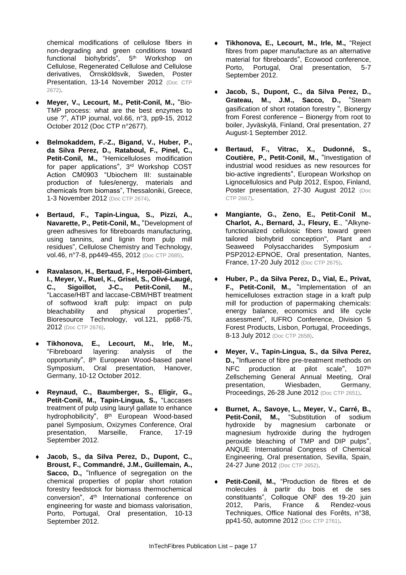chemical modifications of cellulose fibers in non-degrading and green conditions toward functional biohybrids", 5 th Workshop on Cellulose, Regenerated Cellulose and Cellulose derivatives, Örnsköldsvik, Sweden, Poster Presentation, 13-14 November 2012 (Doc CTP 2672).

- **Meyer, V., Lecourt, M., Petit-Conil, M.,** "Bio-TMP process: what are the best enzymes to use ?", ATIP journal, vol.66, n°3, pp9-15, 2012 October 2012 (Doc CTP n°2677).
- **Belmokaddem, F.-Z., Bigand, V., Huber, P., da Silva Perez, D., Rataboul, F., Pinel, C., Petit-Conil, M.,** "Hemicelluloses modification for paper applications", 3<sup>rd</sup> Workshop COST Action CM0903 "Ubiochem III: sustainable production of fules/energy, materials and chemicals from biomass", Thessaloniki, Greece, 1-3 November 2012 (Doc CTP 2674).
- **Bertaud, F., Tapin-Lingua, S., Pizzi, A., Navarette, P., Petit-Conil, M.,** "Development of green adhesives for fibreboards manufacturing, using tannins, and lignin from pulp mill residues", Cellulose Chemistry and Technology, vol.46, n°7-8, pp449-455, 2012 (Doc CTP 2685).
- **Ravalason, H., Bertaud, F., Herpoël-Gimbert, I., Meyer, V., Ruel, K., Grisel, S., Olivé-Laugé, C., Sigoillot, J-C., Petit-Conil, M.,**  "Laccase/HBT and laccase-CBM/HBT treatment of softwood kraft pulp: impact on pulp bleachability and physical properties", Bioresource Technology, vol.121, pp68-75, 2012 (Doc CTP 2676).
- **Tikhonova, E., Lecourt, M., Irle, M.,**  "Fibreboard layering: analysis of the opportunity", 8<sup>th</sup> European Wood-based panel Symposium, Oral presentation, Hanover, Germany, 10-12 October 2012.
- **Reynaud, C., Baumberger, S., Eligir, G., Petit-Conil, M., Tapin-Lingua, S.,** "Laccases treatment of pulp using lauryl gallate to enhance hydrophobilicity", 8<sup>th</sup> European Wood-based panel Symposium, Oxizymes Conference, Oral presentation, Marseille, France, 17-19 September 2012.
- **Jacob, S., da Silva Perez, D., Dupont, C., Broust, F., Commandré, J.M., Guillemain, A., Sacco, D.,** "Influence of segregation on the chemical properties of poplar short rotation forestry feedstock for biomass thermochemical conversion", 4<sup>th</sup> International conference on engineering for waste and biomass valorisation, Porto, Portugal, Oral presentation, 10-13 September 2012.
- **Tikhonova, E., Lecourt, M., Irle, M.,** "Reject fibres from paper manufacture as an alternative material for fibreboards", Ecowood conference, Porto, Portugal, Oral presentation, 5-7 September 2012.
- **Jacob, S., Dupont, C., da Silva Perez, D., Grateau, M., J.M., Sacco, D.,** "Steam gasification of short rotation forestry ", Bionergy from Forest conference – Bionergy from root to boiler, Jyväskylä, Finland, Oral presentation, 27 August-1 September 2012.
- **Bertaud, F., Vitrac, X., Dudonné, S., Coutière, P., Petit-Conil, M.,** "Investigation of industrial wood residues as new resources for bio-active ingredients", European Workshop on Lignocellulosics and Pulp 2012, Espoo, Finland, Poster presentation, 27-30 August 2012 (Doc CTP 2667).
- **Mangiante, G., Zeno, E., Petit-Conil M., Charlot, A., Bernard, J., Fleury, E**., "Alkynefunctionalized cellulosic fibers toward green tailored biohybrid conception", Plant and Seaweed Polysaccharides Symposium PSP2012-EPNOE, Oral presentation, Nantes, France, 17-20 July 2012 (Doc CTP 2675).
- **Huber, P., da Silva Perez, D., Vial, E., Privat, F., Petit-Conil, M.,** "Implementation of an hemicelluloses extraction stage in a kraft pulp mill for production of papermaking chemicals: energy balance, economics and life cycle assessment", IUFRO Conference, Division 5 Forest Products, Lisbon, Portugal, Proceedings, 8-13 July 2012 (Doc CTP 2658).
- **Meyer, V., Tapin-Lingua, S., da Silva Perez, D.,** "Influence of fibre pre-treatment methods on NFC production at pilot scale", 107<sup>th</sup> Zellscheming General Annual Meeting, Oral presentation, Wiesbaden, Germany, Proceedings, 26-28 June 2012 (Doc CTP 2651).
- **Burnet, A., Savoye, L., Meyer, V., Carré, B.,**  Petit-Conil, M., "Substitution of sodium hydroxide by magnesium carbonate or magnesium hydroxide during the hydrogen peroxide bleaching of TMP and DIP pulps", ANQUE International Congress of Chemical Engineering, Oral presentation, Sevilla, Spain, 24-27 June 2012 (Doc CTP 2652).
- **Petit-Conil, M.,** "Production de fibres et de molecules à partir du bois et de ses constituants", Colloque ONF des 19-20 juin 2012, Paris, France & Rendez-vous Techniques, Office National des Forêts, n°38, pp41-50, automne 2012 (Doc CTP 2761).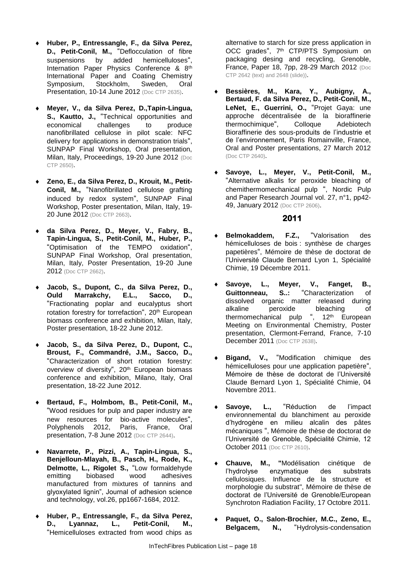- **Huber, P., Entressangle, F., da Silva Perez, D., Petit-Conil, M.,** "Deflocculation of fibre suspensions by added hemicelluloses", Internation Paper Physics Conference & 8<sup>th</sup> International Paper and Coating Chemistry Symposium, Stockholm, Sweden, Oral Presentation, 10-14 June 2012 (Doc CTP 2635).
- **Meyer, V., da Silva Perez, D.,Tapin-Lingua, S., Kautto, J.,** "Technical opportunities and economical challenges to produce economical challenges to nanofibrillated cellulose in pilot scale: NFC delivery for applications in demonstration trials", SUNPAP Final Workshop, Oral presentation, Milan, Italy, Proceedings, 19-20 June 2012 (Doc CTP 2650).
- **Zeno, E., da Silva Perez, D., Krouit, M., Petit-Conil, M.,** "Nanofibrillated cellulose grafting induced by redox system", SUNPAP Final Workshop, Poster presentation, Milan, Italy, 19- 20 June 2012 (Doc CTP 2663).
- **da Silva Perez, D., Meyer, V., Fabry, B., Tapin-Lingua, S., Petit-Conil, M., Huber, P.,** "Optimisation of the TEMPO oxidation", SUNPAP Final Workshop, Oral presentation, Milan, Italy, Poster Presentation, 19-20 June 2012 (Doc CTP 2662).
- **Jacob, S., Dupont, C., da Silva Perez, D., Ould Marrakchy, E.L., Sacco, D.,** "Fractionating poplar and eucalyptus short rotation forestry for torrefaction", 20<sup>th</sup> European biomass conference and exhibition, Milan, Italy, Poster presentation, 18-22 June 2012.
- **Jacob, S., da Silva Perez, D., Dupont, C., Broust, F., Commandré, J.M., Sacco, D.,** "Characterization of short rotation forestry: overview of diversity", 20<sup>th</sup> European biomass conference and exhibition, Milano, Italy, Oral presentation, 18-22 June 2012.
- **Bertaud, F., Holmbom, B., Petit-Conil, M.,** "Wood residues for pulp and paper industry are new resources for bio-active molecules", Polyphenols 2012, Paris, France, Oral presentation, 7-8 June 2012 (Doc CTP 2644).
- **Navarrete, P., Pizzi, A., Tapin-Lingua, S., Benjelloun-Mlayah, B., Pasch, H., Rode, K., Delmotte, L., Rigolet S.,** "Low formaldehyde emitting biobased wood adhesives manufactured from mixtures of tannins and glyoxylated lignin", Journal of adhesion science and technology, vol.26, pp1667-1684, 2012.
- **Huber, P., Entressangle, F., da Silva Perez, D., Lyannaz, L., Petit-Conil, M.,** "Hemicelluloses extracted from wood chips as

alternative to starch for size press application in OCC grades", 7<sup>th</sup> CTP/PTS Symposium on packaging desing and recycling, Grenoble, France, Paper 18, 7pp, 28-29 March 2012 (Doc CTP 2642 (text) and 2648 (slide)).

- **Bessières, M., Kara, Y., Aubigny, A., Bertaud, F. da Silva Perez, D., Petit-Conil, M., LeNet, E., Guerrini, O.,** "Projet Gaya: une approche décentralisée de la bioraffinerie thermochimique", Colloque Adebiotech Bioraffinerie des sous-produits de l'industrie et de l'environnement, Paris Romainville, France, Oral and Poster presentations, 27 March 2012 (Doc CTP 2640).
- **Savoye, L., Meyer, V., Petit-Conil, M.,** "Alternative alkalis for peroxide bleaching of chemithermomechanical pulp ", Nordic Pulp and Paper Research Journal vol. 27, n°1, pp42- 49, January 2012 (Doc CTP 2606).

- **Belmokaddem, F.Z.,** "Valorisation des hémicelluloses de bois : synthèse de charges papetières", Mémoire de thèse de doctorat de l'Université Claude Bernard Lyon 1, Spécialité Chimie, 19 Décembre 2011.
- **Savoye, L., Meyer, V., Fanget, B., Guittonneau, S..:** "Characterization of dissolved organic matter released during alkaline peroxide bleaching of thermomechanical pulp ", 12<sup>th</sup> European Meeting on Environmental Chemistry, Poster presentation, Clermont-Ferrand, France, 7-10 December 2011 (Doc CTP 2638).
- **Bigand, V.,** "Modification chimique des hémicelluloses pour une application papetière", Mémoire de thèse de doctorat de l'Université Claude Bernard Lyon 1, Spécialité Chimie, 04 Novembre 2011.
- Savoye, L., "Réduction de l'impact environnemental du blanchiment au peroxide d'hydrogène en milieu alcalin des pâtes mécaniques ", Mémoire de thèse de doctorat de l'Université de Grenoble, Spécialité Chimie, 12 October 2011 (Doc CTP 2610).
- **Chauve, M., "**Modélisation cinétique de l'hydrolyse enzymatique des substrats cellulosiques. Influence de la structure et morphologie du substrat", Mémoire de thèse de doctorat de l'Université de Grenoble/European Synchroton Radiation Facility, 17 Octobre 2011.
- **Paquet, O., Salon-Brochier, M.C., Zeno, E., Belgacem, N.,** "Hydrolysis-condensation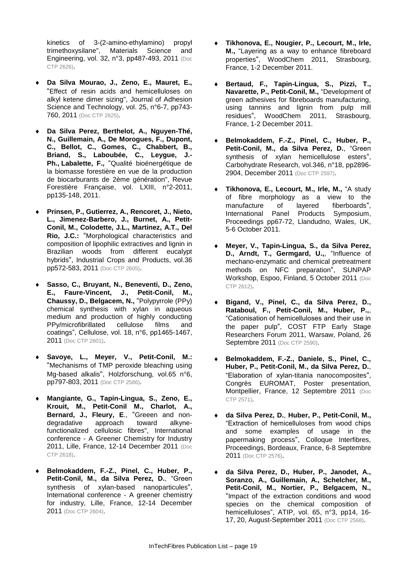kinetics of 3-(2-amino-ethylamino) propyl trimethoxysilane", Materials Science and Engineering, vol. 32, n°3, pp487-493, 2011 (Doc CTP 2626).

- **Da Silva Mourao, J., Zeno, E., Mauret, E.,**  "Effect of resin acids and hemicelluloses on alkyl ketene dimer sizing", Journal of Adhesion Science and Technology, vol. 25, n°6-7, pp743- 760, 2011 (Doc CTP 2625).
- **Da Silva Perez, Berthelot, A., Nguyen-Thé, N., Guillemain, A., De Morogues, F., Dupont, C., Bellot, C., Gomes, C., Chabbert, B., Briand, S., Laboubée, C., Leygue, J.- Ph., Labalette, F.,** "Qualité bioénergétique de la biomasse forestière en vue de la production de biocarburants de 2ème génération", Revue Forestière Française, vol. LXIII, n°2-2011, pp135-148, 2011.
- **Prinsen, P., Gutierrez, A., Rencoret, J., Nieto, L., Jimenez-Barbero, J., Burnet, A., Petit-Conil, M., Colodette, J.L., Martinez, A.T., Del Rio, J.C.:** "Morphological characteristics and composition of lipophilic extractives and lignin in Brazilian woods from different eucalypt hybrids", Industrial Crops and Products, vol.36 pp572-583, 2011 (Doc CTP 2605).
- **Sasso, C., Bruyant, N., Beneventi, D., Zeno, E., Faure-Vincent, J., Petit-Conil, M., Chaussy, D., Belgacem, N.,** "Polypyrrole (PPy) chemical synthesis with xylan in aqueous medium and production of highly conducting PPy/microfibrillated cellulose films and coatings", Cellulose, vol. 18, n°6, pp1465-1467, 2011 (Doc CTP 2601).
- **Savoye, L., Meyer, V., Petit-Conil, M.:**  "Mechanisms of TMP peroxide bleaching using Mg-based alkalis", Holzforschung, vol.65 n°6, pp797-803, 2011 (Doc CTP 2586).
- **Mangiante, G., Tapin-Lingua, S., Zeno, E., Krouit, M., Petit-Conil M., Charlot, A., Bernard, J., Fleury, E**., "Greeen and nondegradative approach toward alkynefunctionalized cellulosic fibres", International conference - A Greener Chemistry for Industry 2011, Lille, France, 12-14 December 2011 (Doc CTP 2618).
- **Belmokaddem, F.-Z., Pinel, C., Huber, P., Petit-Conil, M., da Silva Perez, D.**, "Green synthesis of xylan-based nanoparticules", International conference - A greener chemistry for industry, Lille, France, 12-14 December 2011 (Doc CTP 2604).
- **Tikhonova, E., Nougier, P., Lecourt, M., Irle, M.,** "Layering as a way to enhance fibreboard properties", WoodChem 2011, Strasbourg, France, 1-2 December 2011.
- **Bertaud, F., Tapin-Lingua, S., Pizzi, T., Navarette, P., Petit-Conil, M.,** "Development of green adhesives for fibreboards manufacturing, using tannins and lignin from pulp mill residues", WoodChem 2011, Strasbourg, France, 1-2 December 2011.
- **Belmokaddem, F.-Z., Pinel, C., Huber, P., Petit-Conil, M., da Silva Perez, D.**, "Green synthesis of xylan hemicellulose esters", Carbohydrate Research, vol.346, n°18, pp2896- 2904, December 2011 (Doc CTP 2597).
- **Tikhonova, E., Lecourt, M., Irle, M.,** "A study of fibre morphology as a view to the manufacture of layered fiberboards", International Panel Products Symposium, Proceedings pp67-72, Llandudno, Wales, UK, 5-6 October 2011.
- **Meyer, V., Tapin-Lingua, S., da Silva Perez, D., Arndt, T., Germgard, U.,**, "Influence of mechano-enzymatic and chemical pretreatment methods on NFC preparation", SUNPAP Workshop, Espoo, Finland, 5 October 2011 (Doc CTP 2612).
- **Bigand, V., Pinel, C., da Silva Perez, D., Rataboul, F., Petit-Conil, M., Huber, P.,**, "Cationisation of hemicelluloses and their use in the paper pulp", COST FTP Early Stage Researchers Forum 2011, Warsaw, Poland, 26 Septembre 2011 (Doc CTP 2590).
- **Belmokaddem, F.-Z., Daniele, S., Pinel, C., Huber, P., Petit-Conil, M., da Silva Perez, D.**, "Elaboration of xylan-titania nanocomposites", Congrès EUROMAT, Poster presentation, Montpellier, France, 12 Septembre 2011 (Doc CTP 2571).
- **da Silva Perez, D.**, **Huber, P., Petit-Conil, M.,**  "Extraction of hemicelluloses from wood chips and some examples of usage in the papermaking process", Colloque Interfibres, Proceedings, Bordeaux, France, 6-8 Septembre 2011 (Doc CTP 2576).
- **da Silva Perez, D., Huber, P., Janodet, A., Soranzo, A., Guillemain, A., Schelcher, M., Petit-Conil, M., Nortier, P., Belgacem, N.,**  "Impact of the extraction conditions and wood species on the chemical composition of hemicelluloses", ATIP, vol. 65, n°3, pp14, 16- 17, 20, August-September 2011 (Doc CTP 2568).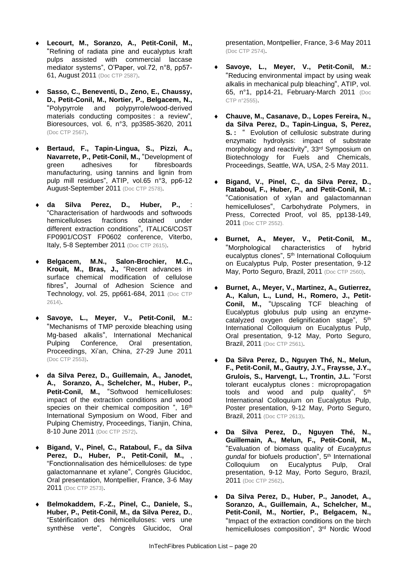- **Lecourt, M., Soranzo, A., Petit-Conil, M.,**  "Refining of radiata pine and eucalyptus kraft pulps assisted with commercial laccase mediator systems", O'Paper, vol.72, n°8, pp57- 61, August 2011 (Doc CTP 2587).
- **Sasso, C., Beneventi, D., Zeno, E., Chaussy, D., Petit-Conil, M., Nortier, P., Belgacem, N.,**  "Polypyrrole and polypyrrole/wood-derived materials conducting composites : a review", Bioresources, vol. 6, n°3, pp3585-3620, 2011 (Doc CTP 2567).
- **Bertaud, F., Tapin-Lingua, S., Pizzi, A., Navarrete, P., Petit-Conil, M.,** "Development of green adhesives for fibresboards manufacturing, using tannins and lignin from pulp mill residues", ATIP, vol.65 n°3, pp6-12 August-September 2011 (Doc CTP 2578).
- **da Silva Perez, D., Huber, P.,** : "Characterisation of hardwoods and softwoods hemicelluloses fractions obtained under different extraction conditions", ITALIC6/COST FP0901/COST FP0602 conference, Viterbo, Italy, 5-8 September 2011 (Doc CTP 2615).
- **Belgacem, M.N., Salon-Brochier, M.C., Krouit, M., Bras, J.,** "Recent advances in surface chemical modification of cellulose fibres", Journal of Adhesion Science and Technology, vol. 25, pp661-684, 2011 (Doc CTP 2614).
- **Savoye, L., Meyer, V., Petit-Conil, M.:**  "Mechanisms of TMP peroxide bleaching using Mg-based alkalis", International Mechanical Pulping Conference, Oral presentation, Proceedings, Xi'an, China, 27-29 June 2011 (Doc CTP 2553).
- **da Silva Perez, D., Guillemain, A., Janodet, A., Soranzo, A., Schelcher, M., Huber, P.,**  Petit-Conil, M., "Softwood hemicelluloses: impact of the extraction conditions and wood species on their chemical composition ", 16<sup>th</sup> International Symposium on Wood, Fiber and Pulping Chemistry, Proceedings, Tianjin, China, 8-10 June 2011 (Doc CTP 2572).
- **Bigand, V., Pinel, C., Rataboul, F., da Silva Perez, D., Huber, P., Petit-Conil, M.,** , "Fonctionnalisation des hémicelluloses: de type galactomannane et xylane", Congrès Glucidoc, Oral presentation, Montpellier, France, 3-6 May 2011 (Doc CTP 2573).
- **Belmokaddem, F.-Z., Pinel, C., Daniele, S., Huber, P., Petit-Conil, M., da Silva Perez, D.**, "Estérification des hémicelluloses: vers une synthèse verte", Congrès Glucidoc, Oral

presentation, Montpellier, France, 3-6 May 2011 (Doc CTP 2574).

- **Savoye, L., Meyer, V., Petit-Conil, M.:**  "Reducing environmental impact by using weak alkalis in mechanical pulp bleaching", ATIP, vol. 65, n°1, pp14-21, February-March 2011 (Doc CTP n°2555).
- **Chauve, M., Casanave, D., Lopes Fereira, N., da Silva Perez, D., Tapin-Lingua, S, Perez, S.** : " Evolution of cellulosic substrate during enzymatic hydrolysis: impact of substrate morphology and reactivity", 33rd Symposium on Biotechnology for Fuels and Chemicals, Proceedings, Seattle, WA, USA, 2-5 May 2011.
- **Bigand, V., Pinel, C., da Silva Perez, D., Rataboul, F., Huber, P., and Petit-Conil, M. :**  "Cationisation of xylan and galactomannan hemicelluloses", Carbohydrate Polymers, in Press, Corrected Proof, vol 85, pp138-149, 2011 (Doc CTP 2552).
- **Burnet, A., Meyer, V., Petit-Conil, M.,**  "Morphological characteristics of hybrid eucalyptus clones", 5th International Colloquium on Eucalyptus Pulp, Poster presentation, 9-12 May, Porto Seguro, Brazil, 2011 (Doc CTP 2560).
- **Burnet, A., Meyer, V., Martinez, A., Gutierrez, A., Kalun, L., Lund, H., Romero, J., Petit-Conil, M.,** "Upscaling TCF bleaching of Eucalyptus globulus pulp using an enzymecatalyzed oxygen delignification stage", 5<sup>th</sup> International Colloquium on Eucalyptus Pulp, Oral presentation, 9-12 May, Porto Seguro, Brazil, 2011 (Doc CTP 2561).
- **Da Silva Perez, D., Nguyen Thé, N., Melun, F., Petit-Conil, M., Gautry, J.Y., Fraysse, J.Y., Grulois, S., Harvengt, L., Trontin, J.L.** "Forst tolerant eucalyptus clones : micropropagation tools and wood and pulp quality", 5th International Colloquium on Eucalyptus Pulp, Poster presentation, 9-12 May, Porto Seguro, Brazil, 2011 (Doc CTP 2613).
- **Da Silva Perez, D., Nguyen Thé, N., Guillemain, A., Melun, F., Petit-Conil, M.,**  "Evaluation of biomass quality of *Eucalyptus gundal* for biofuels production", 5th International Colloquium on Eucalyptus Pulp, Oral presentation, 9-12 May, Porto Seguro, Brazil, 2011 (Doc CTP 2562).
- **Da Silva Perez, D., Huber, P., Janodet, A., Soranzo, A., Guillemain, A., Schelcher, M., Petit-Conil, M., Nortier, P., Belgacem, N.,**  "Impact of the extraction conditions on the birch hemicelluloses composition", 3rd Nordic Wood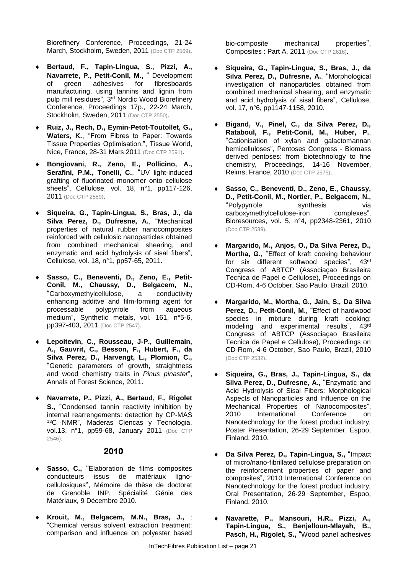Biorefinery Conference, Proceedings, 21-24 March, Stockholm, Sweden, 2011 (Doc CTP 2569).

- **Bertaud, F., Tapin-Lingua, S., Pizzi, A., Navarrete, P., Petit-Conil, M.,** " Development of green adhesives for fibresboards manufacturing, using tannins and lignin from pulp mill residues", 3<sup>rd</sup> Nordic Wood Biorefinery Conference, Proceedings 17p., 22-24 March, Stockholm, Sweden, 2011 (Doc CTP 2550).
- **Ruiz, J., Rech, D., Eymin-Petot-Toutollet, G., Waters, K.**, "From Fibres to Paper: Towards Tissue Properties Optimisation.", Tissue World, Nice, France, 28-31 Mars 2011 (Doc CTP 2591).
- **Bongiovani, R., Zeno, E., Pollicino, A., Serafini, P.M., Tonelli, C.**, "UV light-induced grafting of fluorinated monomer onto cellulose sheets", Cellulose, vol. 18, n°1, pp117-126, 2011 (Doc CTP 2559).
- **Siqueira, G., Tapin-Lingua, S., Bras, J., da Silva Perez, D., Dufresne, A.**, "Mechanical properties of natural rubber nanocomposites reinforced with cellulosic nanoparticles obtained from combined mechanical shearing, and enzymatic and acid hydrolysis of sisal fibers", Cellulose, vol. 18, n°1, pp57-65, 2011.
- **Sasso, C., Beneventi, D., Zeno, E., Petit-Conil, M., Chaussy, D., Belgacem, N.,**  "Carboxymethylcellulose, a conductivity enhancing additve and film-forming agent for processable polypyrrole from aqueous medium", Synthetic metals, vol. 161, n°5-6, pp397-403, 2011 (Doc CTP 2547).
- **Lepoitevin, C., Rousseau, J-P., Guillemain, A., Gauvrit, C., Besson, F., Hubert, F., da Silva Perez, D., Harvengt, L., Plomion, C.,**  "Genetic parameters of growth, straightness and wood chemistry traits in *Pinus pinaster*", Annals of Forest Science, 2011.
- **Navarrete, P., Pizzi, A., Bertaud, F., Rigolet S.,** "Condensed tannin reactivity inhibition by internal rearrengements: detection by CP-MAS <sup>13</sup>C NMR", Maderas Ciencas y Tecnologia, vol.13, n°1, pp59-68, January 2011 (Doc CTP 2546).

#### **2010**

- **Sasso, C.,** "Elaboration de films composites conducteurs issus de matériaux lignocellulosiques", Mémoire de thèse de doctorat de Grenoble INP, Spécialité Génie des Matériaux, 9 Décembre 2010.
- **Krouit, M., Belgacem, M.N., Bras, J.,** : "Chemical versus solvent extraction treatment: comparison and influence on polyester based

bio-composite mechanical properties", Composites : Part A, 2011 (Doc CTP 2616).

- **Siqueira, G., Tapin-Lingua, S., Bras, J., da Silva Perez, D., Dufresne, A.**, "Morphological investigation of nanoparticles obtained from combined mechanical shearing, and enzymatic and acid hydrolysis of sisal fibers", Cellulose, vol. 17, n°6, pp1147-1158, 2010.
- **Bigand, V., Pinel, C., da Silva Perez, D., Rataboul, F., Petit-Conil, M., Huber, P.**, "Cationisation of xylan and galactomannan hemicelluloses", Pentoses Congress - Biomass derived pentoses: from biotechnology to fine chemistry, Proceedings, 14-16 November, Reims, France, 2010 (Doc CTP 2575).
- **Sasso, C., Beneventi, D., Zeno, E., Chaussy, D., Petit-Conil, M., Nortier, P., Belgacem, N.,**  "Polypyrrole synthesis via carboxymethylcellulose-iron complexes", Bioresources, vol. 5, n°4, pp2348-2361, 2010 (Doc CTP 2539).
- **Margarido, M., Anjos, O., Da Silva Perez, D., Mortha, G.,** "Effect of kraft cooking behaviour for six different softwood species", 43rd Congress of ABTCP (Associaçao Brasileira Tecnica de Papel e Cellulose), Proceedings on CD-Rom, 4-6 October, Sao Paulo, Brazil, 2010.
- **Margarido, M., Mortha, G., Jain, S., Da Silva**  Perez, D., Petit-Conil, M., "Effect of hardwood species in mixture during kraft cooking: modeling and experimental results", 43<sup>rd</sup> Congress of ABTCP (Associaçao Brasileira Tecnica de Papel e Cellulose), Proceedings on CD-Rom, 4-6 October, Sao Paulo, Brazil, 2010 (Doc CTP 2532).
- **Siqueira, G., Bras, J., Tapin-Lingua, S., da Silva Perez, D., Dufresne, A.,** "Enzymatic and Acid Hydrolysis of Sisal Fibers: Morphological Aspects of Nanoparticles and Influence on the Mechanical Properties of Nanocomposites", 2010 International Conference on Nanotechnology for the forest product industry, Poster Presentation, 26-29 September, Espoo, Finland, 2010.
- **Da Silva Perez, D., Tapin-Lingua, S.,** "Impact of micro/nano-fibrillated cellulose preparation on the reinforcement properties of paper and composites", 2010 International Conference on Nanotechnology for the forest product industry, Oral Presentation, 26-29 September, Espoo, Finland, 2010.
- **Navarette, P., Mansouri, H.R., Pizzi, A., Tapin-Lingua, S., Benjelloun-Mlayah, B., Pasch, H., Rigolet, S.,** "Wood panel adhesives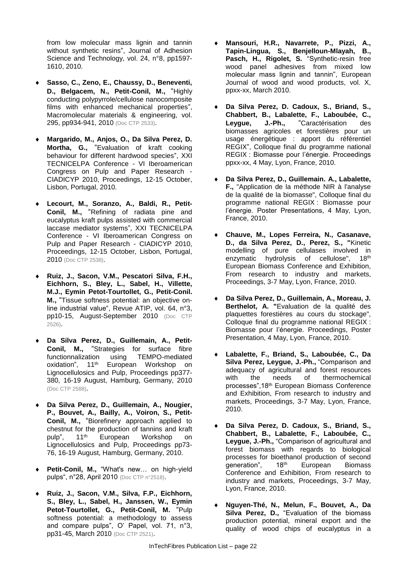from low molecular mass lignin and tannin without synthetic resins", Journal of Adhesion Science and Technology, vol. 24, n°8, pp1597- 1610, 2010.

- **Sasso, C., Zeno, E., Chaussy, D., Beneventi, D., Belgacem, N., Petit-Conil, M.,** "Highly conducting polypyrrole/cellulose nanocomposite films with enhanced mechanical properties", Macromolecular materials & engineering, vol. 295, pp934-941, 2010 (Doc CTP 2533).
- **Margarido, M., Anjos, O., Da Silva Perez, D. Mortha, G.,** "Evaluation of kraft cooking behaviour for different hardwood species", XXI TECNICELPA Conference - VI Iberoamerican Congress on Pulp and Paper Research - CIADICYP 2010, Proceedings, 12-15 October, Lisbon, Portugal, 2010.
- **Lecourt, M., Soranzo, A., Baldi, R., Petit-Conil, M.,** "Refining of radiata pine and eucalyptus kraft pulps assisted with commercial laccase mediator systems", XXI TECNICELPA Conference - VI Iberoamerican Congress on Pulp and Paper Research - CIADICYP 2010, Proceedings, 12-15 October, Lisbon, Portugal, 2010 (Doc CTP 2538).
- **Ruiz, J., Sacon, V.M., Pescatori Silva, F.H., Eichhorn, S., Bley, L., Sabel, H., Villette, M.J., Eymin Petot-Tourtollet, G., Petit-Conil. M.,** "Tissue softness potential: an objective online industrial value", Revue ATIP, vol. 64, n°3, pp10-15, August-September 2010 (Doc CTP 2526).
- **Da Silva Perez, D., Guillemain, A., Petit-Conil, M.,** "Strategies for surface fibre functionnalization using TEMPO-mediated oxidation", 11<sup>th</sup> European Workshop on Lignocellulosics and Pulp, Proceedings pp377- 380, 16-19 August, Hamburg, Germany, 2010 (Doc CTP 2588).
- **Da Silva Perez, D., Guillemain, A., Nougier, P., Bouvet, A., Bailly, A., Voiron, S., Petit-Conil, M.,** "Biorefinery approach applied to chestnut for the production of tannins and kraft pulp", 11<sup>th</sup> European Workshop on Lignocellulosics and Pulp, Proceedings pp73- 76, 16-19 August, Hamburg, Germany, 2010.
- **Petit-Conil, M.,** "What's new… on high-yield pulps", n°28, April 2010 (Doc CTP n°2518).
- **Ruiz, J., Sacon, V.M., Silva, F.P., Eichhorn, S., Bley, L., Sabel, H., Janssen, W., Eymin Petot-Tourtollet, G., Petit-Conil, M.** "Pulp softness potential: a methodology to assess and compare pulps", O' Papel, vol. 71, n°3, pp31-45, March 2010 (Doc CTP 2521).
- **Mansouri, H.R., Navarrete, P., Pizzi, A., Tapin-Lingua, S., Benjelloun-Mlayah, B., Pasch, H., Rigolet, S.** "Synthetic-resin free wood panel adhesives from mixed low molecular mass lignin and tannin", European Journal of wood and wood products, vol. X, ppxx-xx, March 2010.
- **Da Silva Perez, D. Cadoux, S., Briand, S., Chabbert, B., Labalette, F., Laboubée, C., Leygue, J.-Ph.,** "Caractérisation des biomasses agricoles et forestières pour un usage énergétique : apport du référentiel REGIX", Colloque final du programme national REGIX : Biomasse pour l'énergie. Proceedings ppxx-xx, 4 May, Lyon, France, 2010.
- **Da Silva Perez, D., Guillemain. A., Labalette, F.,** "Application de la méthode NIR à l'analyse de la qualité de la biomasse", Colloque final du programme national REGIX : Biomasse pour l'énergie. Poster Presentations, 4 May, Lyon, France, 2010.
- **Chauve, M., Lopes Ferreira, N., Casanave, D., da Silva Perez, D., Perez, S., "**Kinetic modelling of pure cellulases involved in enzymatic hydrolysis of cellulose", 18th European Biomass Conference and Exhibition, From research to industry and markets, Proceedings, 3-7 May, Lyon, France, 2010.
- **Da Silva Perez, D., Guillemain, A., Moreau, J. Berthelot, A. "**Evaluation de la qualité des plaquettes forestières au cours du stockage", Colloque final du programme national REGIX : Biomasse pour l'énergie. Proceedings, Poster Presentation, 4 May, Lyon, France, 2010.
- **Labalette, F., Briand, S., Laboubée, C., Da Silva Perez, Leygue, J.-Ph.,** "Comparison and adequacy of agricultural and forest resources with the needs of thermochemical processes",18th European Biomass Conference and Exhibition, From research to industry and markets, Proceedings, 3-7 May, Lyon, France, 2010.
- **Da Silva Perez, D. Cadoux, S., Briand, S., Chabbert, B., Labalette, F., Laboubée, C., Leygue, J.-Ph.,** "Comparison of agricultural and forest biomass with regards to biological processes for bioethanol production of second generation",  $18<sup>th</sup>$  European Biomass generation", 18<sup>th</sup> European Biomass Conference and Exhibition, From research to industry and markets, Proceedings, 3-7 May, Lyon, France, 2010.
- **Nguyen-Thé, N., Melun, F., Bouvet, A., Da Silva Perez, D.,** "Evaluation of the biomass production potential, mineral export and the quality of wood chips of eucalyptus in a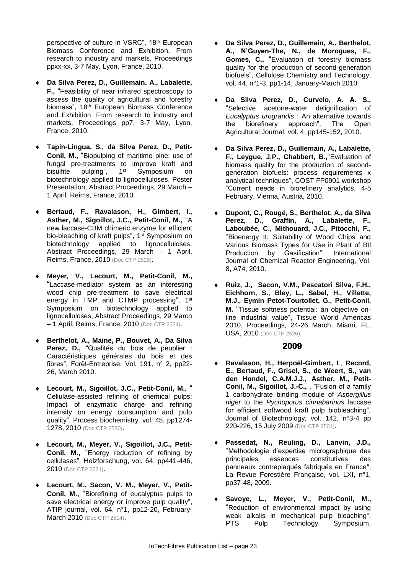perspective of culture in VSRC", 18<sup>th</sup> European Biomass Conference and Exhibition, From research to industry and markets, Proceedings ppxx-xx, 3-7 May, Lyon, France, 2010.

- **Da Silva Perez, D., Guillemain. A., Labalette, F.,** "Feasibility of near infrared spectroscopy to assess the quality of agricultural and forestry biomass", 18<sup>th</sup> European Biomass Conference and Exhibition, From research to industry and markets, Proceedings pp7, 3-7 May, Lyon, France, 2010.
- **Tapin-Lingua, S., da Silva Perez, D., Petit-Conil, M.,** "Biopulping of maritime pine: use of fungal pre-treatments to improve kraft and<br>bisulfite pulping",  $1<sup>st</sup>$  Symposium on bisulfite pulping", 1<sup>st</sup> Symposium on biotechnology applied to lignocelluloses, Poster Presentation, Abstract Proceedings, 29 March – 1 April, Reims, France, 2010.
- **Bertaud, F., Ravalason, H., Gimbert, I., Asther, M., Sigoillot, J.C., Petit-Conil, M.,** "A new laccase-CBM chimeric enzyme for efficient bio-bleaching of kraft pulps", 1<sup>st</sup> Symposium on biotechnology applied to lignocelluloses, Abstract Proceedings, 29 March – 1 April, Reims, France, 2010 (Doc CTP 2525).
- **Meyer, V., Lecourt, M., Petit-Conil, M.,**  "Laccase-mediator system as an interesting wood chip pre-treatment to save electrical energy in TMP and CTMP processing", 1st Symposium on biotechnology applied to lignocelluloses, Abstract Proceedings, 29 March – 1 April, Reims, France, 2010 (Doc CTP 2524).
- **Berthelot, A., Maine, P., Bouvet, A., Da Silva**  Perez, D., "Qualités du bois de peuplier : Caractéristiques générales du bois et des fibres", Forêt-Entreprise, Vol. 191, n° 2, pp22- 26, March 2010.
- **Lecourt, M., Sigoillot, J.C., Petit-Conil, M.,** " Cellulase-assisted refining of chemical pulps: Impact of enzymatic charge and refining intensity on energy consumption and pulp quality", Process biochemistry, vol. 45, pp1274- 1278, 2010 (Doc CTP 2530).
- **Lecourt, M., Meyer, V., Sigoillot, J.C., Petit-Conil, M.,** "Energy reduction of refining by cellulases", Holzforschung, vol. 64, pp441-446, 2010 (Doc CTP 2531).
- **Lecourt, M., Sacon, V. M., Meyer, V., Petit-Conil, M.,** "Biorefining of eucalyptus pulps to save electrical energy or improve pulp quality", ATIP journal, vol. 64, n°1, pp12-20, February-March 2010 (Doc CTP 2514).
- **Da Silva Perez, D., Guillemain, A., Berthelot, A., N'Guyen-The, N., de Morogues, F., Gomes, C.,** "Evaluation of forestry biomass quality for the production of second-generation biofuels", Cellulose Chemistry and Technology, vol. 44, n°1-3, pp1-14, January-March 2010.
- **Da Silva Perez, D., Curvelo, A. A. S.,**  "Selective acetone-water delignification of *Eucalyptus urograndis* : An alternative towards the biorefinery approach", The Open Agricultural Journal, vol. 4, pp145-152, 2010.
- **Da Silva Perez, D., Guillemain, A., Labalette, F., Leygue, J.P., Chabbert, B.,**"Evaluation of biomass quality for the production of secondgeneration biofuels: process requirements x analytical techniques", COST FP0901 workshop "Current needs in biorefinery analytics, 4-5 February, Vienna, Austria, 2010.
- **Dupont, C., Rougé, S., Berthelot, A., da Silva Perez, D., Graffin, A., Labalette, F., Laboubée, C., Mithouard, J.C., Pitocchi, F.,**  "Bioenergy II: Suitability of Wood Chips and Various Biomass Types for Use in Plant of Btl Production by Gasification", International Journal of Chemical Reactor Engineering, Vol. 8, A74, 2010.
- **Ruiz, J., Sacon, V.M., Pescatori Silva, F.H., Eichhorn, S., Bley, L., Sabel, H., Villette, M.J., Eymin Petot-Tourtollet, G., Petit-Conil, M.** "Tissue softness potential: an objective online industrial value", Tissue World Americas 2010, Proceedings, 24-26 March, Miami, FL, USA, 2010 (Doc CTP 2526).

- **Ravalason, H., Herpoël-Gimbert, I**., **Record, E., Bertaud, F., Grisel, S., de Weert, S., van den Hondel, C.A.M.J.J., Asther, M., Petit-Conil, M., Sigoillot, J.-C.,** , "Fusion of a family 1 carbohydrate binding module of *Aspergillus niger* to the *Pycnoporus cinnabarinus* laccase for efficient softwood kraft pulp biobleaching", Journal of Biotechnology, vol. 142, n°3-4 pp 220-226, 15 July 2009 (Doc CTP 2501).
- **Passedat, N., Reuling, D., Lanvin, J.D.,**  "Methodologie d'expertise micrographique des principales essences constitutives des panneaux contreplaqués fabriqués en France", La Revue Forestière Française, vol. LXI, n°1, pp37-48, 2009.
- **Savoye, L., Meyer, V., Petit-Conil, M.,**  "Reduction of environmental impact by using weak alkalis in mechanical pulp bleaching", PTS Pulp Technology Symposium,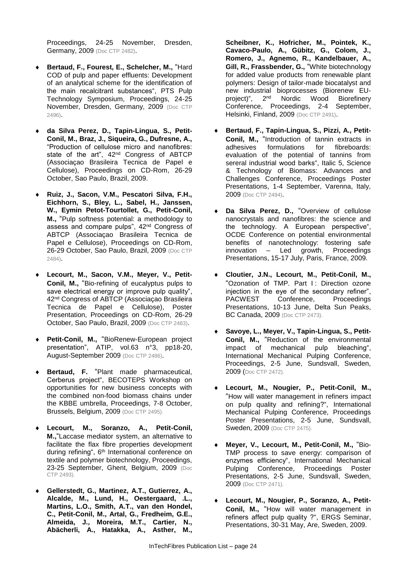Proceedings, 24-25 November, Dresden, Germany, 2009 (Doc CTP 2482).

- **Bertaud, F., Fourest, E., Schelcher, M.,** "Hard COD of pulp and paper effluents: Development of an analytical scheme for the identification of the main recalcitrant substances", PTS Pulp Technology Symposium, Proceedings, 24-25 November, Dresden, Germany, 2009 (Doc CTP 2496).
- **da Silva Perez, D., Tapin-Lingua, S., Petit-Conil, M., Braz, J., Siqueira, G., Dufresne, A.,**  "Production of cellulose micro and nanofibres: state of the art", 42<sup>nd</sup> Congress of ABTCP (Associaçao Brasileira Tecnica de Papel e Cellulose), Proceedings on CD-Rom, 26-29 October, Sao Paulo, Brazil, 2009.
- **Ruiz, J., Sacon, V.M., Pescatori Silva, F.H., Eichhorn, S., Bley, L., Sabel, H., Janssen, W., Eymin Petot-Tourtollet, G., Petit-Conil, M.,** "Pulp softness potential: a methodology to assess and compare pulps", 42nd Congress of ABTCP (Associaçao Brasileira Tecnica de Papel e Cellulose), Proceedings on CD-Rom, 26-29 October, Sao Paulo, Brazil, 2009 (Doc CTP 2484).
- **Lecourt, M., Sacon, V.M., Meyer, V., Petit-Conil, M.,** "Bio-refining of eucalyptus pulps to save electrical energy or improve pulp quality", 42<sup>nd</sup> Congress of ABTCP (Associaçao Brasileira Tecnica de Papel e Cellulose), Poster Presentation, Proceedings on CD-Rom, 26-29 October, Sao Paulo, Brazil, 2009 (Doc CTP 2483).
- **Petit-Conil, M.,** "BioRenew-European project presentation", ATIP, vol.63 n°3, pp18-20, August-September 2009 (Doc CTP 2486).
- **Bertaud, F.** "Plant made pharmaceutical, Cerberus project", BECOTEPS Workshop on opportunities for new business concepts with the combined non-food biomass chains under the KBBE umbrella, Proceedings, 7-8 October, Brussels, Belgium, 2009 (Doc CTP 2495).
- **Lecourt, M., Soranzo, A., Petit-Conil, M.,**"Laccase mediator system, an alternative to facilitate the flax fibre properties development during refining", 6<sup>th</sup> International conference on textile and polymer biotechnology, Proceedings, 23-25 September, Ghent, Belgium, 2009 (Doc CTP 2493).
- **Gellerstedt, G., Martinez, A.T., Gutierrez, A., Alcalde, M., Lund, H., Oestergaard, .L., Martins, L.O., Smith, A.T., van den Hondel, C., Petit-Conil, M., Artal, G., Fredheim, G.E., Almeida, J., Moreira, M.T., Cartier, N., Abächerli, A., Hatakka, A., Asther, M.,**

**Scheibner, K., Hofricher, M., Pointek, K., Cavaco-Paulo, A., Gübitz, G., Colom, J., Romero, J., Agnemo, R., Kandelbauer, A., Gill, R., Frassbender, G.,** "White biotechnology for added value products from renewable plant polymers: Design of tailor-made biocatalyst and new industrial bioprocesses (Biorenew EUproject)", 2nd Nordic Wood Biorefinery Conference, Proceedings, 2-4 September, Helsinki, Finland, 2009 (Doc CTP 2491).

- **Bertaud, F., Tapin-Lingua, S., Pizzi, A., Petit-Conil, M.,** "Introduction of tannin extracts in adhesives formulations for fibreboards: formulations for fibreboards: evaluation of the potential of tannins from sereral industrial wood barks", Italic 5, Science & Technology of Biomass: Advances and Challenges Conference, Proceedings Poster Presentations, 1-4 September, Varenna, Italy, 2009 (Doc CTP 2494).
- **Da Silva Perez, D.,** "Overview of cellulose nanocrystals and nanofibres: the science and the technology. A European perspective", OCDE Conference on potential environmental benefits of nanotechnology: fostering safe innovation – Led growth, Proceedings Presentations, 15-17 July, Paris, France, 2009.
- **Cloutier, J.N., Lecourt, M., Petit-Conil, M.,**  "Ozonation of TMP. Part I: Direction ozone injection in the eye of the secondary refiner", PACWEST Conference. Proceedings Presentations, 10-13 June, Delta Sun Peaks, BC Canada, 2009 (Doc CTP 2473).
- **Savoye, L., Meyer, V., Tapin-Lingua, S., Petit-Conil, M.,** "Reduction of the environmental impact of mechanical pulp bleaching", International Mechanical Pulping Conference, Proceedings, 2-5 June, Sundsvall, Sweden, 2009 (Doc CTP 2472).
- **Lecourt, M., Nougier, P., Petit-Conil, M.,**  "How will water management in refiners impact on pulp quality and refining?", International Mechanical Pulping Conference, Proceedings Poster Presentations, 2-5 June, Sundsvall, Sweden, 2009 (Doc CTP 2475).
- **Meyer, V., Lecourt, M., Petit-Conil, M.,** "Bio-TMP process to save energy: comparison of enzymes efficiency", International Mechanical Pulping Conference, Proceedings Poster Presentations, 2-5 June, Sundsvall, Sweden, 2009 (Doc CTP 2471).
- **Lecourt, M., Nougier, P., Soranzo, A., Petit-Conil, M.,** "How will water management in refiners affect pulp quality ?", ERGS Seminar, Presentations, 30-31 May, Are, Sweden, 2009.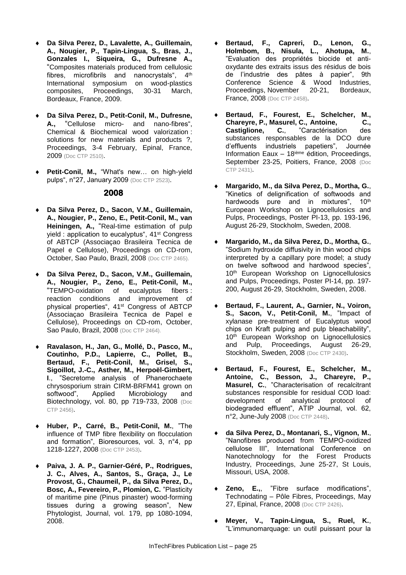- **Da Silva Perez, D., Lavalette, A., Guillemain, A., Nougier, P., Tapin-Lingua, S., Bras, J., Gonzales I., Siqueira, G., Dufresne A.,**  "Composites materials produced from cellulosic fibres, microfibrils and nanocrystals", 4<sup>th</sup> International symposium on wood-plastics composites, Proceedings, 30-31 March, Bordeaux, France, 2009.
- **Da Silva Perez, D., Petit-Conil, M., Dufresne, A.,** "Cellulose micro- and nano-fibres", Chemical & Biochemical wood valorization : solutions for new materials and products ?, Proceedings, 3-4 February, Epinal, France, 2009 (Doc CTP 2510).
- **Petit-Conil, M.,** "What's new… on high-yield pulps", n°27, January 2009 (Doc CTP 2523).

- **Da Silva Perez, D., Sacon, V.M., Guillemain, A., Nougier, P., Zeno, E., Petit-Conil, M., van Heiningen, A.,** "Real-time estimation of pulp yield : application to eucalyptus", 41<sup>st</sup> Congress of ABTCP (Associaçao Brasileira Tecnica de Papel e Cellulose), Proceedings on CD-rom, October, Sao Paulo, Brazil, 2008 (Doc CTP 2465).
- **Da Silva Perez, D., Sacon, V.M., Guillemain, A., Nougier, P., Zeno, E., Petit-Conil, M.,**  "TEMPO-oxidation of eucalyptus fibers : reaction conditions and improvement of physical properties", 41st Congress of ABTCP (Associaçao Brasileira Tecnica de Papel e Cellulose), Proceedings on CD-rom, October, Sao Paulo, Brazil, 2008 (Doc CTP 2464).
- **Ravalason, H., Jan, G., Mollé, D., Pasco, M., Coutinho, P.D., Lapierre, C., Pollet, B., Bertaud, F., Petit-Conil, M., Grisel, S., Sigoillot, J.-C., Asther, M., Herpoël-Gimbert, I**., "Secretome analysis of Phanerochaete chrysosporium strain CIRM-BRFM41 grown on<br>softwood", Applied Microbiology and Applied Microbiology and Biotechnology, vol. 80, pp 719-733, 2008 (Doc CTP 2456).
- **Huber, P., Carré, B., Petit-Conil, M.**, "The influence of TMP fibre flexibility on flocculation and formation", Bioresources, vol. 3, n°4, pp 1218-1227, 2008 (Doc CTP 2453).
- **Paiva, J. A. P., Garnier-Géré, P., Rodrigues, J. C., Alves, A., Santos, S., Graça, J., Le Provost, G., Chaumeil, P., da Silva Perez, D., Bosc, A., Fevereiro, P., Plomion, C.** "Plasticity of maritime pine (Pinus pinaster) wood-forming tissues during a growing season", New Phytologist, Journal, vol. 179, pp 1080-1094, 2008.
- **Bertaud, F., Capreri, D., Lenon, G., Holmbom, B., Nisula, L., Ahotupa, M.**, "Evaluation des propriétés biocide et antioxydante des extraits issus des résidus de bois de l'industrie des pâtes à papier", 9th Conference Science & Wood Industries, Proceedings, November 20-21, Bordeaux, France, 2008 (Doc CTP 2458).
- **Bertaud, F., Fourest, E., Schelcher, M., Chareyre, P., Masurel, C., Antoine, C., Castiglione, C.,**  "Caractérisation des "Caractérisation substances responsables de la DCO dure d'effluents industriels papetiers", Journée Information Eaux  $-18$ <sup>ième</sup> édition, Proceedings, September 23-25, Poitiers, France, 2008 (Doc CTP 2431).
- **Margarido, M., da Silva Perez, D., Mortha, G.**, "Kinetics of delignification of softwoods and<br>hardwoods pure and in mixtures". 10<sup>th</sup> hardwoods pure and in mixtures", European Workshop on Lignocellulosics and Pulps, Proceedings, Poster PI-13, pp. 193-196, August 26-29, Stockholm, Sweden, 2008.
- **Margarido, M., da Silva Perez, D., Mortha, G.**, "Sodium hydroxide diffusivity in thin wood chips interpreted by a capillary pore model; a study on twelve softwood and hardwood species", 10<sup>th</sup> European Workshop on Lignocellulosics and Pulps, Proceedings, Poster PI-14, pp. 197- 200, August 26-29, Stockholm, Sweden, 2008.
- **Bertaud, F., Laurent, A., Garnier, N., Voiron, S., Sacon, V., Petit-Conil, M.**, "Impact of xylanase pre-treatment of Eucalyptus wood chips on Kraft pulping and pulp bleachability", 10<sup>th</sup> European Workshop on Lignocellulosics and Pulp, Proceedings, August 26-29, Stockholm, Sweden, 2008 (Doc CTP 2430).
- **Bertaud, F., Fourest, E., Schelcher, M., Antoine, C., Besson, J., Chareyre, P., Masurel, C.**, "Characterisation of recalcitrant substances responsible for residual COD load: development of analytical protocol of biodegraded effluent", ATIP Journal, vol. 62, n°2, June-July 2008 (Doc CTP 2448).
- **da Silva Perez, D., Montanari, S., Vignon, M.**, "Nanofibres produced from TEMPO-oxidized cellulose III", International Conference on Nanotechnology for the Forest Products Industry, Proceedings, June 25-27, St Louis, Missouri, USA, 2008.
- **Zeno, E.,**, "Fibre surface modifications", Technodating – Pôle Fibres, Proceedings, May 27, Epinal, France, 2008 (Doc CTP 2426).
- **Meyer, V., Tapin-Lingua, S., Ruel, K.**, "L'immunomarquage: un outil puissant pour la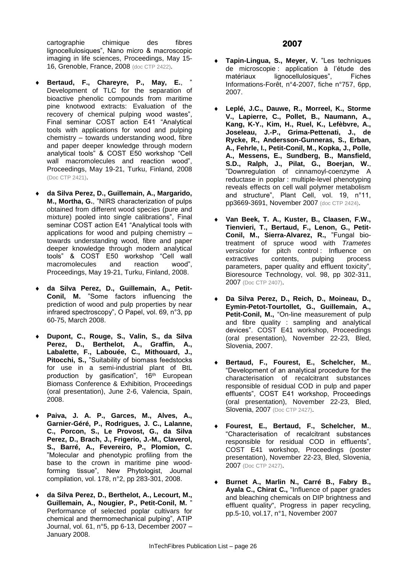cartographie chimique des fibres lignocellulosiques", Nano micro & macroscopic imaging in life sciences, Proceedings, May 15- 16, Grenoble, France, 2008 (doc CTP 2422).

- **Bertaud, F., Chareyre, P., May, E.**, " Development of TLC for the separation of bioactive phenolic compounds from maritime pine knotwood extracts: Evaluation of the recovery of chemical pulping wood wastes", Final seminar COST action E41 "Analytical tools with applications for wood and pulping chemistry – towards understanding wood, fibre and paper deeper knowledge through modern analytical tools" & COST E50 workshop "Cell wall macromolecules and reaction wood", Proceedings, May 19-21, Turku, Finland, 2008 (Doc CTP 2421).
- **da Silva Perez, D., Guillemain, A., Margarido, M., Mortha, G.**, "NIRS characterization of pulps obtained from different wood species (pure and mixture) pooled into single calibrations", Final seminar COST action E41 "Analytical tools with applications for wood and pulping chemistry – towards understanding wood, fibre and paper deeper knowledge through modern analytical tools" & COST E50 workshop "Cell wall macromolecules and reaction wood", Proceedings, May 19-21, Turku, Finland, 2008.
- **da Silva Perez, D., Guillemain, A., Petit-Conil, M.** "Some factors influencing the prediction of wood and pulp properties by near infrared spectroscopy", O Papel, vol. 69, n°3, pp 60-75, March 2008.
- **Dupont, C., Rouge, S., Valin, S., da Silva Perez, D., Berthelot, A., Graffin, A., Labalette, F., Labouée, C., Mithouard, J., Pitocchi, S.,** "Suitability of biomass feedstocks for use in a semi-industrial plant of BtL production by gasification", 16<sup>th</sup> European Biomass Conference & Exhibition, Proceedings (oral presentation), June 2-6, Valencia, Spain, 2008.
- **Paiva, J. A. P., Garces, M., Alves, A., Garnier-Géré, P., Rodrigues, J. C., Lalanne, C., Porcon, S., Le Provost, G., da Silva Perez, D., Brach, J., Frigerio, J.-M., Claverol, S., Barré, A., Fevereiro, P., Plomion, C.**  "Molecular and phenotypic profiling from the base to the crown in maritime pine woodforming tissue", New Phytologist, Journal compilation, vol. 178, n°2, pp 283-301, 2008.
- **da Silva Perez, D., Berthelot, A., Lecourt, M., Guillemain, A., Nougier, P., Petit-Conil, M.** " Performance of selected poplar cultivars for chemical and thermomechanical pulping", ATIP Journal, vol. 61, n°5, pp 6-13, December 2007 – January 2008.
- **Tapin-Lingua, S., Meyer, V.** "Les techniques de microscopie : application à l'étude des<br>matériaux lignocellulosiques", Fiches lignocellulosiques", Fiches Informations-Forêt, n°4-2007, fiche n°757, 6pp, 2007.
- **Leplé, J.C., Dauwe, R., Morreel, K., Storme V., Lapierre, C., Pollet, B., Naumann, A., Kang, K-Y., Kim, H., Ruel, K., Lefèbvre, A., Joseleau, J.-P., Grima-Pettenati, J., de Rycke, R., Andersson-Gunneras, S., Erban, A., Fehrle, I., Petit-Conil, M., Kopka, J., Polle, A., Messens, E., Sundberg, B., Mansfield, S.D., Ralph, J., Pilat, G., Boerjan, W.**, "Downregulation of cinnamoyl-coenzyme A reductase in poplar : multiple-level phenotyping reveals effects on cell wall polymer metabolism and structure", Plant Cell, vol. 19, n°11, pp3669-3691, November 2007 (doc CTP 2424).
- **Van Beek, T. A., Kuster, B., Claasen, F.W., Tienvieri, T., Bertaud, F., Lenon, G., Petit-Conil, M., Sierra-Alvarez, R.,** "Fungal biotreatment of spruce wood with *Trametes versicolor* for pitch control : Influence on extractives contents, pulping process parameters, paper quality and effluent toxicity", Bioresource Technology, vol. 98, pp 302-311, 2007 (Doc CTP 2407).
- **Da Silva Perez, D., Reich, D., Moineau, D., Eymin-Petot-Tourtollet, G., Guillemain, A., Petit-Conil, M.,** "On-line measurement of pulp and fibre quality : sampling and analytical devices". COST E41 workshop, Proceedings (oral presentation), November 22-23, Bled, Slovenia, 2007.
- **Bertaud, F., Fourest, E., Schelcher, M.**, "Development of an analytical procedure for the characterisation of recalcitrant substances responsible of residual COD in pulp and paper effluents", COST E41 workshop, Proceedings (oral presentation), November 22-23, Bled, Slovenia, 2007 (Doc CTP 2427).
- **Fourest, E., Bertaud, F., Schelcher, M.**, "Characterisation of recalcitrant substances responsible for residual COD in effluents", COST E41 workshop, Proceedings (poster presentation), November 22-23, Bled, Slovenia, 2007 (Doc CTP 2427).
- **Burnet A., Marlin N., Carré B., Fabry B., Ayala C., Chirat C.,** "Influence of paper grades and bleaching chemicals on DIP brightness and effluent quality", Progress in paper recycling, pp.5-10, vol.17, n°1, November 2007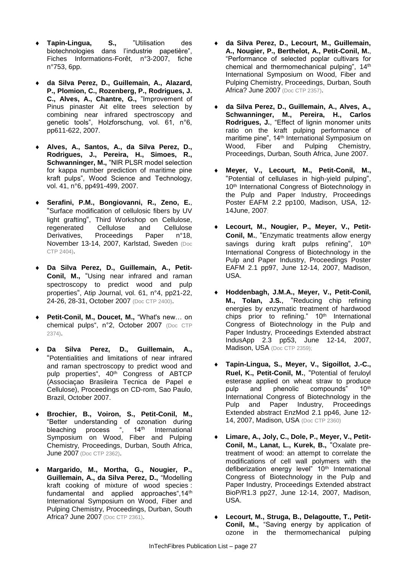- **Tapin-Lingua, S.,** "Utilisation des biotechnologies dans l'industrie papetière", Fiches Informations-Forêt, n°3-2007, fiche n°753, 6pp.
- **da Silva Perez, D., Guillemain, A., Alazard, P., Plomion, C., Rozenberg, P., Rodrigues, J. C., Alves, A., Chantre, G.,** "Improvement of Pinus pinaster Ait elite trees selection by combining near infrared spectroscopy and genetic tools", Holzforschung, vol. 61, n°6, pp611-622, 2007.
- **Alves, A., Santos, A., da Silva Perez, D., Rodrigues, J., Pereira, H., Simoes, R., Schwanninger, M.,** "NIR PLSR model selection for kappa number prediction of maritime pine kraft pulps", Wood Science and Technology, vol. 41, n°6, pp491-499, 2007.
- **Serafini, P.M., Bongiovanni, R., Zeno, E.**, "Surface modification of cellulosic fibers by UV light grafting", Third Workshop on Cellulose, regenerated Cellulose and Cellulose Derivatives, Proceedings Paper n°18, November 13-14, 2007, Karlstad, Sweden (Doc CTP 2404).
- **Da Silva Perez, D., Guillemain, A., Petit-Conil, M.,** "Using near infrared and raman spectroscopy to predict wood and pulp properties", Atip Journal, vol. 61, n°4, pp21-22, 24-26, 28-31, October 2007 (Doc CTP 2400).
- **Petit-Conil, M., Doucet, M.,** "What's new… on chemical pulps", n°2, October 2007 (Doc CTP 2374).
- **Da Silva Perez, D., Guillemain, A.,**  "Potentialities and limitations of near infrared and raman spectroscopy to predict wood and pulp properties", 40<sup>th</sup> Congress of ABTCP (Associaçao Brasileira Tecnica de Papel e Cellulose), Proceedings on CD-rom, Sao Paulo, Brazil, October 2007.
- **Brochier, B., Voiron, S., Petit-Conil, M.,** "Better understanding of ozonation during<br>bleaching process ",  $14<sup>th</sup>$  International bleaching process Symposium on Wood, Fiber and Pulping Chemistry, Proceedings, Durban, South Africa, **June 2007** (Doc CTP 2362).
- **Margarido, M., Mortha, G., Nougier, P., Guillemain, A., da Silva Perez, D.,** "Modelling kraft cooking of mixture of wood species : fundamental and applied approaches", 14<sup>th</sup> International Symposium on Wood, Fiber and Pulping Chemistry, Proceedings, Durban, South Africa? June 2007 (Doc CTP 2361).
- **da Silva Perez, D., Lecourt, M., Guillemain, A., Nougier, P., Berthelot, A., Petit-Conil, M.**, "Performance of selected poplar cultivars for chemical and thermomechanical pulping", 14th International Symposium on Wood, Fiber and Pulping Chemistry, Proceedings, Durban, South Africa? June 2007 (Doc CTP 2357).
- **da Silva Perez, D., Guillemain, A., Alves, A., Schwanninger, M., Pereira, H., Carlos Rodrigues, J.**, "Effect of lignin monomer units ratio on the kraft pulping performance of maritime pine", 14th International Symposium on Wood, Fiber and Pulping Chemistry, Proceedings, Durban, South Africa, June 2007.
- **Meyer, V., Lecourt, M., Petit-Conil, M.,** "Potential of cellulases in high-yield pulping", 10<sup>th</sup> International Congress of Biotechnology in the Pulp and Paper Industry, Proceedings Poster EAFM 2.2 pp100, Madison, USA, 12- 14June, 2007;
- **Lecourt, M., Nougier, P., Meyer, V., Petit-Conil, M.**, "Enzymatic treatments allow energy savings during kraft pulps refining", 10<sup>th</sup> International Congress of Biotechnology in the Pulp and Paper Industry, Proceedings Poster EAFM 2.1 pp97, June 12-14, 2007, Madison, USA.
- **Hoddenbagh, J.M.A., Meyer, V., Petit-Conil, M., Tolan, J.S.**, "Reducing chip refining energies by enzymatic treatment of hardwood chips prior to refining." 10<sup>th</sup> International Congress of Biotechnology in the Pulp and Paper Industry, Proceedings Extended abstract IndusApp 2.3 pp53, June 12-14, 2007, Madison, USA (Doc CTP 2359);
- **Tapin-Lingua, S., Meyer, V., Sigoillot, J.-C., Ruel, K., Petit-Conil, M.**, "Potential of feruloyl esterase applied on wheat straw to produce pulp and phenolic compounds" 10<sup>th</sup> International Congress of Biotechnology in the Pulp and Paper Industry, Proceedings Extended abstract EnzMod 2.1 pp46, June 12- 14, 2007, Madison, USA (Doc CTP 2360)
- **Limare, A., Joly, C., Dole, P., Meyer, V., Petit-Conil, M., Lanat, L., Kurek, B.,** "Oxalate pretreatment of wood: an attempt to correlate the modifications of cell wall polymers with the defiberization energy level" 10<sup>th</sup> International Congress of Biotechnology in the Pulp and Paper Industry, Proceedings Extended abstract BioP/R1.3 pp27, June 12-14, 2007, Madison, USA.
- **Lecourt, M., Struga, B., Delagoutte, T., Petit-Conil, M.,** "Saving energy by application of ozone in the thermomechanical pulping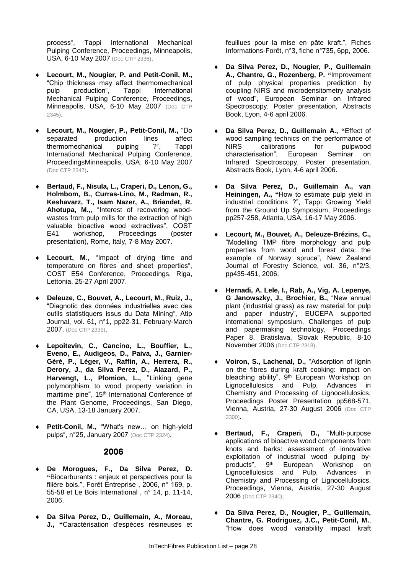process", Tappi International Mechanical Pulping Conference, Proceedings, Minneapolis, USA, 6-10 May 2007 (Doc CTP 2336).

- **Lecourt, M., Nougier, P. and Petit-Conil, M.,**  "Chip thickness may affect thermomechanical pulp production", Tappi International Mechanical Pulping Conference, Proceedings, Minneapolis, USA, 6-10 May 2007 (Doc CTP 2345).
- **Lecourt, M., Nougier, P., Petit-Conil, M., "Do separated production lines affect** production lines<br>ical pulping ?", thermomechanical pulping ?", Tappi International Mechanical Pulping Conference, ProceedingsMinneapolis, USA, 6-10 May 2007 (Doc CTP 2347).
- **Bertaud, F., Nisula, L., Craperi, D., Lenon, G., Holmbom, B., Curras-Lino, M., Radman, R., Keshavarz, T., Isam Nazer, A., Briandet, R. Ahotupa, M.,**, "Interest of recovering woodwastes from pulp mills for the extraction of high valuable bioactive wood extractives", COST E41 workshop, Proceedings (poster presentation), Rome, Italy, 7-8 May 2007.
- **Lecourt, M.,** "Impact of drying time and temperature on fibres and sheet properties", COST E54 Conference, Proceedings, Riga, Lettonia, 25-27 April 2007.
- **Deleuze, C., Bouvet, A., Lecourt, M., Ruiz, J.,**  "Diagnotic des données industrielles avec des outils statistiquers issus du Data Mining", Atip Journal, vol. 61, n°1, pp22-31, February-March 2007, (Doc CTP 2339).
- **Lepoitevin, C., Cancino, L., Bouffier, L., Eveno, E., Audigeos, D., Paiva, J., Garnier-Géré, P., Léger, V., Raffin, A., Herrera, R., Derory, J., da Silva Perez, D., Alazard, P., Harvengt, L., Plomion, L.,** "Linking gene polymorphism to wood property variation in maritime pine", 15<sup>th</sup> International Conference of the Plant Genome, Proceedings, San Diego, CA, USA, 13-18 January 2007.
- **Petit-Conil, M.,** "What's new… on high-yield pulps", n°25, January 2007 (Doc CTP 2324).

#### **2006**

- **De Morogues, F., Da Silva Perez, D. "**Biocarburants : enjeux et perspectives pour la filière bois.", Forêt Entreprise , 2006, n° 169, p. 55-58 et Le Bois International , n° 14, p. 11-14, 2006.
- **Da Silva Perez, D., Guillemain, A., Moreau, J., "**Caractérisation d'espèces résineuses et

feuillues pour la mise en pâte kraft.", Fiches Informations-Forêt, n°3, fiche n°735, 6pp, 2006.

- **Da Silva Perez, D., Nougier, P., Guillemain A., Chantre, G., Rozenberg, P. "**Improvement of pulp physical properties prediction by coupling NIRS and microdensitometry analysis of wood", European Seminar on Infrared Spectroscopy, Poster presentation, Abstracts Book, Lyon, 4-6 april 2006.
- **Da Silva Perez, D., Guillemain A., "**Effect of wood sampling technics on the performance of<br>NIRS calibrations for pulpwood NIRS calibrations for pulpwood<br>characterisation", European Seminar on European Seminar on Infrared Spectroscopy, Poster presentation, Abstracts Book, Lyon, 4-6 april 2006.
- **Da Silva Perez, D., Guillemain A., van Heiningen, A., "**How to estimate pulp yield in industrial conditions ?", Tappi Growing Yield from the Ground Up Symposium, Proceedings pp257-258, Atlanta, USA, 16-17 May 2006.
- **Lecourt, M., Bouvet, A., Deleuze-Brézins, C.,** "Modelling TMP fibre morphology and pulp properties from wood and forest data: the example of Norway spruce", New Zealand Journal of Forestry Science, vol. 36, n°2/3, pp435-451, 2006.
- **Hernadi, A. Lele, I., Rab, A., Vig, A. Lepenye, G Janowszky, J., Brochier, B.,** "New annual plant (industrial grass) as raw material for pulp and paper industry", EUCEPA supported international symposium, Challenges of pulp and papermaking technology, Proceedings Paper 8, Bratislava, Slovak Republic, 8-10 November 2006 (Doc CTP 2318).
- **Voiron, S., Lachenal, D.,** "Adsorption of lignin on the fibres during kraft cooking: impact on bleaching ability", 9<sup>th</sup> European Workshop on Lignocellulosics and Pulp, Advances in Chemistry and Processing of Lignocellulosics, Proceedings Poster Presentation pp568-571, Vienna, Austria, 27-30 August 2006 (Doc CTP 2300).
- **Bertaud, F., Craperi, D.,** "Multi-purpose applications of bioactive wood components from knots and barks: assessment of innovative exploitation of industrial wood pulping by-<br>products", 9<sup>th</sup> European Workshop on European Workshop on Lignocellulosics and Pulp, Advances in Chemistry and Processing of Lignocellulosics, Proceedings, Vienna, Austria, 27-30 August 2006 (Doc CTP 2340).
- **Da Silva Perez, D., Nougier, P., Guillemain, Chantre, G. Rodriguez, J.C., Petit-Conil, M.**, "How does wood variability impact kraft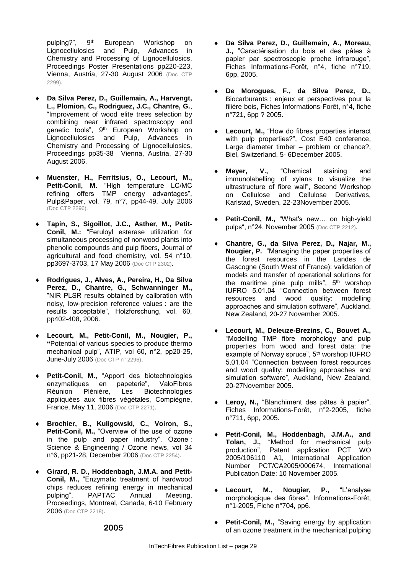pulping?", 9th European Workshop on Lignocellulosics and Pulp, Advances in Chemistry and Processing of Lignocellulosics, Proceedings Poster Presentations pp220-223, Vienna, Austria, 27-30 August 2006 (Doc CTP 2299).

- **Da Silva Perez, D., Guillemain, A., Harvengt, L., Plomion, C., Rodriguez, J.C., Chantre, G.**, "Improvement of wood elite trees selection by combining near infrared spectroscopy and genetic tools", 9<sup>th</sup> European Workshop on Lignocellulosics and Pulp, Advances in Chemistry and Processing of Lignocellulosics, Proceedings pp35-38 Vienna, Austria, 27-30 August 2006.
- **Muenster, H., Ferritsius, O., Lecourt, M., Petit-Conil, M.** "High temperature LC/MC refining offers TMP energy advantages", Pulp&Paper, vol. 79, n°7, pp44-49, July 2006 (Doc CTP 2296).
- **Tapin, S., Sigoillot, J.C., Asther, M., Petit-Conil, M.:** "Feruloyl esterase utilization for simultaneous processing of nonwood plants into phenolic compounds and pulp fibers, Journal of agricultural and food chemistry, vol. 54 n°10, pp3697-3703, 17 May 2006 (Doc CTP 2302).
- **Rodrigues, J., Alves, A., Pereira, H., Da Silva Perez, D., Chantre, G., Schwanninger M.,** "NIR PLSR results obtained by calibration with noisy, low-precision reference values : are the results acceptable", Holzforschung, vol. 60, pp402-408, 2006.
- **Lecourt, M., Petit-Conil, M., Nougier, P., "**Potential of various species to produce thermo mechanical pulp", ATIP, vol 60, n°2, pp20-25, June-July 2006 (Doc CTP n° 2296).
- **Petit-Conil, M.,** "Apport des biotechnologies enzymatiques en papeterie", ValoFibres<br>Réunion Plénière, Les Biotechnologies **Biotechnologies** appliquées aux fibres végétales, Compiègne, France, May 11, 2006 (Doc CTP 2271).
- **Brochier, B., Kuligowski, C., Voiron, S., Petit-Conil, M.,** "Overview of the use of ozone in the pulp and paper industry", Ozone : Science & Engineering / Ozone news, vol 34 n°6, pp21-28, December 2006 (Doc CTP 2254).
- **Girard, R. D., Hoddenbagh, J.M.A. and Petit-Conil, M.,** "Enzymatic treatment of hardwood chips reduces refining energy in mechanical pulping", PAPTAC Annual Meeting, Proceedings, Montreal, Canada, 6-10 February 2006 (Doc CTP 2218).
- **Da Silva Perez, D., Guillemain, A., Moreau, J.,** "Caractérisation du bois et des pâtes à papier par spectroscopie proche infrarouge", Fiches Informations-Forêt, n°4, fiche n°719, 6pp, 2005.
- **De Morogues, F., da Silva Perez, D.,**  Biocarburants : enjeux et perspectives pour la filière bois, Fiches Informations-Forêt, n°4, fiche n°721, 6pp ? 2005.
- **Lecourt, M.,** "How do fibres properties interact with pulp properties?", Cost E40 conference, Large diameter timber – problem or chance?, Biel, Switzerland, 5- 6December 2005.
- **Meyer, V.,** "Chemical staining and immunolabelling of xylans to visualize the ultrastructure of fibre wall", Second Workshop on Cellulose and Cellulose Derivatives, Karlstad, Sweden, 22-23November 2005.
- **Petit-Conil, M.,** "What's new… on high-yield pulps", n°24, November 2005 (Doc CTP 2212).
- **Chantre, G., da Silva Perez, D., Najar, M., Nougier, P.** "Managing the paper properties of the forest resources in the Landes de Gascogne (South West of France): validation of models and transfer of operational solutions for the maritime pine pulp mills", 5<sup>th</sup> worshop IUFRO 5.01.04 "Connection between forest resources and wood quality: modelling approaches and simulation software", Auckland, New Zealand, 20-27 November 2005.
- **Lecourt, M., Deleuze-Brezins, C., Bouvet A.,** "Modelling TMP fibre morphology and pulp properties from wood and forest data: the example of Norway spruce", 5<sup>th</sup> worshop IUFRO 5.01.04 "Connection between forest resources and wood quality: modelling approaches and simulation software", Auckland, New Zealand, 20-27November 2005.
- **Leroy, N.,** "Blanchiment des pâtes à papier", Fiches Informations-Forêt, n°2-2005, fiche n°711, 6pp, 2005.
- **Petit-Conil, M., Hoddenbagh, J.M.A., and Tolan, J.,** "Method for mechanical pulp production", Patent application PCT WO 2005/106110 A1, International Application Number PCT/CA2005/000674, International Publication Date: 10 November 2005.
- **Lecourt, M., Nougier, P.,** "L'analyse morphologique des fibres", Informations-Forêt, n°1-2005, Fiche n°704, pp6.
- **Petit-Conil, M.,** "Saving energy by application of an ozone treatment in the mechanical pulping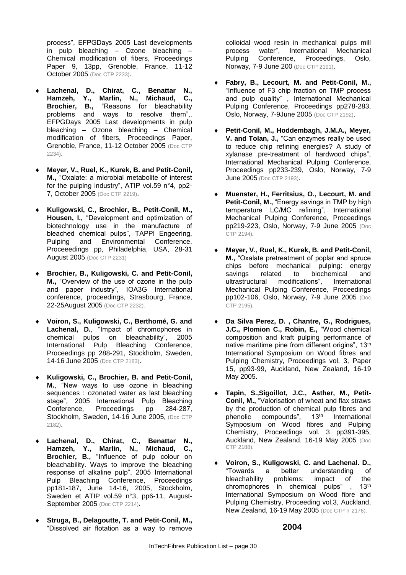process", EFPGDays 2005 Last developments in pulp bleaching – Ozone bleaching – Chemical modification of fibers, Proceedings Paper 9, 13pp, Grenoble, France, 11-12 October 2005 (Doc CTP 2233).

- **Lachenal, D., Chirat, C., Benattar N., Hamzeh, Y., Marlin, N., Michaud, C., Brochier, B.,** "Reasons for bleachability problems and ways to resolve them",. EFPGDays 2005 Last developments in pulp bleaching – Ozone bleaching – Chemical modification of fibers, Proceedings Paper, Grenoble, France, 11-12 October 2005 (Doc CTP 2234).
- **Meyer, V., Ruel, K., Kurek, B. and Petit-Conil, M.,** "Oxalate: a microbial metabolite of interest for the pulping industry", ATIP vol.59 n°4, pp2- 7, October 2005 (Doc CTP 2219).
- **Kuligowski, C., Brochier, B., Petit-Conil, M., Housen, I.,** "Development and optimization of biotechnology use in the manufacture of bleached chemical pulps", TAPPI Engeering, Pulping and Environmental Conference, Proceeedings pp, Philadelphia, USA, 28-31 August 2005 (Doc CTP 2231)
- **Brochier, B., Kuligowski, C. and Petit-Conil, M.,** "Overview of the use of ozone in the pulp and paper industry", IOA3G International conference, proceedings, Strasbourg, France, 22-25August 2005 (Doc CTP 2232).
- **Voiron, S., Kuligowski, C., Berthomé, G. and Lachenal, D.**, "Impact of chromophores in chemical pulps on bleachability", 2005 International Pulp Bleaching Conference, Proceedings pp 288-291, Stockholm, Sweden, 14-16 June 2005 (Doc CTP 2183).
- **Kuligowski, C., Brochier, B. and Petit-Conil, M.**, "New ways to use ozone in bleaching sequences : ozonated water as last bleaching stage", 2005 International Pulp Bleaching Conference, Proceedings pp 284-287, Stockholm, Sweden, 14-16 June 2005, (Doc CTP 2182).
- **Lachenal, D., Chirat, C., Benattar N., Hamzeh, Y., Marlin, N., Michaud, C., Brochier, B.,** "Influence of pulp colour on bleachability. Ways to improve the bleaching response of alkaline pulp", 2005 International Pulp Bleaching Conference, Proceedings pp181-187, June 14-16, 2005, Stockholm, Sweden et ATIP vol.59 n°3, pp6-11, August-September 2005 (Doc CTP 2214).
- **Struga, B., Delagoutte, T. and Petit-Conil, M.,**  "Dissolved air flotation as a way to remove

colloidal wood resin in mechanical pulps mill<br>process water". International Mechanical process water", International Mechanical<br>Pulping Conference, Proceedings, Oslo, Proceedings, Oslo, Norway, 7-9 June 200 (Doc CTP 2191).

- **Fabry, B., Lecourt, M. and Petit-Conil, M.,**  "Influence of F3 chip fraction on TMP process and pulp quality" , International Mechanical Pulping Conference, Proceedings pp278-283, Oslo, Norway, 7-9June 2005 (Doc CTP 2192).
- **Petit-Conil, M., Hoddembagh, J.M.A., Meyer, V. and Tolan, J.,** "Can enzymes really be used to reduce chip refining energies? A study of xylanase pre-treatment of hardwood chips", International Mechanical Pulping Conference, Proceedings pp233-239, Oslo, Norway, 7-9 **June 2005** (Doc CTP 2193).
- **Muenster, H., Ferritsius, O., Lecourt, M. and Petit-Conil, M.,** "Energy savings in TMP by high temperature LC/MC refining", International Mechanical Pulping Conference, Proceedings pp219-223, Oslo, Norway, 7-9 June 2005 (Doc CTP 2194).
- **Meyer, V., Ruel, K., Kurek, B. and Petit-Conil, M.,** "Oxalate pretreatment of poplar and spruce chips before mechanical pulping: energy savings related to biochemical and ultrastructural modifications", International Mechanical Pulping Conference, Proceedings pp102-106, Oslo, Norway, 7-9 June 2005 (Doc CTP 2195).
- **Da Silva Perez, D. , Chantre, G., Rodrigues, J.C., Plomion C., Robin, E.,** "Wood chemical composition and kraft pulping performance of native maritime pine from different origins", 13<sup>th</sup> International Symposium on Wood fibres and Pulping Chemistry, Proceedings vol. 3, Paper 15, pp93-99, Auckland, New Zealand, 16-19 May 2005.
- **Tapin, S.,Sigoillot, J.C., Asther, M., Petit-Conil, M.,** "Valorisation of wheat and flax straws by the production of chemical pulp fibres and phenolic compounds", 13<sup>th</sup> International Symposium on Wood fibres and Pulping Chemistry, Proceedings vol. 3 pp391-395, Auckland, New Zealand, 16-19 May 2005 (Doc CTP 2188).
- **Voiron, S., Kuligowski, C. and Lachenal. D.,**  "Towards a better understanding of bleachability problems: impact of the chromophores in chemical pulps", 13<sup>th</sup> International Symposium on Wood fibre and Pulping Chemistry, Proceeding vol.3, Auckland, New Zealand, 16-19 May 2005 (Doc CTP n°2176).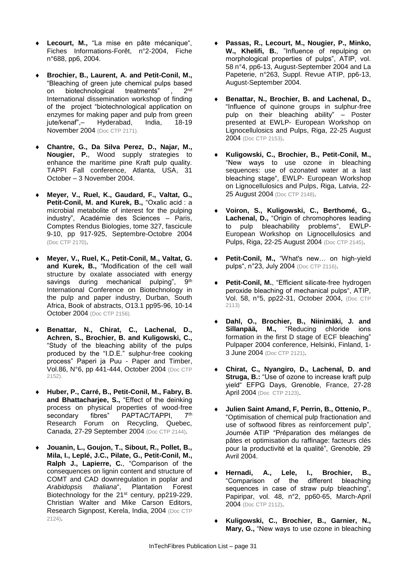- **Lecourt, M.,** "La mise en pâte mécanique", Fiches Informations-Forêt, n°2-2004, Fiche n°688, pp6, 2004.
- **Brochier, B., Laurent, A. and Petit-Conil, M.,** "Bleaching of green jute chemical pulps based on biotechnological treatments" 2<sup>nd</sup> International dissemination workshop of finding of the project "biotechnological application on enzymes for making paper and pulp from green<br>jute/kenaf",- Hyderabad, India, 18-19 Hyderabad, November 2004 (Doc CTP 2171).
- **Chantre, G., Da Silva Perez, D., Najar, M., Nougier, P.**, Wood supply strategies to enhance the maritime pine Kraft pulp quality. TAPPI Fall conference, Atlanta, USA, 31 October – 3 November 2004.
- **Meyer, V., Ruel, K., Gaudard, F., Valtat, G., Petit-Conil, M. and Kurek, B.,** "Oxalic acid : a microbial metabolite of interest for the pulping industry", Académie des Sciences – Paris, Comptes Rendus Biologies, tome 327, fascicule 9-10, pp 917-925, Septembre-Octobre 2004 (Doc CTP 2170).
- **Meyer, V., Ruel, K., Petit-Conil, M., Valtat, G. and Kurek, B.,** "Modification of the cell wall structure by oxalate associated with energy savings during mechanical pulping", 9<sup>th</sup> International Conference on Biotechnology in the pulp and paper industry, Durban, South Africa, Book of abstracts, O13.1 pp95-96, 10-14 October 2004 (Doc CTP 2156).
- **Benattar, N., Chirat, C., Lachenal, D., Achren, S., Brochier, B. and Kuligowski, C.,** "Study of the bleaching ability of the pulps produced by the "I.D.E." sulphur-free cooking process" Paperi ja Puu - Paper and Timber, Vol.86, N°6, pp 441-444, October 2004 (Doc CTP 2152).
- **Huber, P., Carré, B., Petit-Conil, M., Fabry, B. and Bhattacharjee, S.,** "Effect of the deinking process on physical properties of wood-free<br>secondary fibres" PAPTAC/TAPPI 7th secondary fibres" PAPTAC/TAPPI, Research Forum on Recycling, Quebec, Canada, 27-29 September 2004 (Doc CTP 2144).
- **Jouanin, L., Goujon, T., Sibout, R., Pollet, B., Mila, I., Leplé, J.C., Pilate, G., Petit-Conil, M., Ralph J., Lapierre, C.**, "Comparison of the consequences on lignin content and structure of COMT and CAD downregulation in poplar and *Arabidopsis thaliana*", Plantation Forest Biotechnology for the 21st century, pp219-229, Christian Walter and Mike Carson Editors, Research Signpost, Kerela, India, 2004 (Doc CTP 2124).
- **Passas, R., Lecourt, M., Nougier, P., Minko, W., Khelifi, B.**, "Influence of repulping on morphological properties of pulps", ATIP, vol. 58 n°4, pp6-13, August-September 2004 and La Papeterie, n°263, Suppl. Revue ATIP, pp6-13, August-September 2004.
- **Benattar, N., Brochier, B. and Lachenal, D.,** "Influence of quinone groups in sulphur-free pulp on their bleaching ability" – Poster presented at EWLP- European Workshop on Lignocellulosics and Pulps, Riga, 22-25 August 2004 (Doc CTP 2153).
- **Kuligowski, C., Brochier, B., Petit-Conil, M.,**  "New ways to use ozone in bleaching sequences: use of ozonated water at a last bleaching stage", EWLP- European Workshop on Lignocellulosics and Pulps, Riga, Latvia, 22- 25 August 2004 (Doc CTP 2148).
- **Voiron, S., Kuligowski, C., Berthomé, G., Lachenal, D.,** "Origin of chromophores leading to pulp bleachability problems", EWLP-European Workshop on Lignocellulosics and Pulps, Riga, 22-25 August 2004 (Doc CTP 2145).
- **Petit-Conil, M.,** "What's new… on high-yield pulps", n°23, July 2004 (Doc CTP 2116).
- **Petit-Conil, M.**, "Efficient silicate-free hydrogen peroxide bleaching of mechanical pulps", ATIP, Vol. 58, n°5, pp22-31, October 2004, (Doc CTP 2113)
- **Dahl, O., Brochier, B., Niinimäki, J. and Sillanpää, M.,** "Reducing chloride ions formation in the first D stage of ECF bleaching" Pulpaper 2004 conference, Helsinki, Finland, 1- 3 June 2004 (Doc CTP 2121).
- **Chirat, C., Nyangiro, D., Lachenal, D. and Struga, B.:** "Use of ozone to increase kraft pulp yield" EFPG Days, Grenoble, France, 27-28 April 2004 (Doc CTP 2123).
- **Julien Saint Amand, F, Perrin, B., Ottenio, P.**, "Optimisation of chemical pulp fractionation and use of softwood fibres as reinforcement pulp", Journée ATIP "Préparation des mélanges de pâtes et optimisation du raffinage: facteurs clés pour la productivité et la qualité", Grenoble, 29 Avril 2004.
- **Hernadi, A., Lele, I., Brochier, B.,**  "Comparison of the different bleaching sequences in case of straw pulp bleaching", Papiripar, vol. 48, n°2, pp60-65, March-April 2004 (Doc CTP 2112).
- **Kuligowski, C., Brochier, B., Garnier, N., Mary, G.,** "New ways to use ozone in bleaching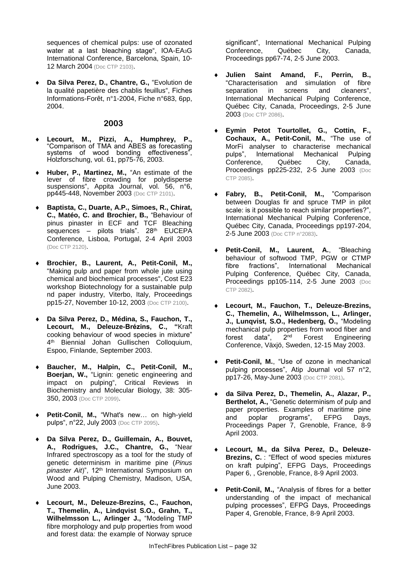sequences of chemical pulps: use of ozonated water at a last bleaching stage", IOA-EA<sub>3</sub>G International Conference, Barcelona, Spain, 10- 12 March 2004 (Doc CTP 2103).

 **Da Silva Perez, D., Chantre, G.,** "Evolution de la qualité papetière des chablis feuillus", Fiches Informations-Forêt, n°1-2004, Fiche n°683, 6pp, 2004.

#### **2003**

- **Lecourt, M., Pizzi, A., Humphrey, P.,** "Comparison of TMA and ABES as forecasting systems of wood bonding effectiveness", Holzforschung, vol. 61, pp75-76, 2003.
- **Huber, P., Martinez, M.,** "An estimate of the lever of fibre crowding for polydisperse suspensions", Appita Journal, vol. 56, n°6, pp445-448, November 2003 (Doc CTP 2101).
- **Baptista, C., Duarte, A.P., Simoes, R., Chirat, C., Matéo, C. and Brochier, B.,** "Behaviour of pinus pinaster in ECF and TCF Bleaching sequences – pilots trials". 28<sup>th</sup> EUCEPA Conference, Lisboa, Portugal, 2-4 April 2003 (Doc CTP 2120).
- **Brochier, B., Laurent, A., Petit-Conil, M.,**  "Making pulp and paper from whole jute using chemical and biochemical processes", Cost E23 workshop Biotechnology for a sustainable pulp nd paper industry, Viterbo, Italy, Proceedings pp15-27, November 10-12, 2003 (Doc CTP 2100).
- **Da Silva Perez, D., Médina, S., Fauchon, T., Lecourt, M., Deleuze-Brézins, C., "**Kraft cooking behaviour of wood species in mixture" 4 th Biennial Johan Gullischen Colloquium, Espoo, Finlande, September 2003.
- **Baucher, M., Halpin, C., Petit-Conil, M., Boerjan, W.,** "Lignin: genetic engineering and impact on pulping", Critical Reviews in Biochemistry and Molecular Biology, 38: 305- 350, 2003 (Doc CTP 2099).
- **Petit-Conil, M.,** "What's new… on high-yield pulps", n°22, July 2003 (Doc CTP 2095).
- **Da Silva Perez, D., Guillemain, A., Bouvet, A., Rodrigues, J.C., Chantre, G.,** "Near Infrared spectroscopy as a tool for the study of genetic determinism in maritime pine (*Pinus*  pinaster Ait)", 12<sup>th</sup> International Symposium on Wood and Pulping Chemistry, Madison, USA, June 2003.
- **Lecourt, M., Deleuze-Brezins, C., Fauchon, T., Themelin, A., Lindqvist S.O., Grahn, T., Wilhelmsson L., Arlinger J.,** "Modeling TMP fibre morphology and pulp properties from wood and forest data: the example of Norway spruce

significant", International Mechanical Pulping<br>Conference. Québec City. Canada. Conference, Québec City, Proceedings pp67-74, 2-5 June 2003.

- **Julien Saint Amand, F., Perrin, B.,**  "Characterisation and simulation of fibre separation in screens and cleaners", International Mechanical Pulping Conference, Québec City, Canada, Proceedings, 2-5 June 2003 (Doc CTP 2086).
- **Eymin Petot Tourtollet, G., Cottin, F., Cochaux, A., Petit-Conil, M.**, "The use of MorFi analyser to characterise mechanical<br>pulps", International Mechanical Pulping pulps", International Mechanical Conference, Québec City, Canada, Proceedings pp225-232, 2-5 June 2003 (Doc CTP 2085).
- **Fabry, B., Petit-Conil, M.,** "Comparison between Douglas fir and spruce TMP in pilot scale: is it possible to reach similar properties?", International Mechanical Pulping Conference, Québec City, Canada, Proceedings pp197-204, 2-5 June 2003 (Doc CTP n°2083).
- **Petit-Conil, M., Laurent, A.**, "Bleaching behaviour of softwood TMP, PGW or CTMP fibre fractions", International Mechanical Pulping Conference, Québec City, Canada, Proceedings pp105-114, 2-5 June 2003 (Doc CTP 2082).
- **Lecourt, M., Fauchon, T., Deleuze-Brezins, C., Themelin, A., Wilhelmsson, L., Arlinger, J., Lunqvist, S.O., Hedenberg, Ö.,** "Modeling mechanical pulp properties from wood fiber and forest data", 2nd Forest Engineering Conference, Växjö, Sweden, 12-15 May 2003.
- **Petit-Conil, M.**, "Use of ozone in mechanical pulping processes", Atip Journal vol 57 n°2, pp17-26, May-June 2003 (Doc CTP 2081).
- **da Silva Perez, D., Themelin, A., Alazar, P., Berthelot, A.,** "Genetic determinism of pulp and paper properties. Examples of maritime pine and poplar programs", EFPG Days, Proceedings Paper 7, Grenoble, France, 8-9 April 2003.
- **Lecourt, M., da Silva Perez, D., Deleuze-Brezins, C.** : "Effect of wood species mixtures on kraft pulping", EFPG Days, Proceedings Paper 6, , Grenoble, France, 8-9 April 2003.
- Petit-Conil, M., "Analysis of fibres for a better understanding of the impact of mechanical pulping processes", EFPG Days, Proceedings Paper 4, Grenoble, France, 8-9 April 2003.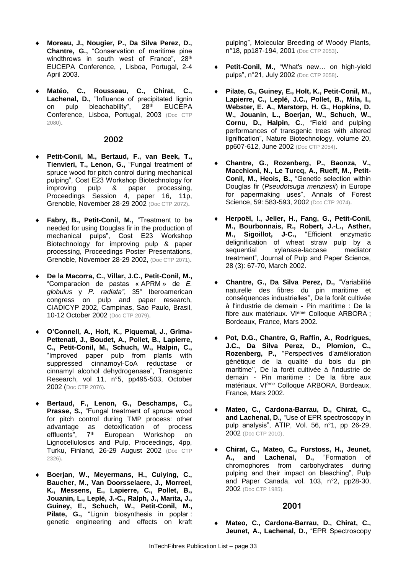- **Moreau, J., Nougier, P., Da Silva Perez, D., Chantre, G.,** "Conservation of maritime pine windthrows in south west of France", 28th EUCEPA Conference, , Lisboa, Portugal, 2-4 April 2003.
- **Matéo, C., Rousseau, C., Chirat, C.,**  Lachenal, D., "Influence of precipitated lignin<br>on pulp bleachability", 28<sup>th</sup> EUCEPA on pulp bleachability", Conference, Lisboa, Portugal, 2003 (Doc CTP 2080).

#### **2002**

- **Petit-Conil, M., Bertaud, F., van Beek, T., Tienvieri, T., Lenon, G.,** "Fungal treatment of spruce wood for pitch control during mechanical pulping", Cost E23 Workshop Biotechnology for<br>
improving pulp & paper processing, improving pulp & paper processing, Proceedings Session 4, paper 16, 11p, Grenoble, November 28-29 2002 (Doc CTP 2072).
- **Fabry, B., Petit-Conil, M.,** "Treatment to be needed for using Douglas fir in the production of mechanical pulps", Cost E23 Workshop Biotechnology for improving pulp & paper processing, Proceedings Poster Presentations, Grenoble, November 28-29 2002, (Doc CTP 2071).
- **De la Macorra, C., Villar, J.C., Petit-Conil, M.,** "Comparacion de pastas « APRM » de *E. globulus* y *P. radiata"*, 35° Iberoamerican congress on pulp and paper research, CIADICYP 2002, Campinas, Sao Paulo, Brasil, 10-12 October 2002 (Doc CTP 2079).
- **O'Connell, A., Holt, K., Piquemal, J., Grima-Pettenati, J., Boudet, A., Pollet, B., Lapierre, C., Petit-Conil, M., Schuch, W., Halpin, C.,** "Improved paper pulp from plants with suppressed cinnamoyl-CoA reductase or cinnamyl alcohol dehydrogenase", Transgenic Research, vol 11, n°5, pp495-503, October 2002 (Doc CTP 2076).
- **Bertaud, F., Lenon, G., Deschamps, C., Prasse, S.,** "Fungal treatment of spruce wood for pitch control during TMP process: other advantage as detoxification of process<br>effluents".  $7<sup>th</sup>$  European Workshop on effluents", 7<sup>th</sup> European Workshop on Lignocellulosics and Pulp, Proceedings, 4pp, Turku, Finland, 26-29 August 2002 (Doc CTP 2326).
- **Boerjan, W., Meyermans, H., Cuiying, C., Baucher, M., Van Doorsselaere, J., Morreel, K., Messens, E., Lapierre, C., Pollet, B., Jouanin, L., Leplé, J.-C., Ralph, J., Marita, J., Guiney, E., Schuch, W., Petit-Conil, M., Pilate, G.,** "Lignin biosynthesis in poplar : genetic engineering and effects on kraft

pulping", Molecular Breeding of Woody Plants, n°18, pp187-194, 2001 (Doc CTP 2053).

- **Petit-Conil, M.**, "What's new… on high-yield pulps", n°21, July 2002 (Doc CTP 2058).
- **Pilate, G., Guiney, E., Holt, K., Petit-Conil, M., Lapierre, C., Leplé, J.C., Pollet, B., Mila, I., Webster, E. A., Marstorp, H. G., Hopkins, D. W., Jouanin, L., Boerjan, W., Schuch, W., Cornu, D., Halpin, C.**, "Field and pulping performances of transgenic trees with altered lignification", Nature Biotechnology, volume 20, pp607-612, June 2002 (Doc CTP 2054).
- **Chantre, G., Rozenberg, P., Baonza, V., Macchioni, N., Le Turcq, A., Rueff, M., Petit-Conil, M., Heois, B.,** "Genetic selection within Douglas fir (*Pseudotsuga menziesii*) in Europe for papermaking uses", Annals of Forest Science, 59: 583-593, 2002 (Doc CTP 2074).
- **Herpoël, I., Jeller, H., Fang, G., Petit-Conil, M., Bourbonnais, R., Robert, J.-L., Asther, M., Sigoillot, J-C.,** "Efficient enzymatic delignification of wheat straw pulp by a<br>sequential xylanase-laccase mediator xylanase-laccase mediator treatment", Journal of Pulp and Paper Science, 28 (3): 67-70, March 2002.
- **Chantre, G., Da Silva Perez, D.,** "Variabilité naturelle des fibres du pin maritime et conséquences industrielles'', De la forêt cultivée à l'industrie de demain - Pin maritime : De la fibre aux matériaux. VIème Colloque ARBORA ; Bordeaux, France, Mars 2002.
- **Pot, D.G., Chantre, G, Raffin, A., Rodrigues, J.C., Da Silva Perez, D., Plomion, C., Rozenberg, P.,** "Perspectives d'amélioration génétique de la qualité du bois du pin maritime'', De la forêt cultivée à l'industrie de demain - Pin maritime : De la fibre aux matériaux. VIème Colloque ARBORA*,* Bordeaux, France, Mars 2002.
- **Mateo, C., Cardona-Barrau, D., Chirat, C., and Lachenal, D.,** "Use of EPR spectroscopy in pulp analysis", ATIP, Vol. 56, n°1, pp 26-29, 2002 (Doc CTP 2010).
- **Chirat, C., Mateo, C., Furstoss, H., Jeunet, A., and Lachenal, D.,** "Formation of chromophores from carbohydrates during pulping and their impact on bleaching", Pulp and Paper Canada, vol. 103, n°2, pp28-30, 2002 (Doc CTP 1985).

#### **2001**

 **Mateo, C., Cardona-Barrau, D., Chirat, C., Jeunet, A., Lachenal, D.,** "EPR Spectroscopy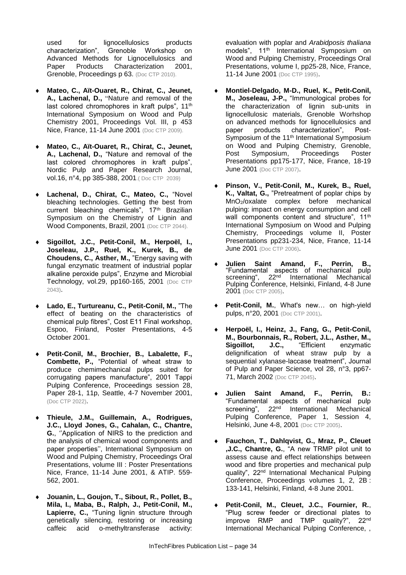used for lignocellulosics products<br>characterization". Grenoble Workshop on Grenoble Workshop on Advanced Methods for Lignocellulosics and Paper Products Characterization 2001, Grenoble, Proceedings p 63. (Doc CTP 2010).

- **Mateo, C., Aït-Ouaret, R., Chirat, C., Jeunet, A., Lachenal, D.,** "Nature and removal of the last colored chromophores in kraft pulps", 11<sup>th</sup> International Symposium on Wood and Pulp Chemistry 2001, Proceedings Vol. III, p 453 Nice, France, 11-14 June 2001 (Doc CTP 2009).
- **Mateo, C., Aït-Ouaret, R., Chirat, C., Jeunet, A., Lachenal, D.,** "Nature and removal of the last colored chromophores in kraft pulps", Nordic Pulp and Paper Research Journal, vol.16, n°4, pp 385-388, 2001.( Doc CTP 2039)
- **Lachenal, D., Chirat, C., Mateo, C.,** "Novel bleaching technologies. Getting the best from current bleaching chemicals", 17<sup>th</sup> Brazilian Symposium on the Chemistry of Lignin and Wood Components, Brazil, 2001 (Doc CTP 2044).
- **Sigoillot, J.C., Petit-Conil, M., Herpoël, I., Joseleau, J.P., Ruel, K., Kurek, B., de Choudens, C., Asther, M.,** "Energy saving with fungal enzymatic treatment of industrial poplar alkaline peroxide pulps", Enzyme and Microbial Technology, vol.29, pp160-165, 2001 (Doc CTP 2043).
- **Lado, E., Turtureanu, C., Petit-Conil, M.,** "The effect of beating on the characteristics of chemical pulp fibres", Cost E11 Final workshop, Espoo, Finland, Poster Presentations, 4-5 October 2001.
- **Petit-Conil, M., Brochier, B., Labalette, F., Combette, P.,** "Potential of wheat straw to produce chemimechanical pulps suited for corrugating papers manufacture", 2001 Tappi Pulping Conference, Proceedings session 28, Paper 28-1, 11p, Seattle, 4-7 November 2001, (Doc CTP 2022).
- **Thieule, J.M., Guillemain, A., Rodrigues, J.C., Lloyd Jones, G., Cahalan, C., Chantre, G.**, ''Application of NIRS to the prediction and the analysis of chemical wood components and paper properties'', International Symposium on Wood and Pulping Chemistry, Proceedings Oral Presentations, volume III : Poster Presentations Nice, France, 11-14 June 2001, & ATIP. 559- 562, 2001.
- **Jouanin, L., Goujon, T., Sibout, R., Pollet, B., Mila, I., Maba, B., Ralph, J., Petit-Conil, M.,**  Lapierre, C., "Tuning lignin structure through genetically silencing, restoring or increasing caffeic acid o-methyltransferase activity:

evaluation with poplar and *Arabidposis thaliana* models", 11<sup>th</sup> International Symposium on Wood and Pulping Chemistry, Proceedings Oral Presentations, volume I, pp25-28, Nice, France, 11-14 June 2001 (Doc CTP 1995).

- **Montiel-Delgado, M-D., Ruel, K., Petit-Conil, M., Joseleau, J-P.,** "Immunological probes for the characterization of lignin sub-units in lignocellulosic materials, Grenoble Worhshop on advanced methods for lignocellulosics and paper products characterization", Post-Symposium of the 11<sup>th</sup> International Symposium on Wood and Pulping Chemistry, Grenoble,<br>Post Symposium, Proceedings Poster Post Symposium, Proceedings Poster Presentations pp175-177, Nice, France, 18-19 June 2001 (Doc CTP 2007).
- **Pinson, V., Petit-Conil, M., Kurek, B., Ruel, K., Valtat, G.,** "Pretreatment of poplar chips by MnO2/oxalate complex before mechanical pulping: impact on energy consumption and cell wall components content and structure", 11<sup>th</sup> International Symposium on Wood and Pulping Chemistry, Proceedings volume II, Poster Presentations pp231-234, Nice, France, 11-14 **June 2001** (Doc CTP 2006).
- **Julien Saint Amand, F., Perrin, B.,**  "Fundamental aspects of mechanical pulp screening", 22<sup>nd</sup> International Mechanical Pulping Conference, Helsinki, Finland, 4-8 June 2001 (Doc CTP 2005).
- **Petit-Conil, M.**, What's new… on high-yield pulps, n°20, 2001 (Doc CTP 2001).
- **Herpoël, I., Heinz, J., Fang, G., Petit-Conil, M., Bourbonnais, R., Robert, J.L., Asther, M., Sigoillot, J.C.,** "Efficient enzymatic delignification of wheat straw pulp by a sequential xylanase-laccase treatment", Journal of Pulp and Paper Science, vol 28, n°3, pp67- 71, March 2002 (Doc CTP 2045).
- **Julien Saint Amand, F., Perrin, B.:**  "Fundamental aspects of mechanical pulp screening", 22<sup>nd</sup> International Mechanical Pulping Conference, Paper 1, Session 4, Helsinki, June 4-8, 2001 (Doc CTP 2005).
- **Fauchon, T., Dahlqvist, G., Mraz, P., Cleuet ,J.C., Chantre, G.**, "A new TRMP pilot unit to assess cause and effect relationships between wood and fibre properties and mechanical pulp quality", 22nd International Mechanical Pulping Conference, Proceedings volumes 1, 2, 2B : 133-141, Helsinki, Finland, 4-8 June 2001.
- **Petit-Conil, M., Cleuet, J.C., Fournier, R.**, "Plug screw feeder or directional plates to improve RMP and TMP quality?", 22<sup>nd</sup> International Mechanical Pulping Conference, ,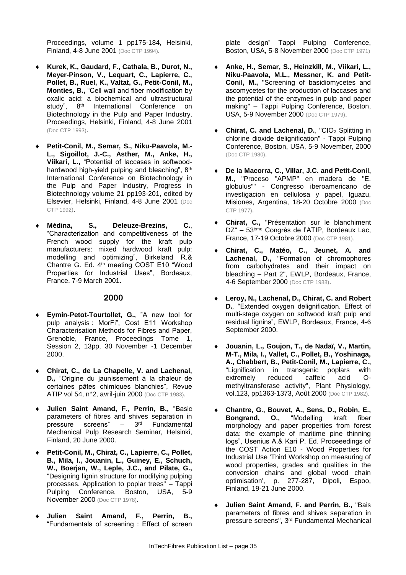Proceedings, volume 1 pp175-184, Helsinki, Finland, 4-8 June 2001 (Doc CTP 1994).

- **Kurek, K., Gaudard, F., Cathala, B., Durot, N., Meyer-Pinson, V., Lequart, C., Lapierre, C., Pollet, B., Ruel, K., Valtat, G., Petit-Conil, M., Monties, B.,** "Cell wall and fiber modification by oxalic acid: a biochemical and ultrastructural study", 8<sup>th</sup> International Conference on Biotechnology in the Pulp and Paper Industry, Proceedings, Helsinki, Finland, 4-8 June 2001 (Doc CTP 1993).
- **Petit-Conil, M., Semar, S., Niku-Paavola, M.- L., Sigoillot, J.-C., Asther, M., Anke, H., Viikari, L.,** "Potential of laccases in softwoodhardwood high-yield pulping and bleaching", 8th International Conference on Biotechnology in the Pulp and Paper Industry, Progress in Biotechnology volume 21 pp193-201, edited by Elsevier, Helsinki, Finland, 4-8 June 2001 (Doc CTP 1992).
- **Médina, S., Deleuze-Brezins, C.**, "Characterization and competitiveness of the French wood supply for the kraft pulp manufacturers: mixed hardwood kraft pulp: modelling and optimizing", Birkeland R.& Chantre G. Ed. 4th meeting COST E10 "Wood Properties for Industrial Uses", Bordeaux, France, 7-9 March 2001.

#### **2000**

- **Eymin-Petot-Tourtollet, G.,** "A new tool for pulp analysis : MorFi", Cost E11 Workshop Characterisation Methods for Fibres and Paper, Grenoble, France, Proceedings Tome 1, Session 2, 13pp, 30 November -1 December 2000.
- **Chirat, C., de La Chapelle, V. and Lachenal, D***.,* "Origine du jaunissement à la chaleur de certaines pâtes chimiques blanchies", Revue ATIP vol 54, n°2, avril-juin 2000 (Doc CTP 1983).
- **Julien Saint Amand, F., Perrin, B.,** "Basic parameters of fibres and shives separation in pressure screens" – 3<sup>rd</sup> Fundamental Mechanical Pulp Research Seminar, Helsinki, Finland, 20 June 2000.
- **Petit-Conil, M., Chirat, C., Lapierre, C., Pollet, B., Mila, I., Jouanin, L., Guiney, E., Schuch, W., Boerjan, W., Leple, J.C., and Pilate, G.,**  "Designing lignin structure for modifying pulping processes. Application to poplar trees" – Tappi Pulping Conference, Boston, USA, 5-9 November 2000 (Doc CTP 1978).
- **Julien Saint Amand, F., Perrin, B.,**  "Fundamentals of screening : Effect of screen

plate design" Tappi Pulping Conference, Boston, USA, 5-8 November 2000 (Doc CTP 1971)

- **Anke, H., Semar, S., Heinzkill, M., Viikari, L., Niku-Paavola, M.L., Messner, K. and Petit-Conil, M.,** "Screening of basidiomycetes and ascomycetes for the production of laccases and the potential of the enzymes in pulp and paper making" – Tappi Pulping Conference, Boston, USA, 5-9 November 2000 (Doc CTP 1979).
- **Chirat, C. and Lachenal, D.**, "CIO<sup>2</sup> Splitting in chlorine dioxide delignification" - Tappi Pulping Conference, Boston, USA, 5-9 November, 2000 (Doc CTP 1980).
- **De la Macorra, C., Villar, J.C. and Petit-Conil, M.**, "Proceso "APMP" en madera de "E. globulus"" - Congresso iberoamericano de investigacion en cellulosa y papel, Iguazu, Misiones, Argentina, 18-20 Octobre 2000 (Doc CTP 1977).
- **Chirat, C.,** "Présentation sur le blanchiment DZ" – 53ème Congrès de l'ATIP, Bordeaux Lac, France, 17-19 Octobre 2000 (Doc CTP 1981).
- **Chirat, C., Matéo, C., Jeunet, A. and Lachenal, D.,** "Formation of chromophores from carbohydrates and their impact on bleaching – Part 2", EWLP, Bordeaux, France, 4-6 September 2000 (Doc CTP 1988).
- **Leroy, N., Lachenal, D., Chirat, C. and Robert D.***,* "Extended oxygen delignification. Effect of multi-stage oxygen on softwood kraft pulp and residual lignins", EWLP, Bordeaux, France, 4-6 September 2000.
- **Jouanin, L., Goujon, T., de Nadaï, V., Martin, M-T., Mila, I., Vallet, C., Pollet, B., Yoshinaga, A., Chabbert, B., Petit-Conil, M., Lapierre, C.,** "Lignification in transgenic poplars with extremely reduced caffeic acid Omethyltransferase activity", Plant Physiology, vol.123, pp1363-1373, Août 2000 (Doc CTP 1982).
- **Chantre, G., Bouvet, A., Sens, D., Robin, E., Bongrand, O.,** "Modelling kraft fiber morphology and paper properties from forest data: the example of maritime pine thinning logs", Usenius A.& Kari P. Ed. Proceeedings of the COST Action E10 - Wood Properties for Industrial Use 'Third Workshop on measuring of wood properties, grades and qualities in the conversion chains and global wood chain optimisation', p. 277-287, Dipoli, Espoo, Finland, 19-21 June 2000.
- **Julien Saint Amand, F. and Perrin, B.,** "Bais parameters of fibres and shives separation in pressure screens", 3 rd Fundamental Mechanical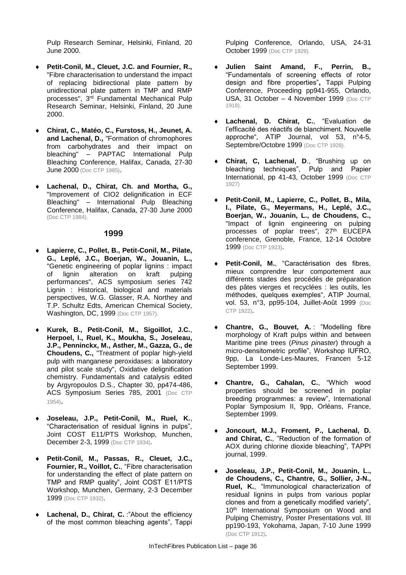Pulp Research Seminar, Helsinki, Finland, 20 June 2000.

- **Petit-Conil, M., Cleuet, J.C. and Fournier, R.,**  "Fibre characterisation to understand the impact of replacing bidirectional plate pattern by unidirectional plate pattern in TMP and RMP processes", 3<sup>rd</sup> Fundamental Mechanical Pulp Research Seminar, Helsinki, Finland, 20 June 2000.
- **Chirat, C., Matéo, C., Furstoss, H., Jeunet, A. and Lachenal, D.,** "Formation of chromophores from carbohydrates and their impact on bleaching" – PAPTAC International Pulp Bleaching Conference, Halifax, Canada, 27-30 **June 2000** (Doc CTP 1985).
- **Lachenal, D., Chirat, Ch. and Mortha, G.,**  "Improvement of CIO2 delignification in ECF Bleaching" – International Pulp Bleaching Conference, Halifax, Canada, 27-30 June 2000 (Doc CTP 1984).

#### **1999**

- **Lapierre, C., Pollet, B., Petit-Conil, M., Pilate, G., Leplé, J.C., Boerjan, W., Jouanin, L.,**  "Genetic engineering of poplar lignins : impact of lignin alteration on kraft pulping performances", ACS symposium series 742 Lignin : Historical, biological and materials perspectives, W.G. Glasser, R.A. Northey and T.P. Schultz Edts, American Chemical Society, Washington, DC, 1999 (Doc CTP 1957).
- **Kurek, B., Petit-Conil, M., Sigoillot, J.C.**, **Herpoel, I., Ruel, K., Moukha, S., Joseleau, J.P., Penninckx, M., Asther, M., Gazza, G., de Choudens, C.,** "Treatment of poplar high-yield pulp with manganese peroxidases: a laboratory and pilot scale study", Oxidative delignification chemistry. Fundamentals and catalysis edited by Argyropoulos D.S., Chapter 30, pp474-486, ACS Symposium Series 785, 2001 (Doc CTP 1954).
- **Joseleau, J.P., Petit-Conil, M., Ruel, K.**, "Characterisation of residual lignins in pulps", Joint COST E11/PTS Workshop, Munchen, December 2-3, 1999 (Doc CTP 1934).
- **Petit-Conil, M., Passas, R., Cleuet, J.C., Fournier, R., Voillot, C.**, "Fibre characterisation for understanding the effect of plate pattern on TMP and RMP quality", Joint COST E11/PTS Workshop, Munchen, Germany, 2-3 December 1999 (Doc CTP 1932).
- Lachenal, D., Chirat, C. :"About the efficiency of the most common bleaching agents", Tappi

Pulping Conference, Orlando, USA, 24-31 October 1999 (Doc CTP 1929).

- **Julien Saint Amand, F., Perrin, B.,** "Fundamentals of screening effects of rotor design and fibre properties"**,** Tappi Pulping Conference, Proceeding pp941-955, Orlando, USA, 31 October – 4 November 1999 (Doc CTP 1918).
- **Lachenal, D. Chirat, C.**, "Evaluation de l'efficacité des réactifs de blanchiment. Nouvelle approche", ATIP Journal, vol 53, n°4-5, Septembre/Octobre 1999 (Doc CTP 1928).
- **Chirat, C, Lachenal, D**., "Brushing up on bleaching techniques", Pulp and Papier International, pp 41-43, October 1999 (Doc CTP 1927)
- **Petit-Conil, M., Lapierre, C., Pollet, B., Mila, I., Pilate, G., Meyermans, H., Leplé, J.C., Boerjan, W., Jouanin, L., de Choudens, C.,**  "Impact of lignin engineering on pulping processes of poplar trees", 27<sup>th</sup> EUCEPA conference, Grenoble, France, 12-14 Octobre 1999 (Doc CTP 1923).
- **Petit-Conil, M.**, "Caractérisation des fibres, mieux comprendre leur comportement aux différents stades des procédés de préparation des pâtes vierges et recyclées : les outils, les méthodes, quelques exemples", ATIP Journal, vol. 53, n°3, pp95-104, Juillet-Août 1999 (Doc CTP 1922).
- **Chantre, G., Bouvet, A.** : "Modelling fibre morphology of Kraft pulps within and between Maritime pine trees (*Pinus pinaster*) through a micro-densitometric profile", Workshop IUFRO, 9pp, La Londe-Les-Maures, Francen 5-12 September 1999.
- **Chantre, G., Cahalan, C.**, "Which wood properties should be screened in poplar breeding programmes: a review", International Poplar Symposium II, 9pp, Orléans, France, September 1999.
- **Joncourt, M.J., Froment, P., Lachenal, D. and Chirat, C.**, "Reduction of the formation of AOX during chlorine dioxide bleaching", TAPPI journal, 1999.
- **Joseleau, J.P., Petit-Conil, M., Jouanin, L., de Choudens, C., Chantre, G., Sollier, J-N., Ruel, K.**, "Immunological characterization of residual lignins in pulps from various poplar clones and from a genetically modified variety", 10<sup>th</sup> International Symposium on Wood and Pulping Chemistry, Poster Presentations vol. III pp190-193, Yokohama, Japan, 7-10 June 1999 (Doc CTP 1912).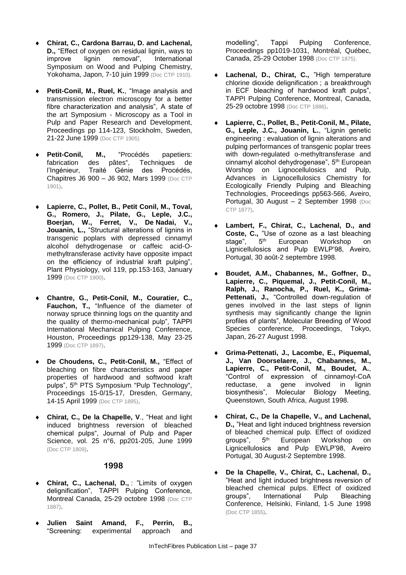- **Chirat, C., Cardona Barrau, D. and Lachenal, D.,** "Effect of oxygen on residual lignin, ways to improve lignin removal", International Symposium on Wood and Pulping Chemistry, Yokohama, Japon, 7-10 juin 1999 (Doc CTP 1910).
- **Petit-Conil, M., Ruel, K.**, "Image analysis and transmission electron microscopy for a better fibre characterization and analysis", A state of the art Symposium - Microscopy as a Tool in Pulp and Paper Research and Development, Proceedings pp 114-123, Stockholm, Sweden, 21-22 June 1999 (Doc CTP 1905)
- **Petit-Conil, M.,** "Procédés papetiers: fabrication des pâtes", Techniques de l'Ingénieur, Traité Génie des Procédés, Chapitres J6 900 – J6 902, Mars 1999 (Doc CTP 1901).
- **Lapierre, C., Pollet, B., Petit Conil, M., Toval, G., Romero, J., Pilate, G., Leple, J.C., Boerjan, W., Ferret, V., De Nadai, V., Jouanin, L.,** "Structural alterations of lignins in transgenic poplars with depressed cinnamyl alcohol dehydrogenase or caffeic acid-Omethyltransferase activity have opposite impact on the efficiency of industrial kraft pulping", Plant Physiology, vol 119, pp.153-163, January 1999 (Doc CTP 1900).
- **Chantre, G., Petit-Conil, M., Couratier, C., Fauchon, T.,** "Influence of the diameter of norway spruce thinning logs on the quantity and the quality of thermo-mechanical pulp", TAPPI International Mechanical Pulping Conference, Houston, Proceedings pp129-138, May 23-25 1999 (Doc CTP 1897).
- **De Choudens, C., Petit-Conil, M.,** "Effect of bleaching on fibre characteristics and paper properties of hardwood and softwood kraft pulps", 5<sup>th</sup> PTS Symposium "Pulp Technology", Proceedings 15-0/15-17, Dresden, Germany, 14-15 April 1999 (Doc CTP 1895).
- **Chirat, C., De la Chapelle, V**., "Heat and light induced brightness reversion of bleached chemical pulps", Journal of Pulp and Paper Science, vol. 25 n°6, pp201-205, June 1999 (Doc CTP 1809).

#### **1998**

- **Chirat, C., Lachenal, D.,** : "Limits of oxygen delignification", TAPPI Pulping Conference, Montreal Canada, 25-29 octobre 1998 (Doc CTP 1887).
- **Julien Saint Amand, F., Perrin, B.,** "Screening: experimental approach and

modelling", Tappi Pulping Conference, Proceedings pp1019-1031, Montréal, Québec, Canada, 25-29 October 1998 (Doc CTP 1875).

- **Lachenal, D., Chirat, C.,** "High temperature chlorine dioxide delignification ; a breakthrough in ECF bleaching of hardwood kraft pulps", TAPPI Pulping Conference, Montreal, Canada, 25-29 octobre 1998 (Doc CTP 1886).
- **Lapierre, C., Pollet, B., Petit-Conil, M., Pilate, G., Leple, J.C., Jouanin, L.**, "Lignin genetic engineering : evaluation of lignin alterations and pulping performances of transgenic poplar trees with down-regulated o-methyltransferase and cinnamyl alcohol dehydrogenase", 5th European Worshop on Lignocellulosics and Pulp, Advances in Lignocellulosics Chemistry for Ecologically Friendly Pulping and Bleaching Technologies, Proceedings pp563-566, Aveiro, Portugal, 30 August – 2 September 1998 (Doc CTP 1877).
- **Lambert, F., Chirat, C., Lachenal, D., and Coste, C.,** "Use of ozone as a last bleaching stage", 5<sup>th</sup> European Workshop on Lignicellulosics and Pulp EWLP'98, Aveiro, Portugal, 30 août-2 septembre 1998.
- **Boudet, A.M., Chabannes, M., Goffner, D., Lapierre, C., Piquemal, J., Petit-Conil, M., Ralph, J., Ranocha, P., Ruel, K., Grima-Pettenati, J.,** "Controlled down-regulation of genes involved in the last steps of lignin synthesis may significantly change the lignin profiles of plants", Molecular Breeding of Wood Species conference, Proceedings, Tokyo, Japan, 26-27 August 1998.
- **Grima-Pettenati, J., Lacombe, E., Piquemal, J., Van Doorselaere, J., Chabannes, M., Lapierre, C., Petit-Conil, M., Boudet, A.**, "Control of expression of cinnamoyl-CoA reductase, a gene involved in lignin biosynthesis", Molecular Biology Meeting, Queenstown, South Africa, August 1998.
- **Chirat, C., De la Chapelle, V., and Lachenal, D.,** "Heat and light induced brightness reversion of bleached chemical pulp. Effect of oxidized groups", 5th European Workshop on Lignicellulosics and Pulp EWLP'98, Aveiro Portugal, 30 August-2 Septembre 1998.
- **De la Chapelle, V., Chirat, C., Lachenal, D.,** "Heat and light induced brightness reversion of bleached chemical pulps. Effect of oxidized groups", International Pulp Bleaching Conference, Helsinki, Finland, 1-5 June 1998 (Doc CTP 1855).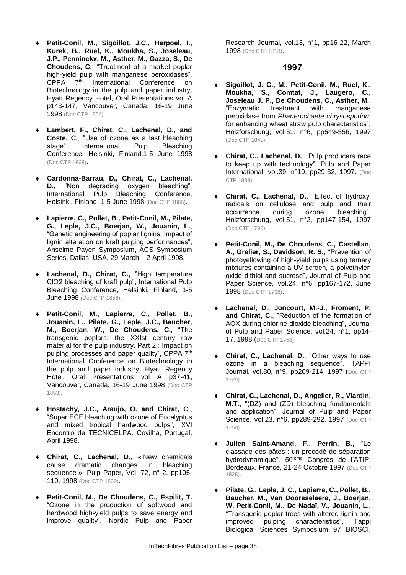- **Petit-Conil, M., Sigoillot, J.C., Herpoel, I., Kurek, B., Ruel, K., Moukha, S., Joseleau, J.P., Penninckx, M., Asther, M., Gazza, S., De Choudens, C.**, "Treatment of a market poplar high-yield pulp with manganese peroxidases", CPPA 7<sup>th</sup> International Conference on Biotechnology in the pulp and paper industry, Hyatt Regency Hotel, Oral Presentations vol A p143-147, Vancouver, Canada, 16-19 June 1998 (Doc CTP 1854).
- **Lambert, F., Chirat, C., Lachenal, D., and Coste, C.**, "Use of ozone as a last bleaching stage", International Pulp Bleaching Conference, Helsinki, Finland,1-5 June 1998 (Doc CTP 1868).
- **Cardonna-Barrau, D., Chirat, C., Lachenal, D.,** "Non degrading oxygen bleaching", International Pulp Bleaching Conference, Helsinki, Finland, 1-5 June 1998 (Doc CTP 1865).
- **Lapierre, C., Pollet, B., Petit-Conil, M., Pilate, G., Leple, J.C., Boerjan, W., Jouanin, L.**, "Genetic engineering of poplar lignins. Impact of lignin alteration on kraft pulping performances", Anselme Payen Symposium, ACS Symposium Series, Dallas, USA, 29 March – 2 April 1998.
- **Lachenal, D., Chirat, C.,** "High temperature ClO2 bleaching of kraft pulp", International Pulp Bleaching Conference, Helsinki, Finland, 1-5 **June 1998** (Doc CTP 1856).
- **Petit-Conil, M., Lapierre, C., Pollet, B., Jouanin, L., Pilate, G., Leple, J.C., Baucher, M., Boerjan, W., De Choudens, C.,** "The transgenic poplars: the XXIst century raw material for the pulp industry. Part 2 : Impact on pulping processes and paper quality", CPPA 7<sup>th</sup> International Conference on Biotechnology in the pulp and paper industry, Hyatt Regency Hotel, Oral Presentations vol A p37-41, Vancouver, Canada, 16-19 June 1998 (Doc CTP 1853).
- **Hostachy, J.C., Araujo, O. and Chirat, C**., "Super ECF bleaching with ozone of Eucalyptus and mixed tropical hardwood pulps", XVI Encontro de TECNICELPA, Covilha, Portugal, April 1998.
- **Chirat, C., Lachenal, D.,** « New chemicals cause dramatic changes in bleaching sequence », Pulp Paper, Vol. 72, n° 2, pp105- 110, 1998 (Doc CTP 1839).
- **Petit-Conil, M., De Choudens, C., Espilit, T.** "Ozone in the production of softwood and hardwood high-yield pulps to save energy and improve quality", Nordic Pulp and Paper

Research Journal, vol.13, n°1, pp16-22, March 1998 (Doc CTP 1818).

- **Sigoillot, J. C., M., Petit-Conil, M., Ruel, K., Moukha, S., Comtat, J., Laugero, C., Joseleau J. P., De Choudens, C., Asther, M., "Enzymatic treatment with manganese** manganese peroxidase from *Phanerochaete chrysosporium* for enhancing wheat straw pulp characteristics", Holzforschung, vol.51, n°6, pp549-556, 1997 (Doc CTP 1845).
- **Chirat, C., Lachenal, D.**, "Pulp producers race to keep up with technology", Pulp and Paper International, vol.39, n°10, pp29-32, 1997. (Doc CTP 1839).
- **Chirat, C., Lachenal, D.**, "Effect of hydroxyl radicals on cellulose and pulp and their occurrence during ozone bleaching", Holzforschung, vol.51, n°2, pp147-154, 1997 (Doc CTP 1799).
- **Petit-Conil, M., De Choudens, C., Castellan, A., Grelier, S., Davidson, R. S.,** "Prevention of photoyellowing of high-yield pulps using ternary mixtures containing a UV screen, a polyethylen oxide dithiol and sucrose", Journal of Pulp and Paper Science, vol.24, n°6, pp167-172, June 1998 (Doc CTP 1798).
- **Lachenal, D., Joncourt, M.-J., Froment, P. and Chirat, C.**, "Reduction of the formation of AOX during chlorine dioxide bleaching", Journal of Pulp and Paper Science, vol.24, n°1, pp14- 17, 1998 (Doc CTP 1753).
- **Chirat, C., Lachenal, D.**, "Other ways to use ozone in a bleaching sequence", TAPPI Journal, vol.80, n°9, pp209-214, 1997 (Doc CTP 1729).
- **Chirat, C., Lachenal, D., Angelier, R., Viardin, M.T.**, "(DZ) and (ZD) bleaching fundamentals and application", Journal of Pulp and Paper Science, vol.23, n°6, pp289-292, 1997 (Doc CTP 1750).
- **Julien Saint-Amand, F., Perrin, B.,** "Le classage des pâtes : un procédé de séparation hydrodynamique", 50<sup>ième</sup> Congrès de l'ATIP, Bordeaux, France, 21-24 Octobre 1997 (Doc CTP 1828).
- **Pilate, G., Leple, J. C., Lapierre, C., Pollet, B., Baucher, M., Van Doorsselaere, J., Boerjan, W. Petit-Conil, M., De Nadaï, V., Jouanin, L.,** "Transgenic poplar trees with altered lignin and improved pulping characteristics", Tappi Biological Sciences Symposium 97 BIOSCI,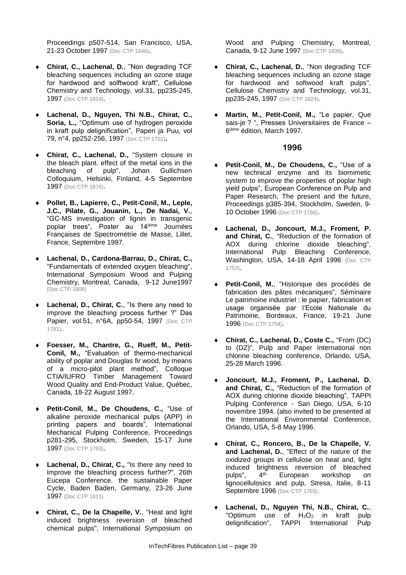Proceedings p507-514, San Francisco, USA, 21-23 October 1997 (Doc CTP 1846).

- **Chirat, C., Lachenal, D.**, "Non degrading TCF bleaching sequences including an ozone stage for hardwood and solftwood kraft", Cellulose Chemistry and Technology, vol.31, pp235-245, 1997 (Doc CTP 1824).
- **Lachenal, D., Nguyen, Thi N.B., Chirat, C., Soria, L.,** "Optimum use of hydrogen peroxide in kraft pulp delignification", Paperi ja Puu, vol 79, n°4, pp252-256, 1997 (Doc CTP 1751)**.**
- **Chirat, C., Lachenal, D.,** "System closure in the bleach plant. effect of the metal ions in the bleaching of pulp", Johan Gullichsen bleaching of pulp", Johan Gullichsen Colloquium, Helsinki, Finland, 4-5 Septembre 1997 (Doc CTP 1876).
- **Pollet, B., Lapierre, C., Petit-Conil, M., Leple, J.C., Pilate, G., Jouanin, L., De Nadai, V.**, "GC-MS investigation of lignin in transgenic poplar trees", Poster au 14ième Journées Françaises de Spectrométrie de Masse, Lillet, France, Septembre 1997.
- **Lachenal, D., Cardona-Barrau, D., Chirat, C.,** "Fundamentals of extended oxygen bleaching", International Symposium Wood and Pulping Chemistry, Montreal, Canada, 9-12 June1997 (Doc CTP 1808)
- **Lachenal, D., Chirat, C.**, "Is there any need to improve the bleaching process further ?" Das Papier, vol.51, n°6A, pp50-54, 1997 (Doc CTP 1781).
- **Foesser, M., Chantre, G., Rueff, M., Petit-Conil, M.,** "Evaluation of thermo-mechanical ability of poplar and Douglas fir wood, by means of a micro-pilot plant method", Colloque CTIA/IUFRO Timber Management Toward Wood Quality and End-Product Value, Québec, Canada, 18-22 August 1997.
- **Petit-Conil, M., De Choudens, C.,** "Use of alkaline peroxide mechanical pulps (APP) in printing papers and boards", International Mechanical Pulping Conference, Proceedings p281-295, Stockholm, Sweden, 15-17 June 1997 (Doc CTP 1793).
- **Lachenal, D., Chirat, C.,** "Is there any need to improve the bleaching process further?", 26th Eucepa Conference. the sustainable Paper Cycle, Baden Baden, Germany, 23-26 June 1997 (Doc CTP 1811).
- **Chirat, C., De la Chapelle, V.**, "Heat and light induced brightness reversion of bleached chemical pulps", International Symposium on

Wood and Pulping Chemistry, Montreal, Canada, 9-12 June 1997 (Doc CTP 1809).

- **Chirat, C., Lachenal, D.**, "Non degrading TCF bleaching sequences including an ozone stage for hardwood and softwood kraft pulps", Cellulose Chemistry and Technology, vol.31, pp235-245, 1997 (Doc CTP 1824).
- **Martin, M., Petit-Conil, M.,** "Le papier, Que sais-je ? ", Presses Universitaires de France – 6 ième édition, March 1997.

- **Petit-Conil, M., De Choudens, C.,** "Use of a new technical enzyme and its biomimetic system to improve the properties of poplar high yield pulps", European Conference on Pulp and Paper Research, The present and the future, Proceedings p385-394, Stockholm, Sweden, 9- 10 October 1996 (Doc CTP 1766).
- **Lachenal, D., Joncourt, M.J., Froment, P. and Chirat, C.**, "Reduction of the formation of AOX during chlorine dioxide bleaching", International Pulp Bleaching Conference, Washington, USA, 14-18 April 1996 (Doc CTP 1753).
- **Petit-Conil, M.**, "Historique des procédés de fabrication des pâtes mécaniques", Séminaire Le patrimoine industriel : le papier, fabrication et usage organisée par l'Ecole Nationale du Patrimoine, Bordeaux, France, 19-21 June 1996 (Doc CTP 1754).
- **Chirat, C., Lachenal, D., Coste C.,** "From (DC) to (DZ)", Pulp and Paper International non chlorine bleaching conference, Orlando, USA, 25-28 March 1996.
- **Joncourt, M.J., Froment, P., Lachenal, D. and Chirat, C.,** "Reduction of the formation of AOX during chlorine dioxide bleaching", TAPPI Pulping Conference - San Diego, USA, 6-10 novembre 1994. (also invited to be presented at the International Environmental Conference, Orlando, USA, 5-8 May 1996.
- **Chirat, C., Roncero, B., De la Chapelle, V. and Lachenal, D.**, "Effect of the nature of the oxidized groups in cellulose on heat and, light induced brightness reversion of bleached pulps", 4<sup>th</sup> European workshop on lignocellulosics and pulp, Stresa, Italie, 8-11 Septembre 1996 (Doc CTP 1769).
- **Lachenal, D., Nguyen Thi, N.B., Chirat, C.**, "Optimum use of  $H_2O_2$  in kraft pulp delignification", TAPPI International Pulp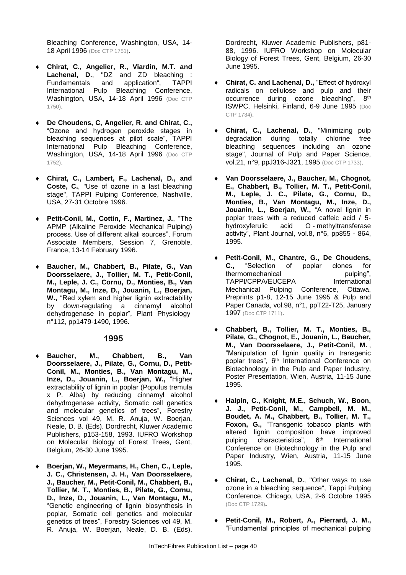Bleaching Conference, Washington, USA, 14- 18 April 1996 (Doc CTP 1751).

- **Chirat, C., Angelier, R., Viardin, M.T. and Lachenal, D.**, "DZ and ZD bleaching : Fundamentals and application", TAPPI International Pulp Bleaching Conference, Washington, USA, 14-18 April 1996 (Doc CTP 1750).
- **De Choudens, C, Angelier, R. and Chirat, C.,**  "Ozone and hydrogen peroxide stages in bleaching sequences at pilot scale", TAPPI International Pulp Bleaching Conference, Washington, USA, 14-18 April 1996 (Doc CTP 1752).
- **Chirat, C., Lambert, F., Lachenal, D., and Coste, C.**, "Use of ozone in a last bleaching stage", TAPPI Pulping Conference, Nashville, USA, 27-31 Octobre 1996.
- **Petit-Conil, M., Cottin, F., Martinez, J.**, "The APMP (Alkaline Peroxide Mechanical Pulping) process. Use of different alkali sources", Forum Associate Members, Session 7, Grenoble, France, 13-14 February 1996.
- **Baucher, M., Chabbert, B., Pilate, G., Van Doorsselaere, J., Tollier, M. T., Petit-Conil, M., Leple, J. C., Cornu, D., Monties, B., Van Montagu, M., Inze, D., Jouanin, L., Boerjan, W.,** "Red xylem and higher lignin extractability by down-regulating a cinnamyl alcohol dehydrogenase in poplar", Plant Physiology n°112, pp1479-1490, 1996.

#### **1995**

- **Baucher, M., Chabbert, B., Van Doorsselaere, J., Pilate, G., Cornu, D., Petit-Conil, M., Monties, B., Van Montagu, M., Inze, D., Jouanin, L., Boerjan, W.,** "Higher extractability of lignin in poplar (Populus tremula x P. Alba) by reducing cinnamyl alcohol dehydrogenase activity, Somatic cell genetics and molecular genetics of trees", Forestry Sciences vol 49, M. R. Anuja, W. Boerjan, Neale, D. B. (Eds). Dordrecht, Kluwer Academic Publishers, p153-158, 1993. IUFRO Workshop on Molecular Biology of Forest Trees, Gent, Belgium, 26-30 June 1995.
- **Boerjan, W., Meyermans, H., Chen, C., Leple, J. C., Christensen, J. H., Van Doorsselaere, J., Baucher, M., Petit-Conil, M., Chabbert, B., Tollier, M. T., Monties, B., Pilate, G., Cornu, D., Inze, D., Jouanin, L., Van Montagu, M.,** "Genetic engineering of lignin biosynthesis in poplar, Somatic cell genetics and molecular genetics of trees", Forestry Sciences vol 49, M. R. Anuja, W. Boerjan, Neale, D. B. (Eds).

Dordrecht, Kluwer Academic Publishers, p81- 88, 1996. IUFRO Workshop on Molecular Biology of Forest Trees, Gent, Belgium, 26-30 June 1995.

- **Chirat, C. and Lachenal, D.,** "Effect of hydroxyl radicals on cellulose and pulp and their occurrence during ozone bleaching", 8th ISWPC, Helsinki, Finland, 6-9 June 1995 (Doc CTP 1734).
- **Chirat, C., Lachenal, D., "Minimizing pulp degradation during totally chlorine free** degradation during totally chlorine bleaching sequences including an ozone stage", Journal of Pulp and Paper Science, vol.21, n°9, ppJ316-J321, 1995 (Doc CTP 1733).
- **Van Doorsselaere, J., Baucher, M., Chognot, E., Chabbert, B., Tollier, M. T., Petit-Conil, M., Leple, J. C., Pilate, G., Cornu, D., Monties, B., Van Montagu, M., Inze, D., Jouanin, L., Boerjan, W.,** "A novel lignin in poplar trees with a reduced caffeic acid / 5 hydroxyferulic acid O - methyltransferase activity", Plant Journal, vol.8, n°6, pp855 - 864, 1995.
- **Petit-Conil, M., Chantre, G., De Choudens, C.,** "Selection of poplar clones for thermomechanical pulping", TAPPI/CPPA/EUCEPA International Mechanical Pulping Conference, Ottawa, Preprints p1-8, 12-15 June 1995 & Pulp and Paper Canada, vol.98, n°1, ppT22-T25, January 1997 (Doc CTP 1711).
- **Chabbert, B., Tollier, M. T., Monties, B., Pilate, G., Chognot, E., Jouanin, L., Baucher, M., Van Doorsselaere, J., Petit-Conil, M.** , "Manipulation of lignin quality in transgenic poplar trees", 6<sup>th</sup> International Conference on Biotechnology in the Pulp and Paper Industry, Poster Presentation, Wien, Austria, 11-15 June 1995.
- **Halpin, C., Knight, M.E., Schuch, W., Boon, J. J., Petit-Conil, M., Campbell, M. M., Boudet, A. M., Chabbert, B., Tollier, M. T., Foxon, G.,** "Transgenic tobacco plants with altered lignin composition have improved pulping characteristics", 6<sup>th</sup> International Conference on Biotechnology in the Pulp and Paper Industry, Wien, Austria, 11-15 June 1995.
- **Chirat, C., Lachenal, D.**, "Other ways to use ozone in a bleaching sequence", Tappi Pulping Conference, Chicago, USA, 2-6 Octobre 1995 (Doc CTP 1729)**.**
- **Petit-Conil, M., Robert, A., Pierrard, J. M.,** "Fundamental principles of mechanical pulping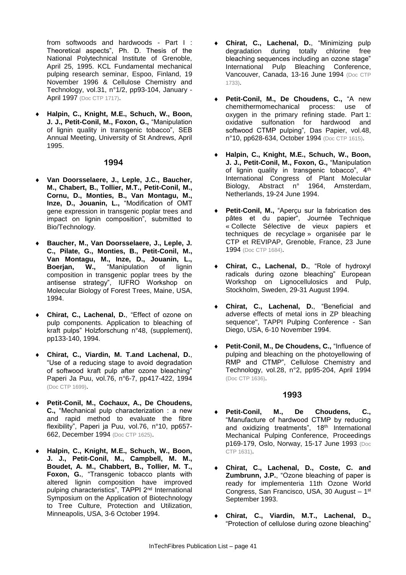from softwoods and hardwoods - Part I : Theoretical aspects", Ph. D. Thesis of the National Polytechnical Institute of Grenoble, April 25, 1995. KCL Fundamental mechanical pulping research seminar, Espoo, Finland, 19 November 1996 & Cellulose Chemistry and Technology, vol.31, n°1/2, pp93-104, January - April 1997 (Doc CTP 1717).

 **Halpin, C., Knight, M.E., Schuch, W., Boon, J. J., Petit-Conil, M., Foxon, G.,** "Manipulation of lignin quality in transgenic tobacco", SEB Annual Meeting, University of St Andrews, April 1995.

#### **1994**

- **Van Doorsselaere, J., Leple, J.C., Baucher, M., Chabert, B., Tollier, M.T., Petit-Conil, M., Cornu, D., Monties, B., Van Montagu, M., Inze, D., Jouanin, L.,** "Modification of OMT gene expression in transgenic poplar trees and impact on lignin composition", submitted to Bio/Technology.
- **Baucher, M., Van Doorsselaere, J., Leple, J. C., Pilate, G., Monties, B., Petit-Conil, M., Van Montagu, M., Inze, D., Jouanin, L., Boerjan, W.,** "Manipulation of lignin composition in transgenic poplar trees by the antisense strategy", IUFRO Workshop on Molecular Biology of Forest Trees, Maine, USA, 1994.
- **Chirat, C., Lachenal, D.**, "Effect of ozone on pulp components. Application to bleaching of kraft pulps" Holzforschung n°48, (supplement), pp133-140, 1994.
- **Chirat, C., Viardin, M. T.and Lachenal, D.**, "Use of a reducing stage to avoid degradation of softwood kraft pulp after ozone bleaching" Paperi Ja Puu, vol.76, n°6-7, pp417-422, 1994 (Doc CTP 1699).
- **Petit-Conil, M., Cochaux, A., De Choudens, C.,** "Mechanical pulp characterization : a new and rapid method to evaluate the fibre flexibility", Paperi ja Puu, vol.76, n°10, pp657- 662, December 1994 (Doc CTP 1625).
- **Halpin, C., Knight, M.E., Schuch, W., Boon, J. J., Petit-Conil, M., Campbell, M. M., Boudet, A. M., Chabbert, B., Tollier, M. T., Foxon, G.**, "Transgenic tobacco plants with altered lignin composition have improved pulping characteristics", TAPPI 2<sup>nd</sup> International Symposium on the Application of Biotechnology to Tree Culture, Protection and Utilization, Minneapolis, USA, 3-6 October 1994.
- **Chirat, C., Lachenal, D.**, "Minimizing pulp degradation during totally chlorine free bleaching sequences including an ozone stage" International Pulp Bleaching Conference, Vancouver, Canada, 13-16 June 1994 (Doc CTP 1733).
- **Petit-Conil, M., De Choudens, C.,** "A new chemithermomechanical process: use of oxygen in the primary refining stade. Part 1: oxidative sulfonation for hardwood and softwood CTMP pulping"*,* Das Papier, vol.48, n°10, pp628-634, October 1994 (Doc CTP 1615).
- **Halpin, C., Knight, M.E., Schuch, W., Boon, J. J., Petit-Conil, M., Foxon, G.,** "Manipulation of lignin quality in transgenic tobacco", 4<sup>th</sup> International Congress of Plant Molecular<br>Biology, Abstract n° 1964, Amsterdam, Biology, Abstract n° 1964, Amsterdam, Netherlands, 19-24 June 1994.
- **Petit-Conil, M.,** "Aperçu sur la fabrication des pâtes et du papier", Journée Technique « Collecte Sélective de vieux papiers et techniques de recyclage » organisée par le CTP et REVIPAP, Grenoble, France, 23 June 1994 (Doc CTP 1684).
- **Chirat, C., Lachenal, D.**, "Role of hydroxyl radicals during ozone bleaching" European Workshop on Lignocellulosics and Pulp, Stockholm, Sweden, 29-31 August 1994.
- **Chirat, C., Lachenal, D.**, "Beneficial and adverse effects of metal ions in ZP bleaching sequence", TAPPI Pulping Conference - San Diego, USA, 6-10 November 1994.
- **Petit-Conil, M., De Choudens, C.,** "Influence of pulping and bleaching on the photoyellowing of RMP and CTMP", Cellulose Chemistry and Technology, vol.28, n°2, pp95-204, April 1994 (Doc CTP 1636).

- **Petit-Conil, M., De Choudens, C.,**  "Manufacture of hardwood CTMP by reducing and oxidizing treatments", 18<sup>th</sup> International Mechanical Pulping Conference, Proceedings p169-179, Oslo, Norway, 15-17 June 1993 (Doc CTP 1631).
- **Chirat, C., Lachenal, D., Coste, C. and Zumbrunn, J.P.**, "Ozone bleaching of paper is ready for implementeria 11th Ozone World Congress, San Francisco, USA, 30 August – 1 st September 1993.
- **Chirat, C., Viardin, M.T., Lachenal, D.,** "Protection of cellulose during ozone bleaching"